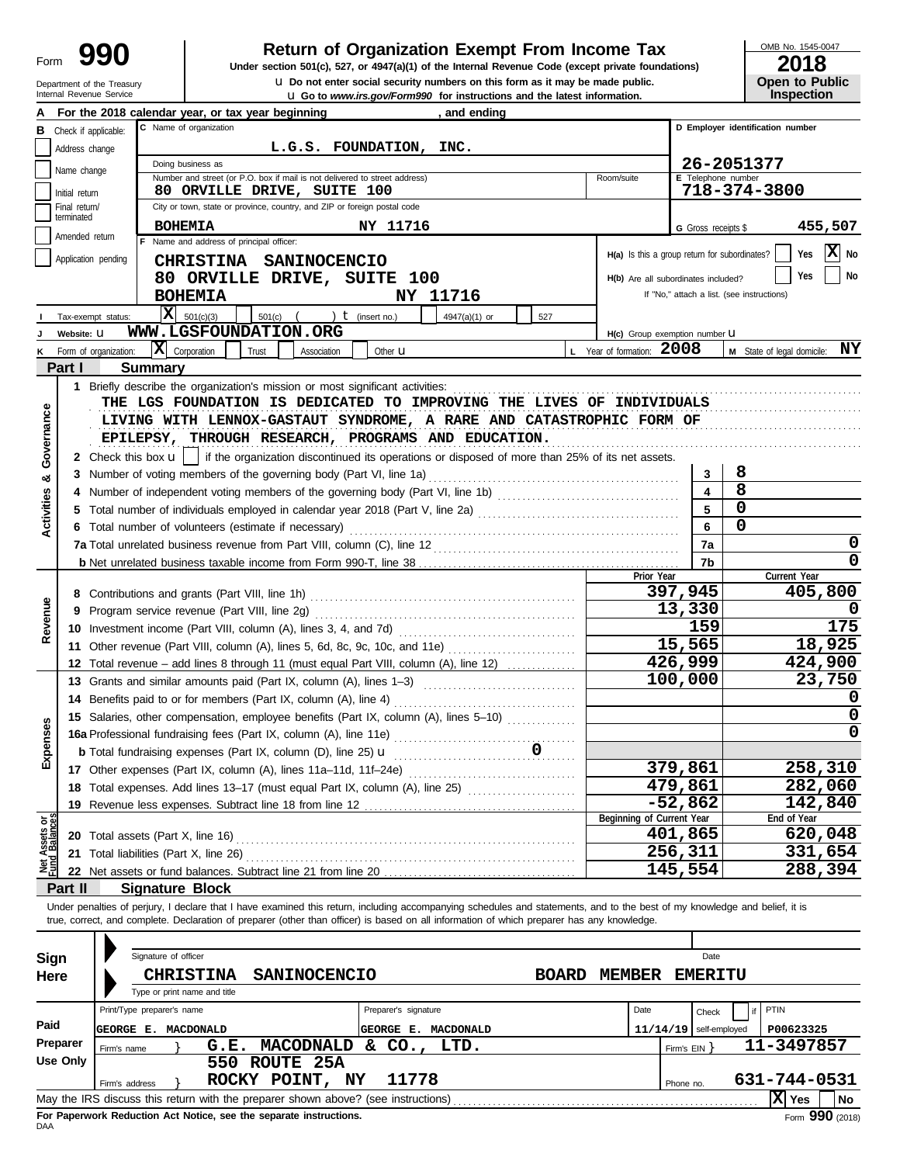Department of the Treasury<br>Internal Revenue Service

### **Return of Organization Exempt From Income Tax**

**u** Go to *www.irs.gov/Form990* for instructions and the latest information. **u** Do not enter social security numbers on this form as it may be made public. **Under section 501(c), 527, or 4947(a)(1) of the Internal Revenue Code (except private foundations)** OMB No. 1545-0047

| ZU I U                |
|-----------------------|
| <b>Open to Public</b> |
| <b>Inspection</b>     |

|                                |                             |                       | For the 2018 calendar year, or tax year beginning                                                                                                                          |                      | and ending    |              |                                               |                                                  |                                            |  |  |  |  |
|--------------------------------|-----------------------------|-----------------------|----------------------------------------------------------------------------------------------------------------------------------------------------------------------------|----------------------|---------------|--------------|-----------------------------------------------|--------------------------------------------------|--------------------------------------------|--|--|--|--|
| В                              | Check if applicable:        |                       | C Name of organization                                                                                                                                                     |                      |               |              |                                               |                                                  | D Employer identification number           |  |  |  |  |
|                                | Address change              |                       | L.G.S. FOUNDATION, INC.                                                                                                                                                    |                      |               |              |                                               |                                                  |                                            |  |  |  |  |
|                                |                             |                       | Doing business as                                                                                                                                                          |                      |               |              |                                               |                                                  | 26-2051377                                 |  |  |  |  |
|                                | Name change                 |                       | Number and street (or P.O. box if mail is not delivered to street address)                                                                                                 |                      |               |              | Room/suite                                    | <b>E</b> Telephone number                        |                                            |  |  |  |  |
|                                | Initial return              |                       | <b>80 ORVILLE DRIVE, SUITE 100</b>                                                                                                                                         |                      |               |              |                                               |                                                  | 718-374-3800                               |  |  |  |  |
|                                | Final return/<br>terminated |                       | City or town, state or province, country, and ZIP or foreign postal code                                                                                                   |                      |               |              |                                               |                                                  |                                            |  |  |  |  |
|                                | Amended return              |                       | <b>BOHEMIA</b>                                                                                                                                                             | NY 11716             |               |              |                                               | G Gross receipts \$                              | 455,507                                    |  |  |  |  |
|                                |                             |                       | F Name and address of principal officer:                                                                                                                                   |                      |               |              | H(a) Is this a group return for subordinates? |                                                  | X No<br>Yes                                |  |  |  |  |
|                                |                             | Application pending   | CHRISTINA SANINOCENCIO                                                                                                                                                     |                      |               |              |                                               |                                                  |                                            |  |  |  |  |
|                                |                             |                       | 80 ORVILLE DRIVE, SUITE 100                                                                                                                                                |                      |               |              |                                               | No<br>Yes<br>H(b) Are all subordinates included? |                                            |  |  |  |  |
|                                |                             |                       | <b>BOHEMIA</b>                                                                                                                                                             |                      | NY 11716      |              |                                               |                                                  | If "No," attach a list. (see instructions) |  |  |  |  |
|                                |                             | Tax-exempt status:    | x<br>501(c)(3)<br>501(c)                                                                                                                                                   | ) $t$ (insert no.)   | 4947(a)(1) or | 527          |                                               |                                                  |                                            |  |  |  |  |
|                                | Website: U                  |                       | WWW.LGSFOUNDATION.ORG                                                                                                                                                      |                      |               |              | H(c) Group exemption number U                 |                                                  |                                            |  |  |  |  |
|                                |                             | Form of organization: | $ \mathbf{X} $ Corporation<br>Trust<br>Association                                                                                                                         | Other <b>u</b>       |               |              | L Year of formation: 2008                     |                                                  | ΝY<br>M State of legal domicile:           |  |  |  |  |
|                                | Part I                      |                       | <b>Summary</b>                                                                                                                                                             |                      |               |              |                                               |                                                  |                                            |  |  |  |  |
|                                |                             |                       | 1 Briefly describe the organization's mission or most significant activities:                                                                                              |                      |               |              |                                               |                                                  |                                            |  |  |  |  |
|                                |                             |                       | THE LGS FOUNDATION IS DEDICATED TO IMPROVING THE LIVES OF INDIVIDUALS                                                                                                      |                      |               |              |                                               |                                                  |                                            |  |  |  |  |
|                                |                             |                       | LIVING WITH LENNOX-GASTAUT SYNDROME, A RARE AND CATASTROPHIC FORM OF                                                                                                       |                      |               |              |                                               |                                                  |                                            |  |  |  |  |
|                                |                             |                       | EPILEPSY, THROUGH RESEARCH, PROGRAMS AND EDUCATION.                                                                                                                        |                      |               |              |                                               |                                                  |                                            |  |  |  |  |
| Governance                     |                             |                       | 2 Check this box $\mathbf{u}$   if the organization discontinued its operations or disposed of more than 25% of its net assets.                                            |                      |               |              |                                               |                                                  |                                            |  |  |  |  |
| න්                             |                             |                       | 3 Number of voting members of the governing body (Part VI, line 1a)                                                                                                        |                      |               |              |                                               | 3                                                | 8                                          |  |  |  |  |
|                                |                             |                       |                                                                                                                                                                            |                      |               |              |                                               | $\overline{\mathbf{4}}$                          | 8                                          |  |  |  |  |
| <b>Activities</b>              | 5                           |                       | Total number of individuals employed in calendar year 2018 (Part V, line 2a) [[[[[[[[[[[[[[[[[[[[[[[[[[[[[[[[                                                              |                      |               |              |                                               | 5                                                | 0                                          |  |  |  |  |
|                                |                             |                       | 6 Total number of volunteers (estimate if necessary)                                                                                                                       |                      |               |              |                                               | 6                                                | 0                                          |  |  |  |  |
|                                |                             |                       |                                                                                                                                                                            |                      |               |              |                                               | 7a                                               | 0                                          |  |  |  |  |
|                                |                             |                       |                                                                                                                                                                            |                      |               |              |                                               | 7b                                               | <sup>0</sup>                               |  |  |  |  |
|                                |                             |                       |                                                                                                                                                                            |                      |               |              | Prior Year                                    |                                                  | Current Year                               |  |  |  |  |
|                                |                             |                       | 8 Contributions and grants (Part VIII, line 1h)                                                                                                                            |                      |               |              |                                               | 397,945                                          | 405,800                                    |  |  |  |  |
| Revenue                        | 9                           |                       | Program service revenue (Part VIII, line 2g)                                                                                                                               |                      |               |              |                                               | 13,330                                           |                                            |  |  |  |  |
|                                |                             |                       | 10 Investment income (Part VIII, column (A), lines 3, 4, and 7d)                                                                                                           |                      |               | 159          | 175                                           |                                                  |                                            |  |  |  |  |
|                                |                             |                       | 11 Other revenue (Part VIII, column (A), lines 5, 6d, 8c, 9c, 10c, and 11e)                                                                                                |                      |               |              |                                               | 15,565                                           | 18,925                                     |  |  |  |  |
|                                | 12                          |                       | Total revenue – add lines 8 through 11 (must equal Part VIII, column (A), line 12)                                                                                         |                      |               |              |                                               | 426,999                                          | 424,900                                    |  |  |  |  |
|                                |                             |                       | 13 Grants and similar amounts paid (Part IX, column (A), lines 1-3) [1] [1] [1] [1] [1] [1] Grants and similar                                                             |                      |               |              |                                               | 100,000                                          | 23,750                                     |  |  |  |  |
|                                |                             |                       | 14 Benefits paid to or for members (Part IX, column (A), line 4)                                                                                                           |                      |               |              |                                               |                                                  | 0                                          |  |  |  |  |
|                                |                             |                       | 15 Salaries, other compensation, employee benefits (Part IX, column (A), lines 5-10)                                                                                       |                      |               |              |                                               |                                                  | 0                                          |  |  |  |  |
| kpenses                        |                             |                       | 16a Professional fundraising fees (Part IX, column (A), line 11e)                                                                                                          |                      |               |              |                                               |                                                  | 0                                          |  |  |  |  |
| ш                              |                             |                       | <b>b</b> Total fundraising expenses (Part IX, column (D), line 25) $\mathbf{u}$                                                                                            |                      |               | 0            |                                               |                                                  |                                            |  |  |  |  |
|                                |                             |                       | 17 Other expenses (Part IX, column (A), lines 11a-11d, 11f-24e)                                                                                                            |                      |               |              |                                               | 379,861                                          | 258, 310                                   |  |  |  |  |
|                                |                             |                       | 18 Total expenses. Add lines 13-17 (must equal Part IX, column (A), line 25) [[[[[[[[[[[[[[[[[[[[[[[[[[[[[[[[                                                              |                      |               |              |                                               | 479,861                                          | 282,060                                    |  |  |  |  |
|                                |                             |                       | 19 Revenue less expenses. Subtract line 18 from line 12                                                                                                                    |                      |               |              | Beginning of Current Year                     | $-52,862$                                        | 142,840<br>End of Year                     |  |  |  |  |
| Net Assets or<br>Fund Balances |                             |                       |                                                                                                                                                                            |                      |               |              |                                               | 401,865                                          | 620,048                                    |  |  |  |  |
|                                |                             |                       | 21 Total liabilities (Part X, line 26)                                                                                                                                     |                      |               |              |                                               | 256,311                                          | 331,654                                    |  |  |  |  |
|                                |                             |                       |                                                                                                                                                                            |                      |               |              |                                               | 145,554                                          | 288,394                                    |  |  |  |  |
|                                | Part II                     |                       | <b>Signature Block</b>                                                                                                                                                     |                      |               |              |                                               |                                                  |                                            |  |  |  |  |
|                                |                             |                       | Under penalties of perjury, I declare that I have examined this return, including accompanying schedules and statements, and to the best of my knowledge and belief, it is |                      |               |              |                                               |                                                  |                                            |  |  |  |  |
|                                |                             |                       | true, correct, and complete. Declaration of preparer (other than officer) is based on all information of which preparer has any knowledge.                                 |                      |               |              |                                               |                                                  |                                            |  |  |  |  |
|                                |                             |                       |                                                                                                                                                                            |                      |               |              |                                               |                                                  |                                            |  |  |  |  |
| Sign                           |                             |                       | Signature of officer                                                                                                                                                       |                      |               |              |                                               | Date                                             |                                            |  |  |  |  |
| Here                           |                             |                       | SANINOCENCIO<br><b>CHRISTINA</b>                                                                                                                                           |                      |               | <b>BOARD</b> | <b>MEMBER</b>                                 | <b>EMERITU</b>                                   |                                            |  |  |  |  |
|                                |                             |                       | Type or print name and title                                                                                                                                               |                      |               |              |                                               |                                                  |                                            |  |  |  |  |
|                                |                             |                       | Print/Type preparer's name                                                                                                                                                 | Preparer's signature |               |              | Date                                          | Check                                            | PTIN                                       |  |  |  |  |
| Paid                           |                             |                       | <b>GEORGE E. MACDONALD</b>                                                                                                                                                 | GEORGE E. MACDONALD  |               |              |                                               | $11/14/19$ self-employed                         | P00623325                                  |  |  |  |  |
|                                | <b>Preparer</b>             | Firm's name           | MACODNALD<br>G.E.                                                                                                                                                          | $\&$ CO., LTD.       |               |              |                                               | Firm's $EIN$ }                                   | 11-3497857                                 |  |  |  |  |
|                                | <b>Use Only</b>             |                       | 550 ROUTE 25A                                                                                                                                                              |                      |               |              |                                               |                                                  |                                            |  |  |  |  |
|                                |                             | Firm's address        | ROCKY POINT, NY                                                                                                                                                            | 11778                |               |              |                                               | Phone no.                                        | 631-744-0531                               |  |  |  |  |
|                                |                             |                       | May the IRS discuss this return with the preparer shown above? (see instructions)                                                                                          |                      |               |              |                                               |                                                  | X Yes<br>No                                |  |  |  |  |

| Sign     |                                         | Signature of officer         |                  |              |                                                                    |    |                                                                                   |              |               |      |                          | Date                       |           |              |  |                 |
|----------|-----------------------------------------|------------------------------|------------------|--------------|--------------------------------------------------------------------|----|-----------------------------------------------------------------------------------|--------------|---------------|------|--------------------------|----------------------------|-----------|--------------|--|-----------------|
| Here     |                                         |                              | <b>CHRISTINA</b> |              | <b>SANINOCENCIO</b>                                                |    |                                                                                   | <b>BOARD</b> | <b>MEMBER</b> |      |                          | <b>EMERITU</b>             |           |              |  |                 |
|          |                                         | Type or print name and title |                  |              |                                                                    |    |                                                                                   |              |               |      |                          |                            |           |              |  |                 |
|          | Print/Type preparer's name              |                              |                  |              |                                                                    |    | Preparer's signature                                                              |              |               | Date |                          | Check                      |           | PTIN         |  |                 |
| Paid     | MACDONALD<br><b>GEORGE E.</b>           |                              |                  |              |                                                                    |    | <b>IGEORGE</b><br><b>MACDONALD</b><br>Е.                                          |              |               |      | $11/14/19$ self-employed |                            | P00623325 |              |  |                 |
| Preparer | <b>MACODNALD</b><br>G.E.<br>Firm's name |                              |                  |              |                                                                    |    | CO <sub>2</sub><br>&.<br>LTD.                                                     |              |               |      |                          | 11-3497857<br>Firm's $EIN$ |           |              |  |                 |
| Use Only |                                         |                              |                  | 550          | ROUTE 25A                                                          |    |                                                                                   |              |               |      |                          |                            |           |              |  |                 |
|          |                                         | Firm's address               |                  | <b>ROCKY</b> | POINT,                                                             | NY | 11778                                                                             |              |               |      | Phone no.                |                            |           | 631-744-0531 |  |                 |
|          |                                         |                              |                  |              |                                                                    |    | May the IRS discuss this return with the preparer shown above? (see instructions) |              |               |      |                          |                            |           | X<br>Yes     |  | No              |
|          |                                         |                              |                  |              | For Paperwork Reduction Act Notice, see the separate instructions. |    |                                                                                   |              |               |      |                          |                            |           |              |  | Form 990 (2018) |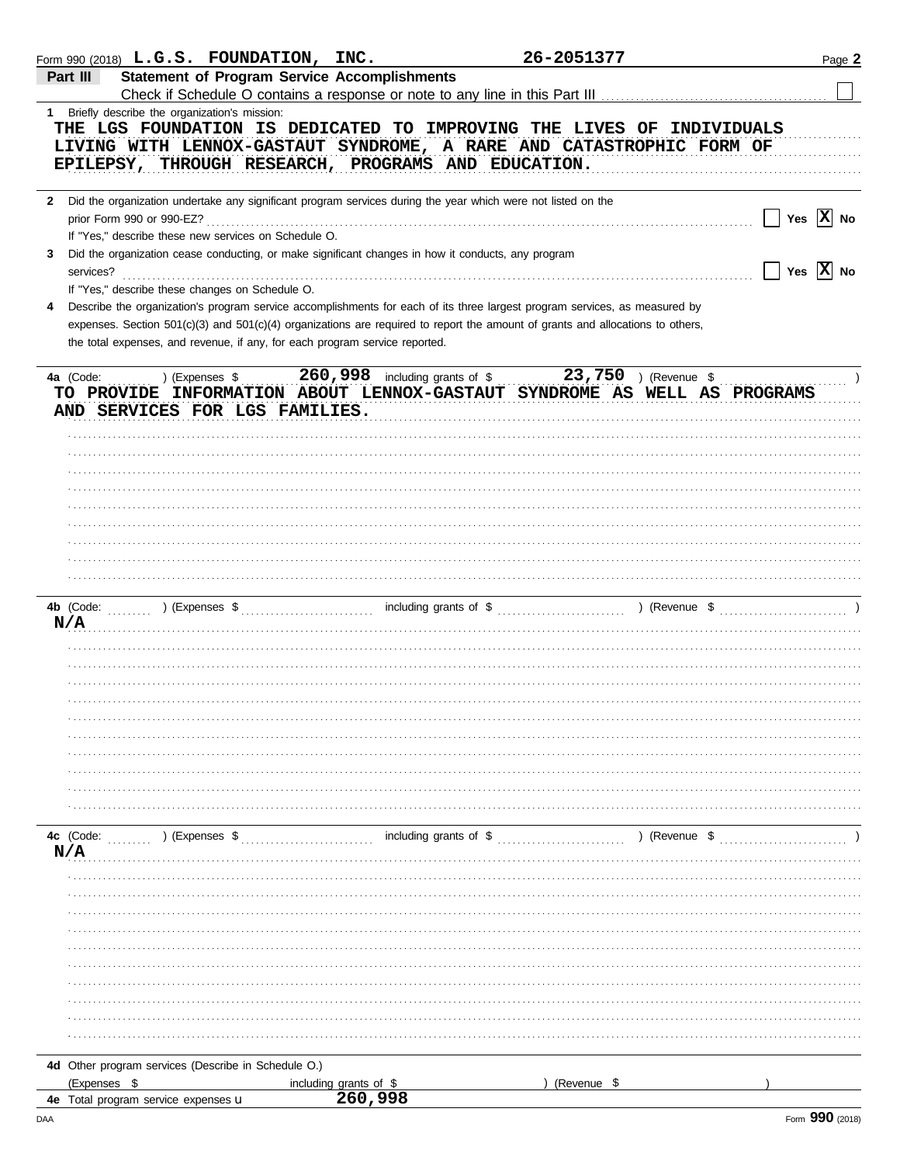|              | Form 990 (2018) $L.G.S.$ FOUNDATION, INC.                                                                                                                 |                                   |                                                     | 26-2051377    |            | Page 2 |
|--------------|-----------------------------------------------------------------------------------------------------------------------------------------------------------|-----------------------------------|-----------------------------------------------------|---------------|------------|--------|
|              | <b>Statement of Program Service Accomplishments</b><br>Part III                                                                                           |                                   |                                                     |               |            |        |
|              |                                                                                                                                                           |                                   |                                                     |               |            |        |
|              | 1 Briefly describe the organization's mission:                                                                                                            |                                   |                                                     |               |            |        |
|              | THE LGS FOUNDATION IS DEDICATED TO IMPROVING THE LIVES OF INDIVIDUALS                                                                                     |                                   |                                                     |               |            |        |
|              |                                                                                                                                                           |                                   |                                                     |               |            |        |
|              | LIVING WITH LENNOX-GASTAUT SYNDROME, A RARE AND CATASTROPHIC FORM OF                                                                                      |                                   |                                                     |               |            |        |
|              | EPILEPSY, THROUGH RESEARCH, PROGRAMS AND EDUCATION.                                                                                                       |                                   |                                                     |               |            |        |
|              |                                                                                                                                                           |                                   |                                                     |               |            |        |
| $\mathbf{2}$ | Did the organization undertake any significant program services during the year which were not listed on the                                              |                                   |                                                     |               |            |        |
|              | prior Form 990 or 990-EZ?                                                                                                                                 |                                   |                                                     |               | Yes $X$ No |        |
|              |                                                                                                                                                           |                                   |                                                     |               |            |        |
|              | If "Yes," describe these new services on Schedule O.                                                                                                      |                                   |                                                     |               |            |        |
| 3            | Did the organization cease conducting, or make significant changes in how it conducts, any program                                                        |                                   |                                                     |               |            |        |
|              | services?                                                                                                                                                 |                                   |                                                     |               | Yes $X$ No |        |
|              | If "Yes," describe these changes on Schedule O.                                                                                                           |                                   |                                                     |               |            |        |
| 4            | Describe the organization's program service accomplishments for each of its three largest program services, as measured by                                |                                   |                                                     |               |            |        |
|              | expenses. Section 501(c)(3) and 501(c)(4) organizations are required to report the amount of grants and allocations to others,                            |                                   |                                                     |               |            |        |
|              | the total expenses, and revenue, if any, for each program service reported.                                                                               |                                   |                                                     |               |            |        |
|              |                                                                                                                                                           |                                   |                                                     |               |            |        |
|              |                                                                                                                                                           |                                   |                                                     |               |            |        |
|              | 4a (Code:<br>) (Expenses \$                                                                                                                               |                                   | 260,998 including grants of \$ 23,750 ) (Revenue \$ |               |            |        |
|              | TO PROVIDE INFORMATION ABOUT LENNOX-GASTAUT SYNDROME AS WELL AS PROGRAMS                                                                                  |                                   |                                                     |               |            |        |
|              | AND SERVICES FOR LGS FAMILIES.                                                                                                                            |                                   |                                                     |               |            |        |
|              |                                                                                                                                                           |                                   |                                                     |               |            |        |
|              |                                                                                                                                                           |                                   |                                                     |               |            |        |
|              |                                                                                                                                                           |                                   |                                                     |               |            |        |
|              |                                                                                                                                                           |                                   |                                                     |               |            |        |
|              |                                                                                                                                                           |                                   |                                                     |               |            |        |
|              |                                                                                                                                                           |                                   |                                                     |               |            |        |
|              |                                                                                                                                                           |                                   |                                                     |               |            |        |
|              |                                                                                                                                                           |                                   |                                                     |               |            |        |
|              |                                                                                                                                                           |                                   |                                                     |               |            |        |
|              |                                                                                                                                                           |                                   |                                                     |               |            |        |
|              |                                                                                                                                                           |                                   |                                                     |               |            |        |
|              |                                                                                                                                                           |                                   |                                                     |               |            |        |
|              |                                                                                                                                                           |                                   |                                                     |               |            |        |
|              | N/A                                                                                                                                                       |                                   |                                                     |               |            |        |
|              |                                                                                                                                                           |                                   |                                                     |               |            |        |
|              |                                                                                                                                                           |                                   |                                                     |               |            |        |
|              |                                                                                                                                                           |                                   |                                                     |               |            |        |
|              |                                                                                                                                                           |                                   |                                                     |               |            |        |
|              |                                                                                                                                                           |                                   |                                                     |               |            |        |
|              |                                                                                                                                                           |                                   |                                                     |               |            |        |
|              |                                                                                                                                                           |                                   |                                                     |               |            |        |
|              |                                                                                                                                                           |                                   |                                                     |               |            |        |
|              |                                                                                                                                                           |                                   |                                                     |               |            |        |
|              |                                                                                                                                                           |                                   |                                                     |               |            |        |
|              |                                                                                                                                                           |                                   |                                                     |               |            |        |
|              |                                                                                                                                                           |                                   |                                                     |               |            |        |
|              |                                                                                                                                                           |                                   |                                                     |               |            |        |
|              | $\ldots$ (Expenses \$ $\ldots$ ) (Expenses \$ $\ldots$ and $\ldots$ including grants of \$ $\ldots$ $\ldots$ $\ldots$ ) (Revenue \$ $\ldots$<br>4c (Code: |                                   |                                                     |               |            |        |
|              | N/A                                                                                                                                                       |                                   |                                                     |               |            |        |
|              |                                                                                                                                                           |                                   |                                                     |               |            |        |
|              |                                                                                                                                                           |                                   |                                                     |               |            |        |
|              |                                                                                                                                                           |                                   |                                                     |               |            |        |
|              |                                                                                                                                                           |                                   |                                                     |               |            |        |
|              |                                                                                                                                                           |                                   |                                                     |               |            |        |
|              |                                                                                                                                                           |                                   |                                                     |               |            |        |
|              |                                                                                                                                                           |                                   |                                                     |               |            |        |
|              |                                                                                                                                                           |                                   |                                                     |               |            |        |
|              |                                                                                                                                                           |                                   |                                                     |               |            |        |
|              |                                                                                                                                                           |                                   |                                                     |               |            |        |
|              |                                                                                                                                                           |                                   |                                                     |               |            |        |
|              |                                                                                                                                                           |                                   |                                                     |               |            |        |
|              | 4d Other program services (Describe in Schedule O.)                                                                                                       |                                   |                                                     |               |            |        |
|              | (Expenses \$                                                                                                                                              |                                   |                                                     | ) (Revenue \$ |            |        |
|              |                                                                                                                                                           | including grants of \$<br>260,998 |                                                     |               |            |        |
|              | <b>4e</b> Total program service expenses <b>u</b>                                                                                                         |                                   |                                                     |               |            |        |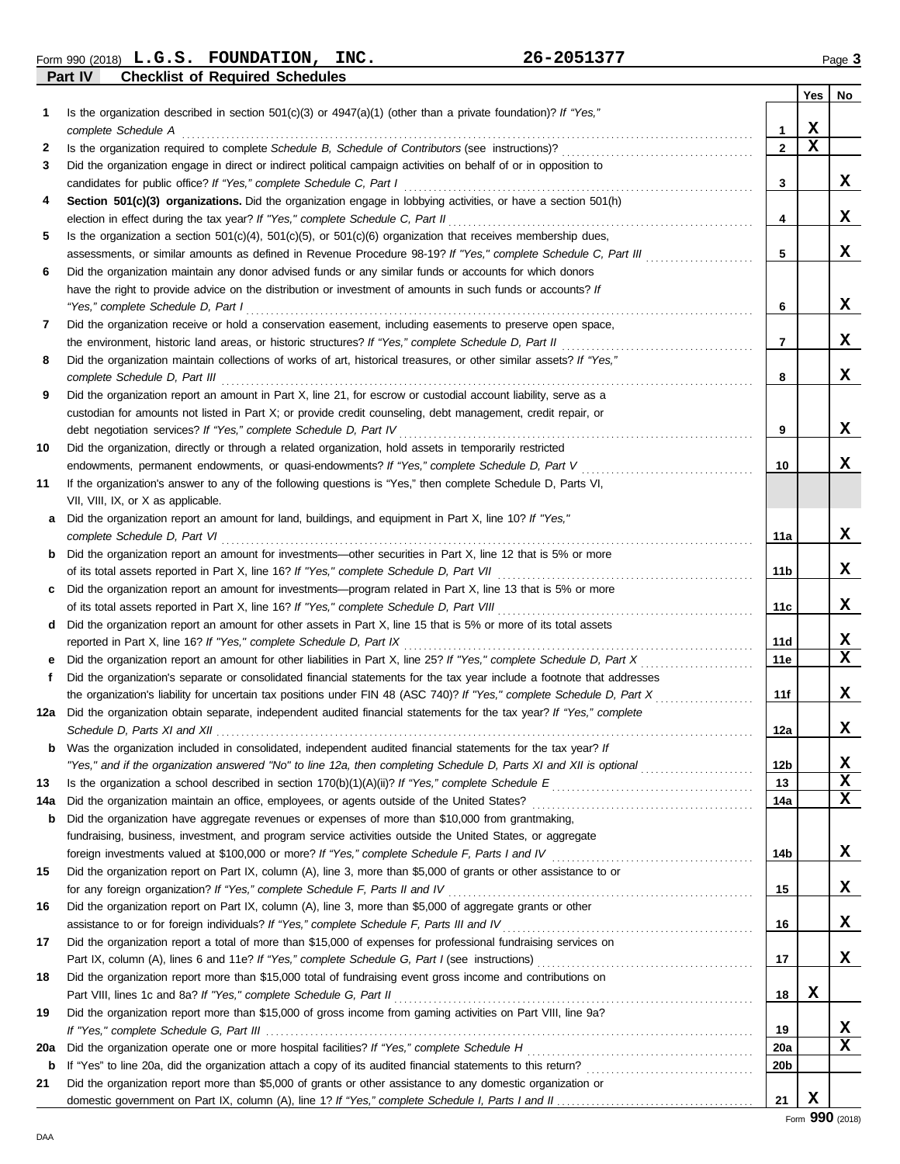**Part IV Checklist of Required Schedules** Form 990 (2018) Page **3 L.G.S. FOUNDATION, INC. 26-2051377**

|     |                                                                                                                                                                                                                             |              | <b>Yes</b> | No |
|-----|-----------------------------------------------------------------------------------------------------------------------------------------------------------------------------------------------------------------------------|--------------|------------|----|
| 1   | Is the organization described in section $501(c)(3)$ or $4947(a)(1)$ (other than a private foundation)? If "Yes,"                                                                                                           |              |            |    |
|     | complete Schedule A                                                                                                                                                                                                         | $\mathbf{1}$ | x          |    |
| 2   |                                                                                                                                                                                                                             | $\mathbf{2}$ | X          |    |
| 3   | Did the organization engage in direct or indirect political campaign activities on behalf of or in opposition to                                                                                                            |              |            |    |
|     |                                                                                                                                                                                                                             | 3            |            | X  |
| 4   | Section 501(c)(3) organizations. Did the organization engage in lobbying activities, or have a section 501(h)                                                                                                               |              |            |    |
|     |                                                                                                                                                                                                                             | 4            |            | X  |
| 5   | Is the organization a section $501(c)(4)$ , $501(c)(5)$ , or $501(c)(6)$ organization that receives membership dues,                                                                                                        |              |            |    |
|     | assessments, or similar amounts as defined in Revenue Procedure 98-19? If "Yes," complete Schedule C, Part III                                                                                                              | 5            |            | X  |
| 6   | Did the organization maintain any donor advised funds or any similar funds or accounts for which donors                                                                                                                     |              |            |    |
|     | have the right to provide advice on the distribution or investment of amounts in such funds or accounts? If                                                                                                                 |              |            |    |
|     | "Yes," complete Schedule D, Part I                                                                                                                                                                                          | 6            |            | X. |
| 7   | Did the organization receive or hold a conservation easement, including easements to preserve open space,                                                                                                                   |              |            |    |
|     |                                                                                                                                                                                                                             | 7            |            | X  |
| 8   | Did the organization maintain collections of works of art, historical treasures, or other similar assets? If "Yes,"                                                                                                         |              |            |    |
|     | complete Schedule D, Part III                                                                                                                                                                                               | 8            |            | X  |
| 9   | Did the organization report an amount in Part X, line 21, for escrow or custodial account liability, serve as a                                                                                                             |              |            |    |
|     | custodian for amounts not listed in Part X; or provide credit counseling, debt management, credit repair, or                                                                                                                |              |            | X. |
|     | debt negotiation services? If "Yes," complete Schedule D, Part IV<br>Did the organization, directly or through a related organization, hold assets in temporarily restricted                                                | 9            |            |    |
| 10  | endowments, permanent endowments, or quasi-endowments? If "Yes," complete Schedule D, Part V                                                                                                                                | 10           |            | X. |
| 11  | If the organization's answer to any of the following questions is "Yes," then complete Schedule D, Parts VI,                                                                                                                |              |            |    |
|     | VII, VIII, IX, or X as applicable.                                                                                                                                                                                          |              |            |    |
| a   | Did the organization report an amount for land, buildings, and equipment in Part X, line 10? If "Yes,"                                                                                                                      |              |            |    |
|     | complete Schedule D, Part VI                                                                                                                                                                                                | 11a          |            | X. |
| b   | Did the organization report an amount for investments—other securities in Part X, line 12 that is 5% or more                                                                                                                |              |            |    |
|     |                                                                                                                                                                                                                             | 11b          |            | X  |
| c   | Did the organization report an amount for investments—program related in Part X, line 13 that is 5% or more                                                                                                                 |              |            |    |
|     | of its total assets reported in Part X, line 16? If "Yes," complete Schedule D, Part VIII [[[[[[[[[[[[[[[[[[[[                                                                                                              | 11c          |            | X  |
| d   | Did the organization report an amount for other assets in Part X, line 15 that is 5% or more of its total assets                                                                                                            |              |            |    |
|     | reported in Part X, line 16? If "Yes," complete Schedule D, Part IX                                                                                                                                                         | 11d          |            | X  |
| е   | Did the organization report an amount for other liabilities in Part X, line 25? If "Yes," complete Schedule D, Part X                                                                                                       | 11e          |            | x  |
| f   | Did the organization's separate or consolidated financial statements for the tax year include a footnote that addresses                                                                                                     |              |            |    |
|     | the organization's liability for uncertain tax positions under FIN 48 (ASC 740)? If "Yes," complete Schedule D, Part X                                                                                                      | 11f          |            | X  |
| 12a | Did the organization obtain separate, independent audited financial statements for the tax year? If "Yes," complete                                                                                                         |              |            |    |
|     |                                                                                                                                                                                                                             | 12a          |            | x  |
| b   | Was the organization included in consolidated, independent audited financial statements for the tax year? If                                                                                                                |              |            |    |
|     | "Yes," and if the organization answered "No" to line 12a, then completing Schedule D, Parts XI and XII is optional <i>commumeration</i>                                                                                     | 12b          |            | X  |
| 13  |                                                                                                                                                                                                                             | 13           |            | x  |
| 14a |                                                                                                                                                                                                                             | 14a          |            | x  |
| b   | Did the organization have aggregate revenues or expenses of more than \$10,000 from grantmaking,                                                                                                                            |              |            |    |
|     | fundraising, business, investment, and program service activities outside the United States, or aggregate<br>foreign investments valued at \$100,000 or more? If "Yes," complete Schedule F, Parts I and IV [[[[[[[[[[[[[[[ | 14b          |            | x  |
| 15  | Did the organization report on Part IX, column (A), line 3, more than \$5,000 of grants or other assistance to or                                                                                                           |              |            |    |
|     |                                                                                                                                                                                                                             | 15           |            | x  |
| 16  | Did the organization report on Part IX, column (A), line 3, more than \$5,000 of aggregate grants or other                                                                                                                  |              |            |    |
|     |                                                                                                                                                                                                                             | 16           |            | x  |
| 17  | Did the organization report a total of more than \$15,000 of expenses for professional fundraising services on                                                                                                              |              |            |    |
|     |                                                                                                                                                                                                                             | 17           |            | x  |
| 18  | Did the organization report more than \$15,000 total of fundraising event gross income and contributions on                                                                                                                 |              |            |    |
|     |                                                                                                                                                                                                                             | 18           | X          |    |
| 19  | Did the organization report more than \$15,000 of gross income from gaming activities on Part VIII, line 9a?                                                                                                                |              |            |    |
|     |                                                                                                                                                                                                                             | 19           |            | X  |
| 20a |                                                                                                                                                                                                                             | <b>20a</b>   |            | x  |
| b   |                                                                                                                                                                                                                             | 20b          |            |    |
| 21  | Did the organization report more than \$5,000 of grants or other assistance to any domestic organization or                                                                                                                 |              |            |    |
|     |                                                                                                                                                                                                                             | 21           | X          |    |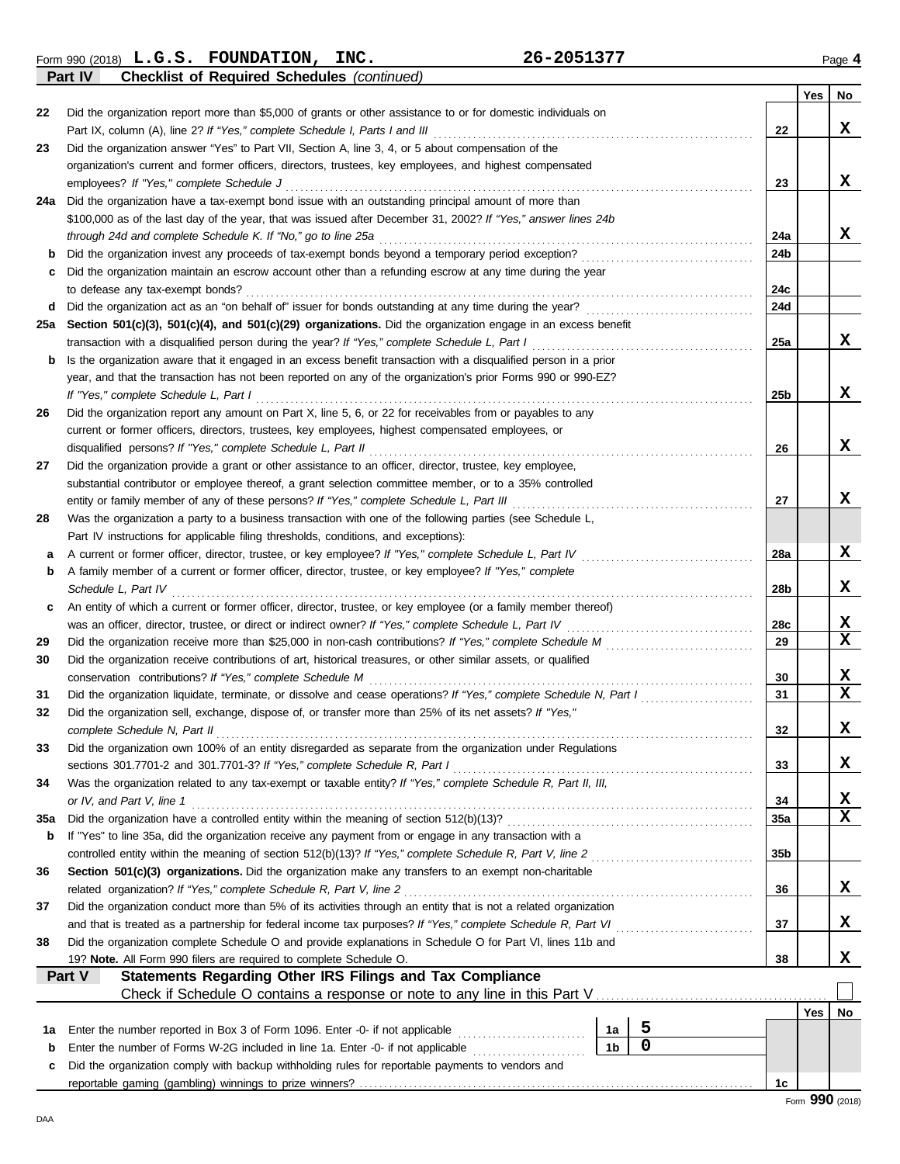Form 990 (2018) Page **4 L.G.S. FOUNDATION, INC. 26-2051377 Part IV Checklist of Required Schedules** *(continued)*

|          |                                                                                                                                                                                  |                 | Yes | No              |
|----------|----------------------------------------------------------------------------------------------------------------------------------------------------------------------------------|-----------------|-----|-----------------|
| 22       | Did the organization report more than \$5,000 of grants or other assistance to or for domestic individuals on                                                                    |                 |     |                 |
|          | Part IX, column (A), line 2? If "Yes," complete Schedule I, Parts I and III [[11]]                                                                                               | 22              |     | X.              |
| 23       | Did the organization answer "Yes" to Part VII, Section A, line 3, 4, or 5 about compensation of the                                                                              |                 |     |                 |
|          | organization's current and former officers, directors, trustees, key employees, and highest compensated                                                                          |                 |     |                 |
|          | employees? If "Yes," complete Schedule J                                                                                                                                         | 23              |     | x               |
| 24a      | Did the organization have a tax-exempt bond issue with an outstanding principal amount of more than                                                                              |                 |     |                 |
|          | \$100,000 as of the last day of the year, that was issued after December 31, 2002? If "Yes," answer lines 24b                                                                    |                 |     |                 |
|          |                                                                                                                                                                                  | 24a             |     | X               |
| b        | Did the organization maintain an escrow account other than a refunding escrow at any time during the year                                                                        | 24b             |     |                 |
| c        | to defease any tax-exempt bonds?                                                                                                                                                 | 24c             |     |                 |
| d        |                                                                                                                                                                                  | 24d             |     |                 |
| 25a      | Section 501(c)(3), 501(c)(4), and 501(c)(29) organizations. Did the organization engage in an excess benefit                                                                     |                 |     |                 |
|          | transaction with a disqualified person during the year? If "Yes," complete Schedule L, Part I                                                                                    | 25a             |     | X               |
| b        | Is the organization aware that it engaged in an excess benefit transaction with a disqualified person in a prior                                                                 |                 |     |                 |
|          | year, and that the transaction has not been reported on any of the organization's prior Forms 990 or 990-EZ?                                                                     |                 |     |                 |
|          | If "Yes," complete Schedule L, Part I                                                                                                                                            | 25b             |     | X               |
| 26       | Did the organization report any amount on Part X, line 5, 6, or 22 for receivables from or payables to any                                                                       |                 |     |                 |
|          | current or former officers, directors, trustees, key employees, highest compensated employees, or                                                                                |                 |     |                 |
|          | disqualified persons? If "Yes," complete Schedule L, Part II                                                                                                                     | 26              |     | x               |
| 27       | Did the organization provide a grant or other assistance to an officer, director, trustee, key employee,                                                                         |                 |     |                 |
|          | substantial contributor or employee thereof, a grant selection committee member, or to a 35% controlled                                                                          |                 |     |                 |
|          |                                                                                                                                                                                  | 27              |     | X.              |
| 28       | Was the organization a party to a business transaction with one of the following parties (see Schedule L,                                                                        |                 |     |                 |
|          | Part IV instructions for applicable filing thresholds, conditions, and exceptions):                                                                                              |                 |     |                 |
| а        | A current or former officer, director, trustee, or key employee? If "Yes," complete Schedule L, Part IV                                                                          | 28а             |     | x               |
| b        | A family member of a current or former officer, director, trustee, or key employee? If "Yes," complete                                                                           |                 |     |                 |
|          | Schedule L, Part IV                                                                                                                                                              | 28b             |     | x               |
| c        | An entity of which a current or former officer, director, trustee, or key employee (or a family member thereof)                                                                  |                 |     | x               |
|          |                                                                                                                                                                                  | 28с<br>29       |     | X               |
| 29<br>30 | Did the organization receive contributions of art, historical treasures, or other similar assets, or qualified                                                                   |                 |     |                 |
|          | conservation contributions? If "Yes," complete Schedule M                                                                                                                        | 30              |     | X.              |
| 31       |                                                                                                                                                                                  | 31              |     | $\mathbf x$     |
| 32       | Did the organization sell, exchange, dispose of, or transfer more than 25% of its net assets? If "Yes,"                                                                          |                 |     |                 |
|          | complete Schedule N, Part II                                                                                                                                                     | 32              |     | x               |
| 33       | Did the organization own 100% of an entity disregarded as separate from the organization under Regulations                                                                       |                 |     |                 |
|          | sections 301.7701-2 and 301.7701-3? If "Yes," complete Schedule R, Part I                                                                                                        | 33              |     | X.              |
| 34       | Was the organization related to any tax-exempt or taxable entity? If "Yes," complete Schedule R, Part II, III,                                                                   |                 |     |                 |
|          | or IV, and Part V, line 1                                                                                                                                                        | 34              |     | X.              |
| 35a      |                                                                                                                                                                                  | 35a             |     | X               |
| b        | If "Yes" to line 35a, did the organization receive any payment from or engage in any transaction with a                                                                          |                 |     |                 |
|          |                                                                                                                                                                                  | 35 <sub>b</sub> |     |                 |
| 36       | Section 501(c)(3) organizations. Did the organization make any transfers to an exempt non-charitable                                                                             |                 |     |                 |
|          | related organization? If "Yes," complete Schedule R, Part V, line 2                                                                                                              | 36              |     | X               |
| 37       | Did the organization conduct more than 5% of its activities through an entity that is not a related organization                                                                 |                 |     |                 |
|          |                                                                                                                                                                                  | 37              |     | X               |
| 38       | Did the organization complete Schedule O and provide explanations in Schedule O for Part VI, lines 11b and<br>19? Note. All Form 990 filers are required to complete Schedule O. | 38              |     | x               |
|          | <b>Statements Regarding Other IRS Filings and Tax Compliance</b><br>Part V                                                                                                       |                 |     |                 |
|          |                                                                                                                                                                                  |                 |     |                 |
|          |                                                                                                                                                                                  |                 | Yes | No              |
| 1а       | 5<br>Enter the number reported in Box 3 of Form 1096. Enter -0- if not applicable [<br>1a                                                                                        |                 |     |                 |
| b        | $\mathbf 0$<br>1 <sub>b</sub><br>Enter the number of Forms W-2G included in line 1a. Enter -0- if not applicable                                                                 |                 |     |                 |
| c        | Did the organization comply with backup withholding rules for reportable payments to vendors and                                                                                 |                 |     |                 |
|          |                                                                                                                                                                                  | 1c              |     |                 |
|          |                                                                                                                                                                                  |                 |     | Form 990 (2018) |

DAA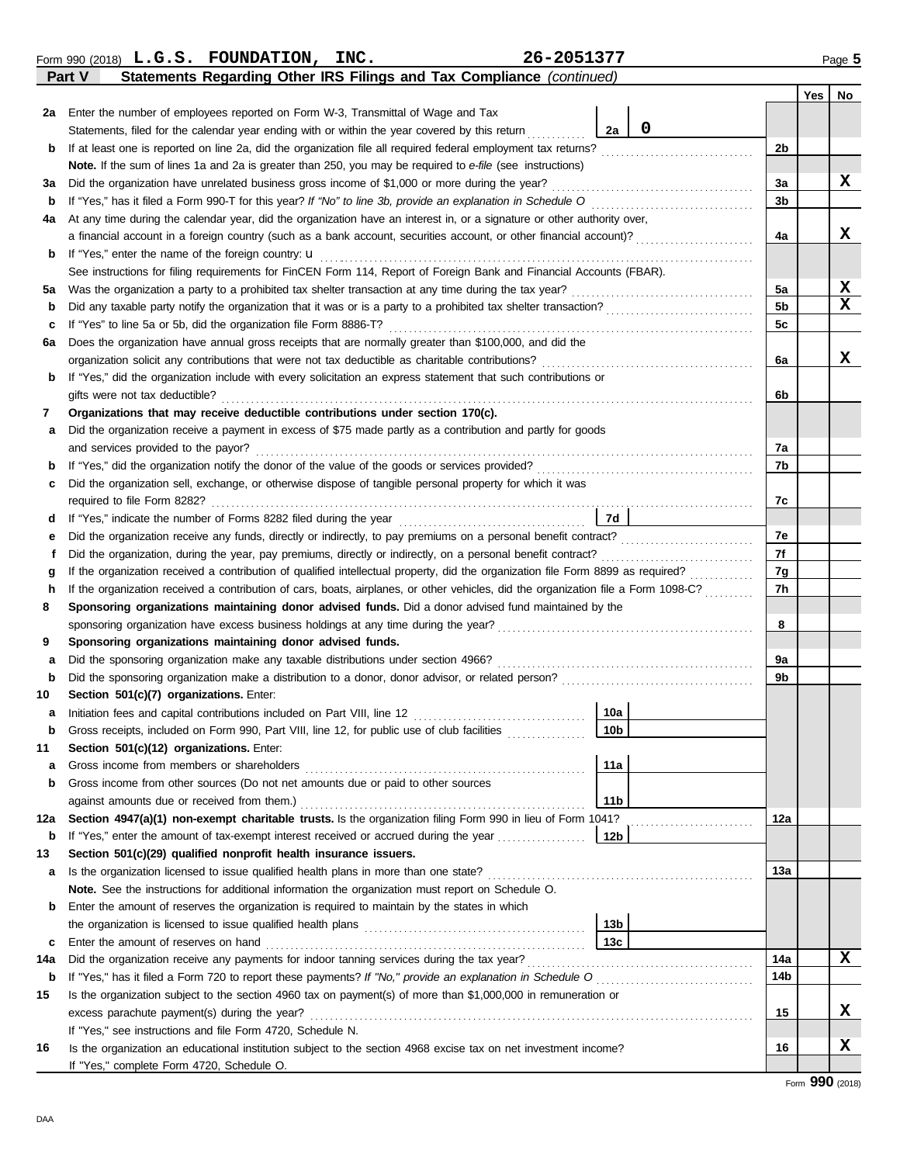|     | Form 990 (2018) L.G.S. FOUNDATION, INC.<br>26-2051377<br>Statements Regarding Other IRS Filings and Tax Compliance (continued)<br>Part V                                                                                                          |                |     | Page $5$ |
|-----|---------------------------------------------------------------------------------------------------------------------------------------------------------------------------------------------------------------------------------------------------|----------------|-----|----------|
|     |                                                                                                                                                                                                                                                   |                | Yes | No       |
|     | 2a Enter the number of employees reported on Form W-3, Transmittal of Wage and Tax                                                                                                                                                                |                |     |          |
|     | 0<br>Statements, filed for the calendar year ending with or within the year covered by this return<br>2a                                                                                                                                          |                |     |          |
| b   |                                                                                                                                                                                                                                                   | 2 <sub>b</sub> |     |          |
|     | Note. If the sum of lines 1a and 2a is greater than 250, you may be required to e-file (see instructions)                                                                                                                                         |                |     |          |
| За  |                                                                                                                                                                                                                                                   | 3a             |     | x        |
| b   |                                                                                                                                                                                                                                                   | 3b             |     |          |
| 4a  | At any time during the calendar year, did the organization have an interest in, or a signature or other authority over,                                                                                                                           |                |     |          |
|     |                                                                                                                                                                                                                                                   | 4a             |     | x        |
| b   | If "Yes," enter the name of the foreign country: <b>u</b>                                                                                                                                                                                         |                |     |          |
|     | See instructions for filing requirements for FinCEN Form 114, Report of Foreign Bank and Financial Accounts (FBAR).                                                                                                                               |                |     |          |
| 5а  |                                                                                                                                                                                                                                                   | 5a             |     | X        |
| b   |                                                                                                                                                                                                                                                   | 5b             |     | x        |
| c   |                                                                                                                                                                                                                                                   | 5c             |     |          |
| 6а  | Does the organization have annual gross receipts that are normally greater than \$100,000, and did the                                                                                                                                            |                |     |          |
|     |                                                                                                                                                                                                                                                   | 6a             |     | x.       |
| b   | If "Yes," did the organization include with every solicitation an express statement that such contributions or                                                                                                                                    |                |     |          |
|     | gifts were not tax deductible?                                                                                                                                                                                                                    | 6b             |     |          |
| 7   | Organizations that may receive deductible contributions under section 170(c).                                                                                                                                                                     |                |     |          |
| а   | Did the organization receive a payment in excess of \$75 made partly as a contribution and partly for goods                                                                                                                                       |                |     |          |
|     | and services provided to the payor?                                                                                                                                                                                                               | 7a             |     |          |
| b   |                                                                                                                                                                                                                                                   | 7b             |     |          |
| c   | Did the organization sell, exchange, or otherwise dispose of tangible personal property for which it was                                                                                                                                          |                |     |          |
|     |                                                                                                                                                                                                                                                   | 7c             |     |          |
| d   |                                                                                                                                                                                                                                                   |                |     |          |
| е   |                                                                                                                                                                                                                                                   | 7e             |     |          |
| f   |                                                                                                                                                                                                                                                   | 7f             |     |          |
| g   |                                                                                                                                                                                                                                                   | 7g             |     |          |
| h   | If the organization received a contribution of cars, boats, airplanes, or other vehicles, did the organization file a Form 1098-C?                                                                                                                | 7h             |     |          |
| 8   | Sponsoring organizations maintaining donor advised funds. Did a donor advised fund maintained by the                                                                                                                                              |                |     |          |
|     |                                                                                                                                                                                                                                                   | 8              |     |          |
| 9   | Sponsoring organizations maintaining donor advised funds.                                                                                                                                                                                         |                |     |          |
| a   |                                                                                                                                                                                                                                                   | 9a             |     |          |
| b   |                                                                                                                                                                                                                                                   | 9b             |     |          |
| 10  | Section 501(c)(7) organizations. Enter:                                                                                                                                                                                                           |                |     |          |
| a   | 10a                                                                                                                                                                                                                                               |                |     |          |
| b   | 10 <sub>b</sub><br>Gross receipts, included on Form 990, Part VIII, line 12, for public use of club facilities                                                                                                                                    |                |     |          |
| 11  | Section 501(c)(12) organizations. Enter:                                                                                                                                                                                                          |                |     |          |
| a   | 11a                                                                                                                                                                                                                                               |                |     |          |
| b   | Gross income from other sources (Do not net amounts due or paid to other sources                                                                                                                                                                  |                |     |          |
|     | 11b                                                                                                                                                                                                                                               |                |     |          |
| 12a | Section 4947(a)(1) non-exempt charitable trusts. Is the organization filing Form 990 in lieu of Form 1041?                                                                                                                                        | 12a            |     |          |
| b   |                                                                                                                                                                                                                                                   |                |     |          |
| 13  | Section 501(c)(29) qualified nonprofit health insurance issuers.                                                                                                                                                                                  |                |     |          |
| а   |                                                                                                                                                                                                                                                   | 13a            |     |          |
|     | Note. See the instructions for additional information the organization must report on Schedule O.                                                                                                                                                 |                |     |          |
| b   | Enter the amount of reserves the organization is required to maintain by the states in which                                                                                                                                                      |                |     |          |
|     | 13 <sub>b</sub><br>the organization is licensed to issue qualified health plans [11] contains the organization is licensed to issue qualified health plans [11] contains the organization is licensed to issue qualities beam in the original sta |                |     |          |
| c   | 13с                                                                                                                                                                                                                                               |                |     | v        |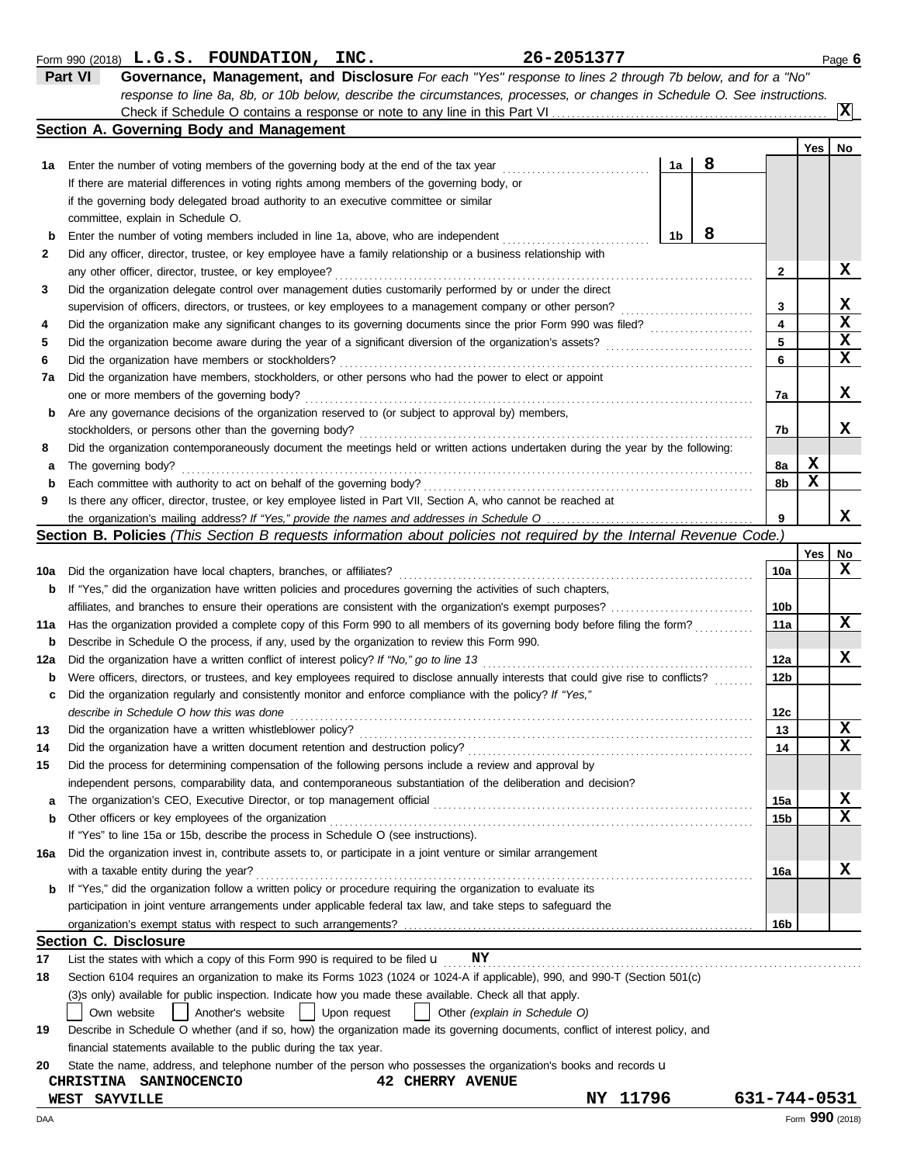|     | response to line 8a, 8b, or 10b below, describe the circumstances, processes, or changes in Schedule O. See instructions.                             |    |   |              |                 | X  |  |  |  |  |  |  |
|-----|-------------------------------------------------------------------------------------------------------------------------------------------------------|----|---|--------------|-----------------|----|--|--|--|--|--|--|
|     | Section A. Governing Body and Management                                                                                                              |    |   |              |                 |    |  |  |  |  |  |  |
|     |                                                                                                                                                       |    |   |              | Yes             | No |  |  |  |  |  |  |
| 1a  | Enter the number of voting members of the governing body at the end of the tax year                                                                   | 1a | 8 |              |                 |    |  |  |  |  |  |  |
|     | If there are material differences in voting rights among members of the governing body, or                                                            |    |   |              |                 |    |  |  |  |  |  |  |
|     | if the governing body delegated broad authority to an executive committee or similar                                                                  |    |   |              |                 |    |  |  |  |  |  |  |
|     | committee, explain in Schedule O.                                                                                                                     |    |   |              |                 |    |  |  |  |  |  |  |
| b   | Enter the number of voting members included in line 1a, above, who are independent                                                                    | 1b | 8 |              |                 |    |  |  |  |  |  |  |
| 2   | Did any officer, director, trustee, or key employee have a family relationship or a business relationship with                                        |    |   |              |                 |    |  |  |  |  |  |  |
|     | any other officer, director, trustee, or key employee?                                                                                                |    |   | 2            |                 | x  |  |  |  |  |  |  |
| 3   | Did the organization delegate control over management duties customarily performed by or under the direct                                             |    |   |              |                 | х  |  |  |  |  |  |  |
|     | supervision of officers, directors, or trustees, or key employees to a management company or other person?                                            |    |   | 3<br>4       |                 | X  |  |  |  |  |  |  |
| 4   |                                                                                                                                                       |    |   | 5            |                 | X  |  |  |  |  |  |  |
| 5   | Did the organization have members or stockholders?                                                                                                    |    |   |              |                 |    |  |  |  |  |  |  |
| 6   |                                                                                                                                                       |    |   | 6            |                 | X  |  |  |  |  |  |  |
| 7a  | Did the organization have members, stockholders, or other persons who had the power to elect or appoint<br>one or more members of the governing body? |    |   | 7a           |                 | x  |  |  |  |  |  |  |
|     | Are any governance decisions of the organization reserved to (or subject to approval by) members,                                                     |    |   |              |                 |    |  |  |  |  |  |  |
| b   | stockholders, or persons other than the governing body?                                                                                               |    |   | 7b           |                 | x  |  |  |  |  |  |  |
| 8   | Did the organization contemporaneously document the meetings held or written actions undertaken during the year by the following:                     |    |   |              |                 |    |  |  |  |  |  |  |
| а   | The governing body?                                                                                                                                   |    |   | 8a           | x               |    |  |  |  |  |  |  |
| b   | Each committee with authority to act on behalf of the governing body?                                                                                 |    |   | 8b           | X               |    |  |  |  |  |  |  |
| 9   | Is there any officer, director, trustee, or key employee listed in Part VII, Section A, who cannot be reached at                                      |    |   |              |                 |    |  |  |  |  |  |  |
|     |                                                                                                                                                       |    |   | 9            |                 | x  |  |  |  |  |  |  |
|     | Section B. Policies (This Section B requests information about policies not required by the Internal Revenue Code.)                                   |    |   |              |                 |    |  |  |  |  |  |  |
|     |                                                                                                                                                       |    |   |              | Yes             | No |  |  |  |  |  |  |
| 10a | Did the organization have local chapters, branches, or affiliates?                                                                                    |    |   | 10a          |                 | x  |  |  |  |  |  |  |
| b   | If "Yes," did the organization have written policies and procedures governing the activities of such chapters,                                        |    |   |              |                 |    |  |  |  |  |  |  |
|     | affiliates, and branches to ensure their operations are consistent with the organization's exempt purposes?                                           |    |   |              |                 |    |  |  |  |  |  |  |
| 11a | Has the organization provided a complete copy of this Form 990 to all members of its governing body before filing the form?                           |    |   |              |                 |    |  |  |  |  |  |  |
| b   | Describe in Schedule O the process, if any, used by the organization to review this Form 990.                                                         |    |   |              |                 |    |  |  |  |  |  |  |
| 12a | Did the organization have a written conflict of interest policy? If "No," go to line 13                                                               |    |   | 12a          |                 | x  |  |  |  |  |  |  |
| b   | Were officers, directors, or trustees, and key employees required to disclose annually interests that could give rise to conflicts?                   |    |   | 12b          |                 |    |  |  |  |  |  |  |
| с   | Did the organization regularly and consistently monitor and enforce compliance with the policy? If "Yes,"                                             |    |   |              |                 |    |  |  |  |  |  |  |
|     | describe in Schedule O how this was done                                                                                                              |    |   | 12c          |                 |    |  |  |  |  |  |  |
| 13  |                                                                                                                                                       |    |   | 13           |                 | x  |  |  |  |  |  |  |
| 14  | Did the organization have a written document retention and destruction policy?                                                                        |    |   | 14           |                 | X  |  |  |  |  |  |  |
| 15  | Did the process for determining compensation of the following persons include a review and approval by                                                |    |   |              |                 |    |  |  |  |  |  |  |
|     | independent persons, comparability data, and contemporaneous substantiation of the deliberation and decision?                                         |    |   |              |                 |    |  |  |  |  |  |  |
| а   |                                                                                                                                                       |    |   | 15a          |                 | X  |  |  |  |  |  |  |
| b   | Other officers or key employees of the organization                                                                                                   |    |   | 15b          |                 | x  |  |  |  |  |  |  |
|     | If "Yes" to line 15a or 15b, describe the process in Schedule O (see instructions).                                                                   |    |   |              |                 |    |  |  |  |  |  |  |
| 16a | Did the organization invest in, contribute assets to, or participate in a joint venture or similar arrangement                                        |    |   |              |                 |    |  |  |  |  |  |  |
|     | with a taxable entity during the year?                                                                                                                |    |   | 16a          |                 | X  |  |  |  |  |  |  |
| b   | If "Yes," did the organization follow a written policy or procedure requiring the organization to evaluate its                                        |    |   |              |                 |    |  |  |  |  |  |  |
|     | participation in joint venture arrangements under applicable federal tax law, and take steps to safeguard the                                         |    |   |              |                 |    |  |  |  |  |  |  |
|     |                                                                                                                                                       |    |   | 16b          |                 |    |  |  |  |  |  |  |
| 17  | <b>Section C. Disclosure</b><br>List the states with which a copy of this Form 990 is required to be filed $\mathbf{u}$ NY                            |    |   |              |                 |    |  |  |  |  |  |  |
| 18  | Section 6104 requires an organization to make its Forms 1023 (1024 or 1024-A if applicable), 990, and 990-T (Section 501(c)                           |    |   |              |                 |    |  |  |  |  |  |  |
|     | (3)s only) available for public inspection. Indicate how you made these available. Check all that apply.                                              |    |   |              |                 |    |  |  |  |  |  |  |
|     | Another's website<br>Upon request<br>Own website<br>Other (explain in Schedule O)                                                                     |    |   |              |                 |    |  |  |  |  |  |  |
| 19  | Describe in Schedule O whether (and if so, how) the organization made its governing documents, conflict of interest policy, and                       |    |   |              |                 |    |  |  |  |  |  |  |
|     | financial statements available to the public during the tax year.                                                                                     |    |   |              |                 |    |  |  |  |  |  |  |
| 20  | State the name, address, and telephone number of the person who possesses the organization's books and records u                                      |    |   |              |                 |    |  |  |  |  |  |  |
|     | CHRISTINA SANINOCENCIO<br><b>42 CHERRY AVENUE</b>                                                                                                     |    |   |              |                 |    |  |  |  |  |  |  |
|     | NY 11796<br>WEST SAYVILLE                                                                                                                             |    |   | 631-744-0531 |                 |    |  |  |  |  |  |  |
| DAA |                                                                                                                                                       |    |   |              | Form 990 (2018) |    |  |  |  |  |  |  |

Form 990 (2018) Page **6 L.G.S. FOUNDATION, INC. 26-2051377**

**Part VI Governance, Management, and Disclosure** *For each "Yes" response to lines 2 through 7b below, and for a "No"*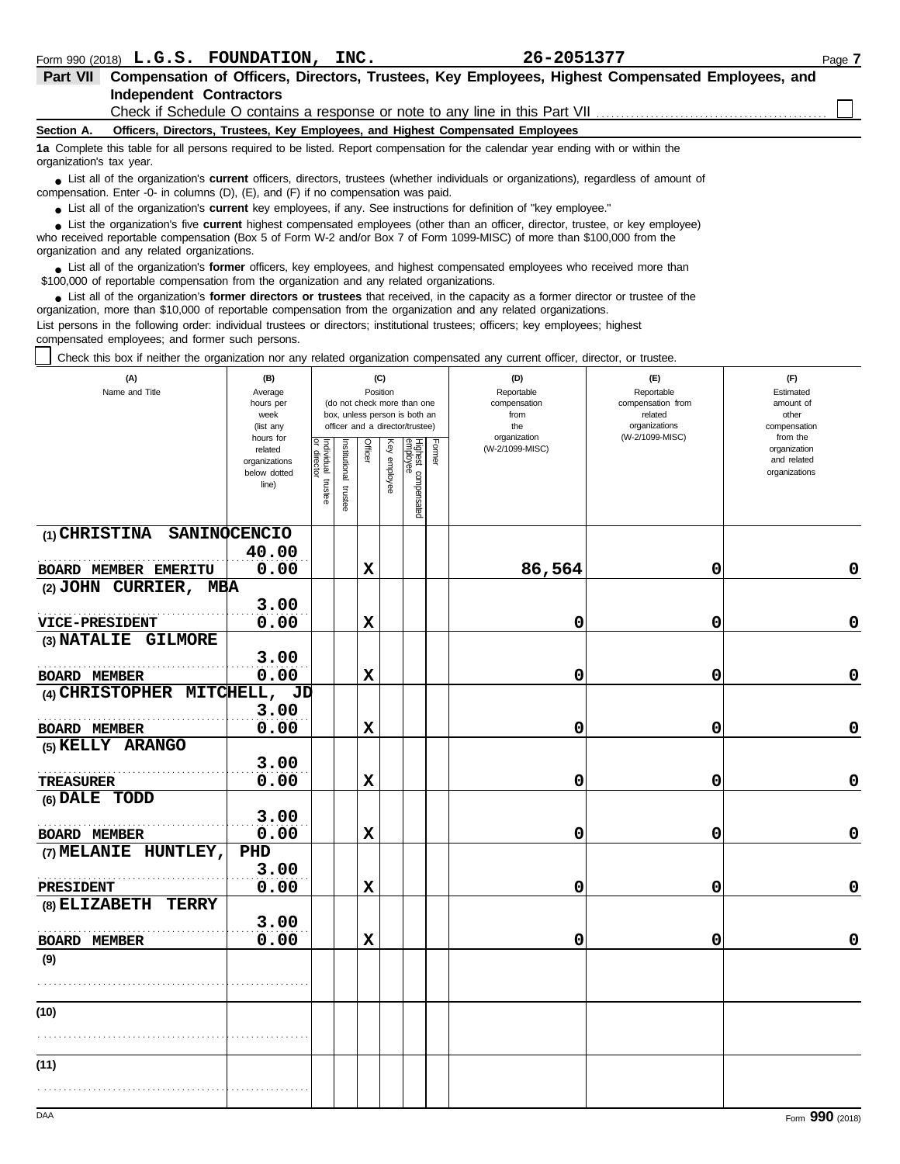|            | Part VII Compensation of Officers, Directors, Trustees, Key Employees, Highest Compensated Employees, and                                                                                                                                |
|------------|------------------------------------------------------------------------------------------------------------------------------------------------------------------------------------------------------------------------------------------|
|            | Independent Contractors                                                                                                                                                                                                                  |
|            | Check if Schedule O contains a response or note to any line in this Part VII                                                                                                                                                             |
| Section A. | Officers, Directors, Trustees, Key Employees, and Highest Compensated Employees                                                                                                                                                          |
|            | $\blacktriangle$ . Associated to the following construction of the figure of the second contract of the second through the figure of the figure of the figure of the figure of the figure of the figure of the figure of the figure of t |

**1a** Complete this table for all persons required to be listed. Report compensation for the calendar year ending with or within the organization's tax year.

■ List all of the organization's **current** officers, directors, trustees (whether individuals or organizations), regardless of amount of compensation. Enter -0- in columns (D), (E), and (F) if no compensation was paid.

● List all of the organization's **current** key employees, if any. See instructions for definition of "key employee."

who received reportable compensation (Box 5 of Form W-2 and/or Box 7 of Form 1099-MISC) of more than \$100,000 from the organization and any related organizations. ■ List the organization's five **current** highest compensated employees (other than an officer, director, trustee, or key employee)<br> **•** Preceived reportable compensation (Box 5 of Ferm W 2 and/or Box 7 of Ferm 1000 MISC)

■ List all of the organization's **former** officers, key employees, and highest compensated employees who received more than<br> **•** 00.000 of reportable compensation from the examization and any related examizations \$100,000 of reportable compensation from the organization and any related organizations.

■ List all of the organization's **former directors or trustees** that received, in the capacity as a former director or trustee of the practization more than \$10,000 of reportable compensation from the organization and any organization, more than \$10,000 of reportable compensation from the organization and any related organizations. List persons in the following order: individual trustees or directors; institutional trustees; officers; key employees; highest compensated employees; and former such persons.

Check this box if neither the organization nor any related organization compensated any current officer, director, or trustee.

| (A)<br>Name and Title                        | (B)<br>Average<br>hours per<br>week<br>(list any<br>hours for |                                   |                          | (C)<br>Position |              | (do not check more than one<br>box, unless person is both an<br>officer and a director/trustee) |        | (D)<br>Reportable<br>compensation<br>from<br>the<br>organization | (E)<br>Reportable<br>compensation from<br>related<br>organizations<br>(W-2/1099-MISC) | (F)<br>Estimated<br>amount of<br>other<br>compensation<br>from the |
|----------------------------------------------|---------------------------------------------------------------|-----------------------------------|--------------------------|-----------------|--------------|-------------------------------------------------------------------------------------------------|--------|------------------------------------------------------------------|---------------------------------------------------------------------------------------|--------------------------------------------------------------------|
|                                              | related<br>organizations<br>below dotted<br>line)             | Individual trustee<br>or director | Institutional<br>trustee | Officer         | Key employee | Highest compensated<br>employee                                                                 | Former | (W-2/1099-MISC)                                                  |                                                                                       | organization<br>and related<br>organizations                       |
| (1) CHRISTINA SANINOCENCIO                   |                                                               |                                   |                          |                 |              |                                                                                                 |        |                                                                  |                                                                                       |                                                                    |
| <b>BOARD MEMBER EMERITU</b>                  | 40.00<br>0.00                                                 |                                   |                          | $\mathbf x$     |              |                                                                                                 |        | 86,564                                                           | 0                                                                                     | 0                                                                  |
| (2) JOHN CURRIER, MBA                        |                                                               |                                   |                          |                 |              |                                                                                                 |        |                                                                  |                                                                                       |                                                                    |
|                                              | 3.00                                                          |                                   |                          |                 |              |                                                                                                 |        |                                                                  |                                                                                       |                                                                    |
| <b>VICE-PRESIDENT</b>                        | 0.00                                                          |                                   |                          | $\mathbf x$     |              |                                                                                                 |        | 0                                                                | 0                                                                                     | $\mathbf 0$                                                        |
| (3) NATALIE GILMORE                          |                                                               |                                   |                          |                 |              |                                                                                                 |        |                                                                  |                                                                                       |                                                                    |
|                                              | 3.00                                                          |                                   |                          |                 |              |                                                                                                 |        |                                                                  |                                                                                       |                                                                    |
| BOARD MEMBER<br>(4) CHRISTOPHER MITCHELL, JD | 0.00                                                          |                                   |                          | X               |              |                                                                                                 |        | 0                                                                | 0                                                                                     | $\mathbf 0$                                                        |
|                                              | 3.00                                                          |                                   |                          |                 |              |                                                                                                 |        |                                                                  |                                                                                       |                                                                    |
| <b>BOARD MEMBER</b>                          | 0.00                                                          |                                   |                          | $\mathbf x$     |              |                                                                                                 |        | 0                                                                | 0                                                                                     | 0                                                                  |
| (5) KELLY ARANGO                             |                                                               |                                   |                          |                 |              |                                                                                                 |        |                                                                  |                                                                                       |                                                                    |
| TREASURER                                    | 3.00<br>0.00                                                  |                                   |                          | $\mathbf x$     |              |                                                                                                 |        | 0                                                                | 0                                                                                     | 0                                                                  |
| (6) DALE TODD                                |                                                               |                                   |                          |                 |              |                                                                                                 |        |                                                                  |                                                                                       |                                                                    |
|                                              | 3.00                                                          |                                   |                          |                 |              |                                                                                                 |        |                                                                  |                                                                                       |                                                                    |
| <b>BOARD MEMBER</b>                          | 0.00                                                          |                                   |                          | $\mathbf x$     |              |                                                                                                 |        | 0                                                                | 0                                                                                     | 0                                                                  |
| (7) MELANIE HUNTLEY,                         | PHD                                                           |                                   |                          |                 |              |                                                                                                 |        |                                                                  |                                                                                       |                                                                    |
| .                                            | 3.00                                                          |                                   |                          |                 |              |                                                                                                 |        |                                                                  |                                                                                       |                                                                    |
| <b>PRESIDENT</b>                             | 0.00                                                          |                                   |                          | $\mathbf x$     |              |                                                                                                 |        | 0                                                                | 0                                                                                     | 0                                                                  |
| (8) ELIZABETH<br><b>TERRY</b>                | 3.00                                                          |                                   |                          |                 |              |                                                                                                 |        |                                                                  |                                                                                       |                                                                    |
| <b>BOARD MEMBER</b>                          | 0.00                                                          |                                   |                          | $\mathbf x$     |              |                                                                                                 |        | 0                                                                | 0                                                                                     | $\mathbf 0$                                                        |
| (9)                                          |                                                               |                                   |                          |                 |              |                                                                                                 |        |                                                                  |                                                                                       |                                                                    |
|                                              |                                                               |                                   |                          |                 |              |                                                                                                 |        |                                                                  |                                                                                       |                                                                    |
|                                              |                                                               |                                   |                          |                 |              |                                                                                                 |        |                                                                  |                                                                                       |                                                                    |
| (10)                                         |                                                               |                                   |                          |                 |              |                                                                                                 |        |                                                                  |                                                                                       |                                                                    |
|                                              |                                                               |                                   |                          |                 |              |                                                                                                 |        |                                                                  |                                                                                       |                                                                    |
| (11)                                         |                                                               |                                   |                          |                 |              |                                                                                                 |        |                                                                  |                                                                                       |                                                                    |
|                                              |                                                               |                                   |                          |                 |              |                                                                                                 |        |                                                                  |                                                                                       |                                                                    |
|                                              |                                                               |                                   |                          |                 |              |                                                                                                 |        |                                                                  |                                                                                       |                                                                    |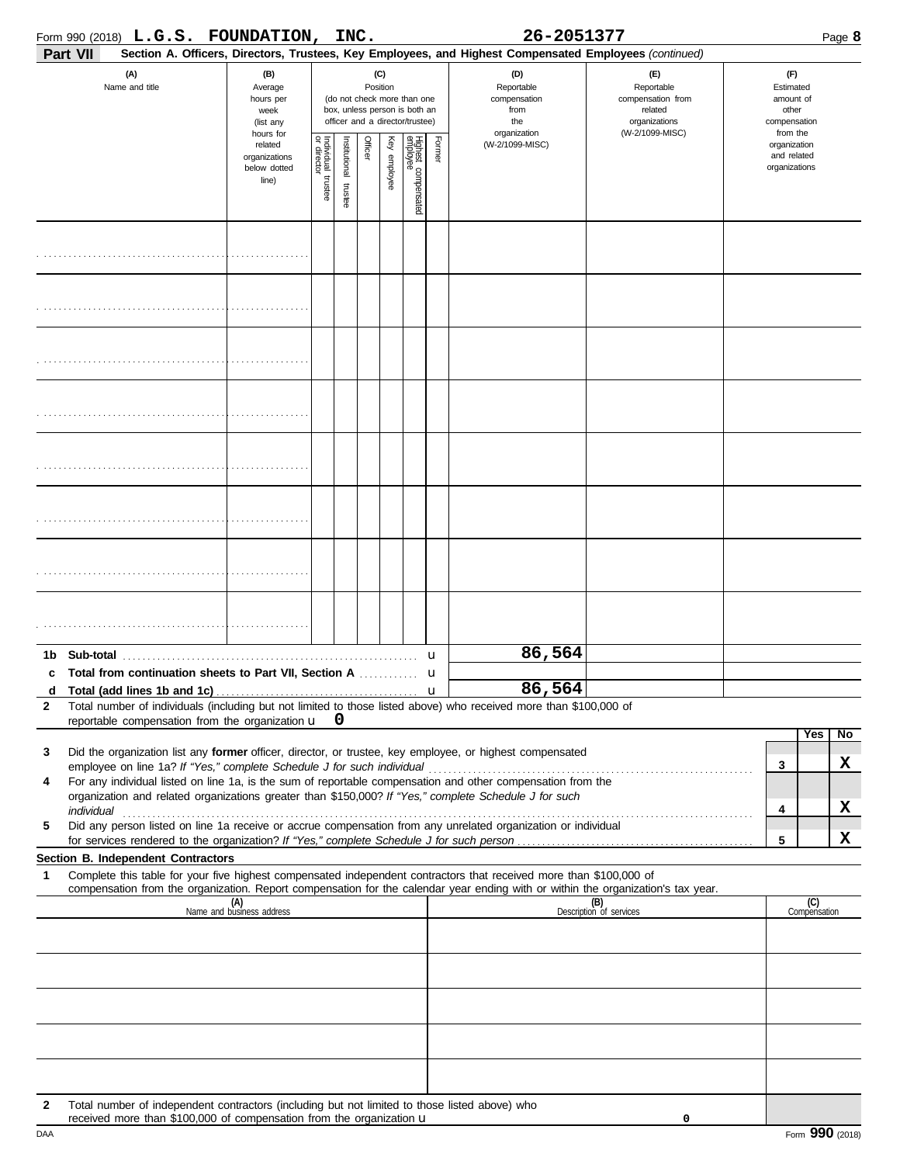| Part VII<br>(A)<br>Name and title                                            |                                                        | (B)                                                                                                                |                         |         |              |                                 |        |                                                                  | Section A. Officers, Directors, Trustees, Key Employees, and Highest Compensated Employees (continued)                                                                                                                                                                                                                                                                                                                                             |                                                                    |        |                     |                |
|------------------------------------------------------------------------------|--------------------------------------------------------|--------------------------------------------------------------------------------------------------------------------|-------------------------|---------|--------------|---------------------------------|--------|------------------------------------------------------------------|----------------------------------------------------------------------------------------------------------------------------------------------------------------------------------------------------------------------------------------------------------------------------------------------------------------------------------------------------------------------------------------------------------------------------------------------------|--------------------------------------------------------------------|--------|---------------------|----------------|
|                                                                              |                                                        |                                                                                                                    |                         |         |              |                                 |        |                                                                  |                                                                                                                                                                                                                                                                                                                                                                                                                                                    |                                                                    |        |                     |                |
|                                                                              | Average<br>hours per<br>week<br>(list any<br>hours for | (C)<br>Position<br>(do not check more than one<br>box, unless person is both an<br>officer and a director/trustee) |                         |         |              |                                 |        | (D)<br>Reportable<br>compensation<br>from<br>the<br>organization | (E)<br>Reportable<br>compensation from<br>related<br>organizations<br>(W-2/1099-MISC)                                                                                                                                                                                                                                                                                                                                                              | (F)<br>Estimated<br>amount of<br>other<br>compensation<br>from the |        |                     |                |
|                                                                              | related<br>organizations<br>below dotted<br>line)      | Individual trustee<br>or director                                                                                  | nstitutional<br>trustee | Officer | Key employee | Highest compensated<br>employee | Former | (W-2/1099-MISC)                                                  |                                                                                                                                                                                                                                                                                                                                                                                                                                                    | organization<br>and related<br>organizations                       |        |                     |                |
|                                                                              |                                                        |                                                                                                                    |                         |         |              |                                 |        |                                                                  |                                                                                                                                                                                                                                                                                                                                                                                                                                                    |                                                                    |        |                     |                |
|                                                                              |                                                        |                                                                                                                    |                         |         |              |                                 |        |                                                                  |                                                                                                                                                                                                                                                                                                                                                                                                                                                    |                                                                    |        |                     |                |
|                                                                              |                                                        |                                                                                                                    |                         |         |              |                                 |        |                                                                  |                                                                                                                                                                                                                                                                                                                                                                                                                                                    |                                                                    |        |                     |                |
|                                                                              |                                                        |                                                                                                                    |                         |         |              |                                 |        |                                                                  |                                                                                                                                                                                                                                                                                                                                                                                                                                                    |                                                                    |        |                     |                |
|                                                                              |                                                        |                                                                                                                    |                         |         |              |                                 |        |                                                                  |                                                                                                                                                                                                                                                                                                                                                                                                                                                    |                                                                    |        |                     |                |
|                                                                              |                                                        |                                                                                                                    |                         |         |              |                                 |        |                                                                  |                                                                                                                                                                                                                                                                                                                                                                                                                                                    |                                                                    |        |                     |                |
|                                                                              |                                                        |                                                                                                                    |                         |         |              |                                 |        |                                                                  |                                                                                                                                                                                                                                                                                                                                                                                                                                                    |                                                                    |        |                     |                |
|                                                                              |                                                        |                                                                                                                    |                         |         |              |                                 |        |                                                                  |                                                                                                                                                                                                                                                                                                                                                                                                                                                    |                                                                    |        |                     |                |
| c                                                                            |                                                        |                                                                                                                    |                         |         |              |                                 |        |                                                                  | 86,564                                                                                                                                                                                                                                                                                                                                                                                                                                             |                                                                    |        |                     |                |
| $\mathbf{2}$<br>reportable compensation from the organization $\mathbf{u}$ 0 |                                                        |                                                                                                                    |                         |         |              |                                 |        |                                                                  | d Total (add lines 1b and 1c) $\ldots$ $\ldots$ $\ldots$ $\ldots$ $\ldots$ $\ldots$ $\ldots$ $\ldots$ $\ldots$ $\ldots$ $\ldots$ $\ldots$ $\ldots$ $\ldots$ $\ldots$ $\ldots$ $\ldots$ $\ldots$ $\ldots$ $\ldots$ $\ldots$ $\ldots$ $\ldots$ $\ldots$ $\ldots$ $\ldots$ $\ldots$ $\ldots$ $\ldots$ $\ldots$ $\ldots$ $\ldots$<br>Total number of individuals (including but not limited to those listed above) who received more than \$100,000 of |                                                                    |        |                     |                |
| 3                                                                            |                                                        |                                                                                                                    |                         |         |              |                                 |        |                                                                  | Did the organization list any former officer, director, or trustee, key employee, or highest compensated                                                                                                                                                                                                                                                                                                                                           |                                                                    |        | <b>Yes</b>          | $\overline{N}$ |
| 4                                                                            |                                                        |                                                                                                                    |                         |         |              |                                 |        |                                                                  | For any individual listed on line 1a, is the sum of reportable compensation and other compensation from the<br>organization and related organizations greater than \$150,000? If "Yes," complete Schedule J for such                                                                                                                                                                                                                               |                                                                    | 3<br>4 |                     | X<br>X         |
| 5                                                                            |                                                        |                                                                                                                    |                         |         |              |                                 |        |                                                                  | Did any person listed on line 1a receive or accrue compensation from any unrelated organization or individual                                                                                                                                                                                                                                                                                                                                      |                                                                    | 5      |                     | x              |
| Section B. Independent Contractors                                           |                                                        |                                                                                                                    |                         |         |              |                                 |        |                                                                  |                                                                                                                                                                                                                                                                                                                                                                                                                                                    |                                                                    |        |                     |                |
| 1                                                                            |                                                        |                                                                                                                    |                         |         |              |                                 |        |                                                                  | Complete this table for your five highest compensated independent contractors that received more than \$100,000 of<br>compensation from the organization. Report compensation for the calendar year ending with or within the organization's tax year.                                                                                                                                                                                             |                                                                    |        |                     |                |
|                                                                              |                                                        | (A)<br>Name and business address                                                                                   |                         |         |              |                                 |        |                                                                  |                                                                                                                                                                                                                                                                                                                                                                                                                                                    | (B)<br>Description of services                                     |        | (C)<br>Compensation |                |
|                                                                              |                                                        |                                                                                                                    |                         |         |              |                                 |        |                                                                  |                                                                                                                                                                                                                                                                                                                                                                                                                                                    |                                                                    |        |                     |                |
|                                                                              |                                                        |                                                                                                                    |                         |         |              |                                 |        |                                                                  |                                                                                                                                                                                                                                                                                                                                                                                                                                                    |                                                                    |        |                     |                |
|                                                                              |                                                        |                                                                                                                    |                         |         |              |                                 |        |                                                                  |                                                                                                                                                                                                                                                                                                                                                                                                                                                    |                                                                    |        |                     |                |
|                                                                              |                                                        |                                                                                                                    |                         |         |              |                                 |        |                                                                  |                                                                                                                                                                                                                                                                                                                                                                                                                                                    |                                                                    |        |                     |                |
| 2<br>received more than \$100,000 of compensation from the organization u    |                                                        |                                                                                                                    |                         |         |              |                                 |        |                                                                  | Total number of independent contractors (including but not limited to those listed above) who                                                                                                                                                                                                                                                                                                                                                      | 0                                                                  |        |                     |                |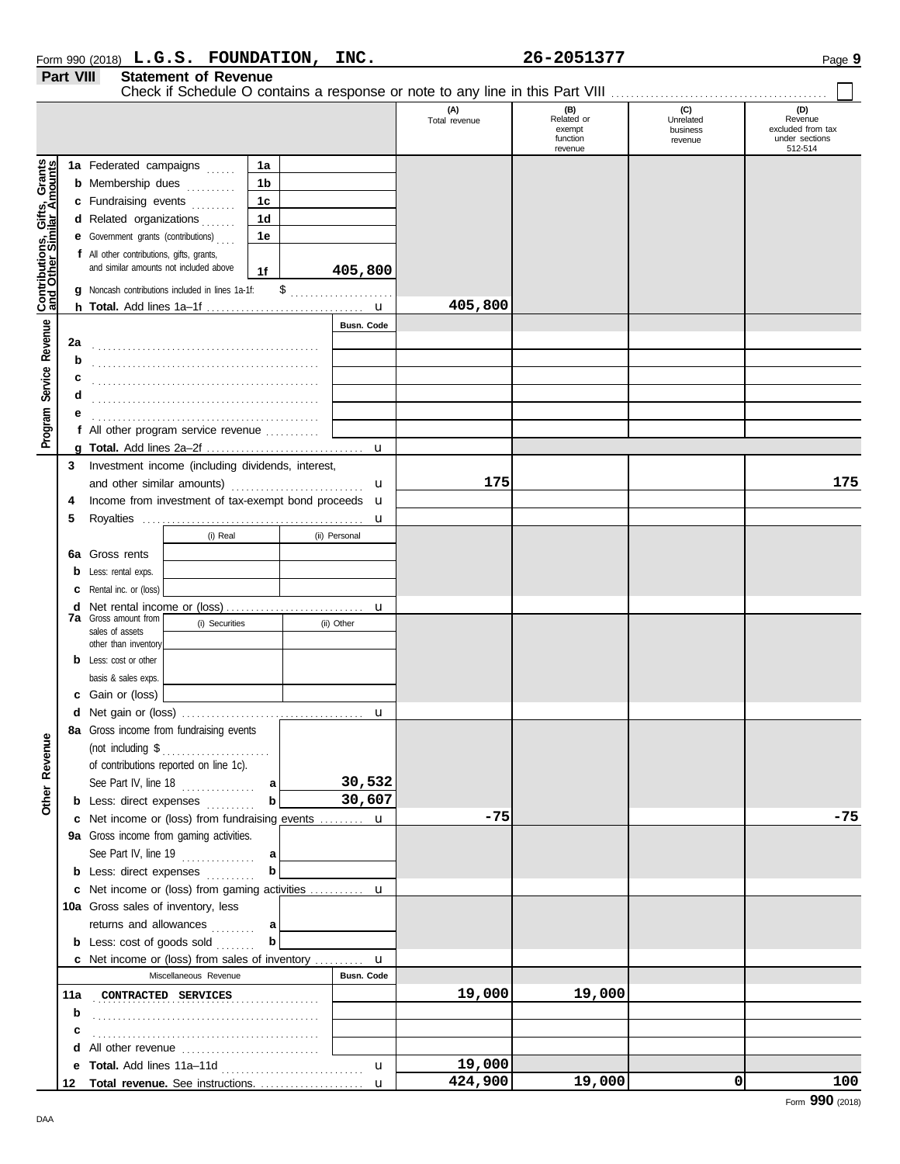|                  | Form 990 (2018) $L.G.S.$    | <b>FOUNDATION,</b> | INC. | 26-2051377 | Page |
|------------------|-----------------------------|--------------------|------|------------|------|
| <b>Part VIII</b> | <b>Statement of Revenue</b> |                    |      |            |      |

|                              |    |                                                                |                |               | (A)<br>Total revenue | (B)<br>Related or<br>exempt<br>function<br>revenue | (C)<br>Unrelated<br>business<br>revenue | (D)<br>Revenue<br>excluded from tax<br>under sections<br>512-514 |
|------------------------------|----|----------------------------------------------------------------|----------------|---------------|----------------------|----------------------------------------------------|-----------------------------------------|------------------------------------------------------------------|
|                              |    | 1a Federated campaigns                                         | 1a             |               |                      |                                                    |                                         |                                                                  |
|                              |    | <b>b</b> Membership dues <i>minimal</i>                        | 1b             |               |                      |                                                    |                                         |                                                                  |
|                              |    | c Fundraising events                                           | 1 <sub>c</sub> |               |                      |                                                    |                                         |                                                                  |
|                              |    | d Related organizations                                        | 1d             |               |                      |                                                    |                                         |                                                                  |
|                              |    | <b>e</b> Government grants (contributions)                     | 1e             |               |                      |                                                    |                                         |                                                                  |
| Contributions, Gifts, Grants |    | f All other contributions, gifts, grants,                      |                |               |                      |                                                    |                                         |                                                                  |
|                              |    | and similar amounts not included above                         | 1f             | 405,800       |                      |                                                    |                                         |                                                                  |
|                              |    |                                                                |                |               |                      |                                                    |                                         |                                                                  |
|                              |    | g Noncash contributions included in lines 1a-1f:               |                |               |                      |                                                    |                                         |                                                                  |
|                              |    |                                                                |                |               | 405,800              |                                                    |                                         |                                                                  |
|                              |    |                                                                |                | Busn. Code    |                      |                                                    |                                         |                                                                  |
|                              | 2a |                                                                |                |               |                      |                                                    |                                         |                                                                  |
|                              | b  |                                                                |                |               |                      |                                                    |                                         |                                                                  |
|                              | с  |                                                                |                |               |                      |                                                    |                                         |                                                                  |
|                              | d  |                                                                |                |               |                      |                                                    |                                         |                                                                  |
|                              | е  |                                                                |                |               |                      |                                                    |                                         |                                                                  |
| Program Service Revenue      |    | f All other program service revenue                            |                |               |                      |                                                    |                                         |                                                                  |
|                              |    |                                                                |                | u             |                      |                                                    |                                         |                                                                  |
|                              | 3  | Investment income (including dividends, interest,              |                |               |                      |                                                    |                                         |                                                                  |
|                              |    |                                                                |                | u             | 175                  |                                                    |                                         | 175                                                              |
|                              | 4  | Income from investment of tax-exempt bond proceeds             |                | u             |                      |                                                    |                                         |                                                                  |
|                              | 5  |                                                                |                | u             |                      |                                                    |                                         |                                                                  |
|                              |    | (i) Real                                                       |                | (ii) Personal |                      |                                                    |                                         |                                                                  |
|                              |    | 6a Gross rents                                                 |                |               |                      |                                                    |                                         |                                                                  |
|                              | b  | Less: rental exps.                                             |                |               |                      |                                                    |                                         |                                                                  |
|                              | c  | Rental inc. or (loss)                                          |                |               |                      |                                                    |                                         |                                                                  |
|                              | d  |                                                                |                |               |                      |                                                    |                                         |                                                                  |
|                              |    | <b>7a</b> Gross amount from<br>(i) Securities                  |                | (ii) Other    |                      |                                                    |                                         |                                                                  |
|                              |    | sales of assets<br>other than inventory                        |                |               |                      |                                                    |                                         |                                                                  |
|                              | b  | Less: cost or other                                            |                |               |                      |                                                    |                                         |                                                                  |
|                              |    | basis & sales exps.                                            |                |               |                      |                                                    |                                         |                                                                  |
|                              |    | c Gain or (loss)                                               |                |               |                      |                                                    |                                         |                                                                  |
|                              |    |                                                                |                |               |                      |                                                    |                                         |                                                                  |
|                              |    | 8a Gross income from fundraising events                        |                |               |                      |                                                    |                                         |                                                                  |
| γ                            |    | (not including \$                                              |                |               |                      |                                                    |                                         |                                                                  |
|                              |    | of contributions reported on line 1c).                         |                |               |                      |                                                    |                                         |                                                                  |
|                              |    |                                                                |                | 30,532        |                      |                                                    |                                         |                                                                  |
| Other Revenu                 |    | See Part IV, line $18$                                         | a l            |               |                      |                                                    |                                         |                                                                  |
|                              |    | <b>b</b> Less: direct expenses                                 | b              | 30,607        |                      |                                                    |                                         |                                                                  |
|                              |    | c Net income or (loss) from fundraising events  u              |                |               | -75                  |                                                    |                                         | $-75$                                                            |
|                              |    | 9a Gross income from gaming activities.                        |                |               |                      |                                                    |                                         |                                                                  |
|                              |    | See Part IV, line 19                                           | a              |               |                      |                                                    |                                         |                                                                  |
|                              |    | <b>b</b> Less: direct expenses                                 | b              |               |                      |                                                    |                                         |                                                                  |
|                              |    | c Net income or (loss) from gaming activities  u               |                |               |                      |                                                    |                                         |                                                                  |
|                              |    | 10a Gross sales of inventory, less                             |                |               |                      |                                                    |                                         |                                                                  |
|                              |    | returns and allowances                                         | a              |               |                      |                                                    |                                         |                                                                  |
|                              |    | <b>b</b> Less: $cost$ of goods $sol$                           | b              |               |                      |                                                    |                                         |                                                                  |
|                              |    | <b>c</b> Net income or (loss) from sales of inventory <b>u</b> |                |               |                      |                                                    |                                         |                                                                  |
|                              |    | Miscellaneous Revenue                                          |                | Busn. Code    |                      |                                                    |                                         |                                                                  |
|                              |    | 11a CONTRACTED SERVICES                                        |                |               | 19,000               | 19,000                                             |                                         |                                                                  |
|                              | b  |                                                                |                |               |                      |                                                    |                                         |                                                                  |
|                              | с  |                                                                |                |               |                      |                                                    |                                         |                                                                  |
|                              |    | d All other revenue                                            |                |               |                      |                                                    |                                         |                                                                  |
|                              | е  |                                                                |                | $\mathbf{u}$  | 19,000               |                                                    |                                         |                                                                  |
|                              |    |                                                                |                | $\mathbf u$   | 424,900              | 19,000                                             | 0                                       | 100                                                              |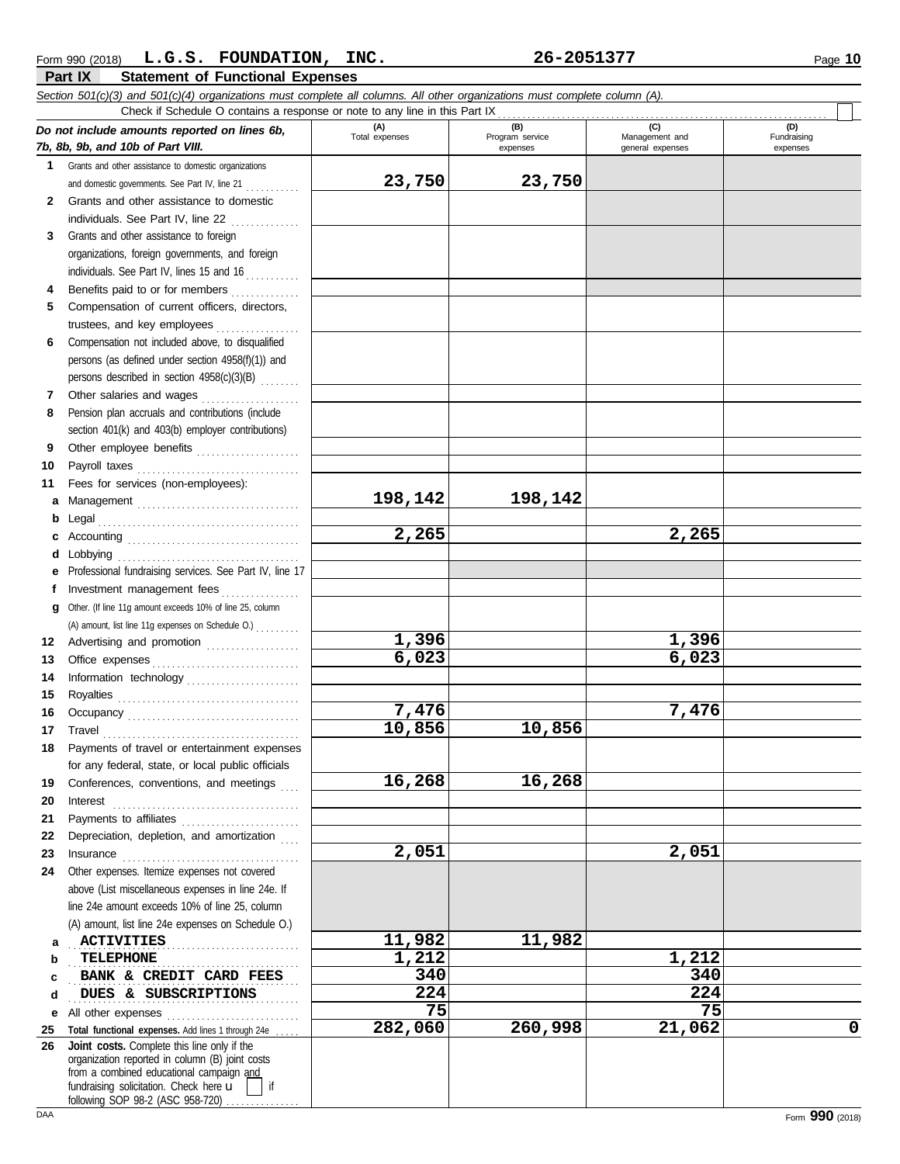|              | Section 501(c)(3) and 501(c)(4) organizations must complete all columns. All other organizations must complete column (A).<br>Check if Schedule O contains a response or note to any line in this Part IX                                                                                                                                                                                                |                |                             |                                    |                         |
|--------------|----------------------------------------------------------------------------------------------------------------------------------------------------------------------------------------------------------------------------------------------------------------------------------------------------------------------------------------------------------------------------------------------------------|----------------|-----------------------------|------------------------------------|-------------------------|
|              | Do not include amounts reported on lines 6b,                                                                                                                                                                                                                                                                                                                                                             | (A)            | (B)                         | (C)                                | (D)                     |
|              | 7b, 8b, 9b, and 10b of Part VIII.                                                                                                                                                                                                                                                                                                                                                                        | Total expenses | Program service<br>expenses | Management and<br>general expenses | Fundraising<br>expenses |
| 1.           | Grants and other assistance to domestic organizations                                                                                                                                                                                                                                                                                                                                                    |                |                             |                                    |                         |
|              | and domestic governments. See Part IV, line 21                                                                                                                                                                                                                                                                                                                                                           | 23,750         | 23,750                      |                                    |                         |
| $\mathbf{2}$ | Grants and other assistance to domestic                                                                                                                                                                                                                                                                                                                                                                  |                |                             |                                    |                         |
|              | individuals. See Part IV, line 22                                                                                                                                                                                                                                                                                                                                                                        |                |                             |                                    |                         |
| 3            | Grants and other assistance to foreign                                                                                                                                                                                                                                                                                                                                                                   |                |                             |                                    |                         |
|              | organizations, foreign governments, and foreign                                                                                                                                                                                                                                                                                                                                                          |                |                             |                                    |                         |
|              | individuals. See Part IV, lines 15 and 16                                                                                                                                                                                                                                                                                                                                                                |                |                             |                                    |                         |
| 4            | Benefits paid to or for members                                                                                                                                                                                                                                                                                                                                                                          |                |                             |                                    |                         |
| 5            | Compensation of current officers, directors,                                                                                                                                                                                                                                                                                                                                                             |                |                             |                                    |                         |
|              | trustees, and key employees                                                                                                                                                                                                                                                                                                                                                                              |                |                             |                                    |                         |
| 6            | Compensation not included above, to disqualified                                                                                                                                                                                                                                                                                                                                                         |                |                             |                                    |                         |
|              | persons (as defined under section 4958(f)(1)) and                                                                                                                                                                                                                                                                                                                                                        |                |                             |                                    |                         |
|              | persons described in section 4958(c)(3)(B)                                                                                                                                                                                                                                                                                                                                                               |                |                             |                                    |                         |
| 7            | Other salaries and wages                                                                                                                                                                                                                                                                                                                                                                                 |                |                             |                                    |                         |
| 8            | Pension plan accruals and contributions (include                                                                                                                                                                                                                                                                                                                                                         |                |                             |                                    |                         |
|              | section 401(k) and 403(b) employer contributions)                                                                                                                                                                                                                                                                                                                                                        |                |                             |                                    |                         |
| 9            | Other employee benefits                                                                                                                                                                                                                                                                                                                                                                                  |                |                             |                                    |                         |
| 10           |                                                                                                                                                                                                                                                                                                                                                                                                          |                |                             |                                    |                         |
| 11           | Fees for services (non-employees):                                                                                                                                                                                                                                                                                                                                                                       |                |                             |                                    |                         |
| a            | Management                                                                                                                                                                                                                                                                                                                                                                                               | 198,142        | 198,142                     |                                    |                         |
| b            |                                                                                                                                                                                                                                                                                                                                                                                                          |                |                             |                                    |                         |
|              |                                                                                                                                                                                                                                                                                                                                                                                                          | 2,265          |                             | 2,265                              |                         |
| d            | Lobbying                                                                                                                                                                                                                                                                                                                                                                                                 |                |                             |                                    |                         |
|              | Professional fundraising services. See Part IV, line 17                                                                                                                                                                                                                                                                                                                                                  |                |                             |                                    |                         |
| f            | Investment management fees                                                                                                                                                                                                                                                                                                                                                                               |                |                             |                                    |                         |
| g            | Other. (If line 11g amount exceeds 10% of line 25, column                                                                                                                                                                                                                                                                                                                                                |                |                             |                                    |                         |
|              | (A) amount, list line 11g expenses on Schedule O.)                                                                                                                                                                                                                                                                                                                                                       |                |                             |                                    |                         |
| 12           | Advertising and promotion                                                                                                                                                                                                                                                                                                                                                                                | 1,396          |                             | 1,396                              |                         |
| 13           | Office expenses                                                                                                                                                                                                                                                                                                                                                                                          | 6,023          |                             | 6,023                              |                         |
| 14           | Information technology                                                                                                                                                                                                                                                                                                                                                                                   |                |                             |                                    |                         |
| 15           |                                                                                                                                                                                                                                                                                                                                                                                                          |                |                             |                                    |                         |
| 16           |                                                                                                                                                                                                                                                                                                                                                                                                          | 7,476          |                             | 7,476                              |                         |
| 17           |                                                                                                                                                                                                                                                                                                                                                                                                          | 10,856         | 10,856                      |                                    |                         |
| 18           | Payments of travel or entertainment expenses                                                                                                                                                                                                                                                                                                                                                             |                |                             |                                    |                         |
|              | for any federal, state, or local public officials                                                                                                                                                                                                                                                                                                                                                        |                |                             |                                    |                         |
| 19           | Conferences, conventions, and meetings                                                                                                                                                                                                                                                                                                                                                                   | 16,268         | 16,268                      |                                    |                         |
| 20           | $\textbf{Interest} \hspace{1.5cm} \textbf{1} \hspace{1.5cm} \textbf{1} \hspace{1.5cm} \textbf{2} \hspace{1.5cm} \textbf{3} \hspace{1.5cm} \textbf{4} \hspace{1.5cm} \textbf{5} \hspace{1.5cm} \textbf{6} \hspace{1.5cm} \textbf{6} \hspace{1.5cm} \textbf{6} \hspace{1.5cm} \textbf{7} \hspace{1.5cm} \textbf{8} \hspace{1.5cm} \textbf{9} \hspace{1.5cm} \textbf{1} \hspace{1.5cm} \textbf{1} \hspace{$ |                |                             |                                    |                         |
| 21           | Payments to affiliates                                                                                                                                                                                                                                                                                                                                                                                   |                |                             |                                    |                         |
| 22           | Depreciation, depletion, and amortization                                                                                                                                                                                                                                                                                                                                                                | 2,051          |                             | 2,051                              |                         |
| 23           |                                                                                                                                                                                                                                                                                                                                                                                                          |                |                             |                                    |                         |
| 24           | Other expenses. Itemize expenses not covered                                                                                                                                                                                                                                                                                                                                                             |                |                             |                                    |                         |
|              | above (List miscellaneous expenses in line 24e. If<br>line 24e amount exceeds 10% of line 25, column                                                                                                                                                                                                                                                                                                     |                |                             |                                    |                         |
|              | (A) amount, list line 24e expenses on Schedule O.)                                                                                                                                                                                                                                                                                                                                                       |                |                             |                                    |                         |
|              | <b>ACTIVITIES</b>                                                                                                                                                                                                                                                                                                                                                                                        | 11,982         | 11,982                      |                                    |                         |
| а<br>b       | TELEPHONE                                                                                                                                                                                                                                                                                                                                                                                                | 1,212          |                             | 1,212                              |                         |
| с            | BANK & CREDIT CARD FEES                                                                                                                                                                                                                                                                                                                                                                                  | 340            |                             | 340                                |                         |
| d            | DUES & SUBSCRIPTIONS                                                                                                                                                                                                                                                                                                                                                                                     | 224            |                             | 224                                |                         |
|              |                                                                                                                                                                                                                                                                                                                                                                                                          | 75             |                             | 75                                 |                         |
| е<br>25      | Total functional expenses. Add lines 1 through 24e                                                                                                                                                                                                                                                                                                                                                       | 282,060        | 260,998                     | 21,062                             | $\mathbf 0$             |
| 26           | Joint costs. Complete this line only if the                                                                                                                                                                                                                                                                                                                                                              |                |                             |                                    |                         |
|              | organization reported in column (B) joint costs                                                                                                                                                                                                                                                                                                                                                          |                |                             |                                    |                         |
|              | from a combined educational campaign and<br>if                                                                                                                                                                                                                                                                                                                                                           |                |                             |                                    |                         |
|              | fundraising solicitation. Check here u<br>following SOP 98-2 (ASC 958-720)                                                                                                                                                                                                                                                                                                                               |                |                             |                                    |                         |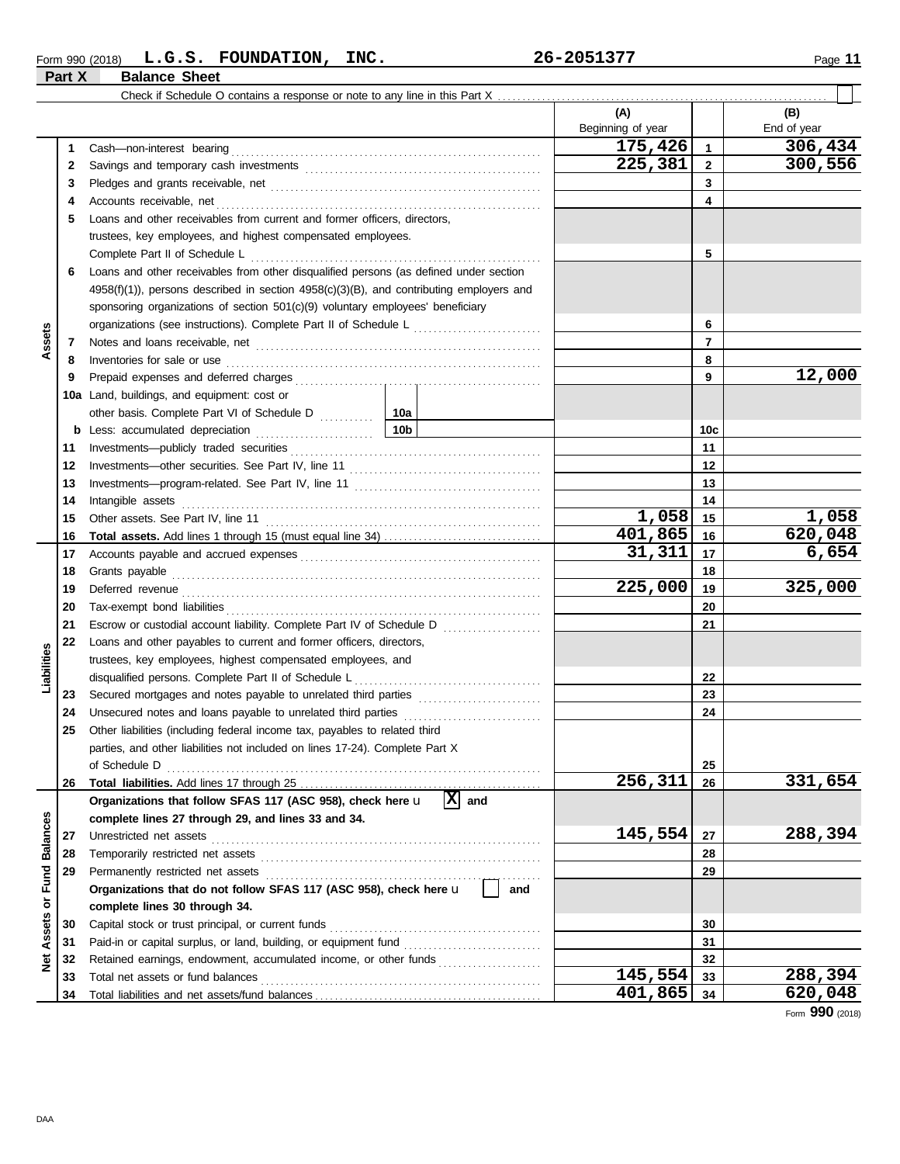#### **Form 990 (2018) L.G.S. FOUNDATION, INC.** 26-2051377 Page 11 **Part X Balance Sheet**

|                  |     | Check if Schedule O contains a response or note to any line in this Part X                                                                                                                                                          |                 |                          |                |                    |
|------------------|-----|-------------------------------------------------------------------------------------------------------------------------------------------------------------------------------------------------------------------------------------|-----------------|--------------------------|----------------|--------------------|
|                  |     |                                                                                                                                                                                                                                     |                 | (A)<br>Beginning of year |                | (B)<br>End of year |
|                  | 1   |                                                                                                                                                                                                                                     |                 | 175,426                  | $\mathbf{1}$   | 306,434            |
|                  | 2   |                                                                                                                                                                                                                                     |                 | 225,381                  | $\mathbf{2}$   | 300,556            |
|                  | 3   |                                                                                                                                                                                                                                     |                 | 3                        |                |                    |
|                  | 4   | Accounts receivable, net                                                                                                                                                                                                            |                 |                          | 4              |                    |
|                  | 5   | Loans and other receivables from current and former officers, directors,                                                                                                                                                            |                 |                          |                |                    |
|                  |     | trustees, key employees, and highest compensated employees.                                                                                                                                                                         |                 |                          |                |                    |
|                  |     | Complete Part II of Schedule L                                                                                                                                                                                                      |                 |                          | 5              |                    |
|                  | 6   | Loans and other receivables from other disqualified persons (as defined under section                                                                                                                                               |                 |                          |                |                    |
|                  |     | $4958(f)(1)$ , persons described in section $4958(c)(3)(B)$ , and contributing employers and                                                                                                                                        |                 |                          |                |                    |
|                  |     | sponsoring organizations of section 501(c)(9) voluntary employees' beneficiary                                                                                                                                                      |                 |                          |                |                    |
|                  |     |                                                                                                                                                                                                                                     |                 |                          | 6              |                    |
| Assets           | 7   |                                                                                                                                                                                                                                     |                 |                          | $\overline{7}$ |                    |
|                  | 8   | Inventories for sale or use                                                                                                                                                                                                         |                 |                          | 8              |                    |
|                  | 9   |                                                                                                                                                                                                                                     |                 |                          | 9              | 12,000             |
|                  | 10a | Land, buildings, and equipment: cost or                                                                                                                                                                                             |                 |                          |                |                    |
|                  |     | other basis. Complete Part VI of Schedule D                                                                                                                                                                                         | 10a             |                          |                |                    |
|                  | b   | Less: accumulated depreciation                                                                                                                                                                                                      | 10 <sub>b</sub> |                          | 10c            |                    |
|                  | 11  |                                                                                                                                                                                                                                     |                 |                          | 11             |                    |
|                  | 12  |                                                                                                                                                                                                                                     |                 |                          | 12             |                    |
|                  | 13  |                                                                                                                                                                                                                                     |                 |                          | 13             |                    |
|                  | 14  | Intangible assets                                                                                                                                                                                                                   |                 |                          | 14             |                    |
|                  | 15  | Other assets. See Part IV, line 11                                                                                                                                                                                                  | 1,058           | 15                       | 1,058          |                    |
|                  | 16  |                                                                                                                                                                                                                                     |                 | 401,865                  | 16             | 620,048            |
|                  | 17  |                                                                                                                                                                                                                                     |                 | 31,311                   | 17             | 6,654              |
|                  | 18  |                                                                                                                                                                                                                                     |                 |                          | 18             |                    |
|                  | 19  | Grants payable <i>communication</i> and all the contract of the contract of the contract of the contract of the contract of the contract of the contract of the contract of the contract of the contract of the contract of the con |                 | 225,000                  | 19             | 325,000            |
|                  |     |                                                                                                                                                                                                                                     |                 |                          |                |                    |
|                  | 20  |                                                                                                                                                                                                                                     |                 |                          | 20             |                    |
|                  | 21  |                                                                                                                                                                                                                                     |                 |                          | 21             |                    |
|                  | 22  | Loans and other payables to current and former officers, directors,                                                                                                                                                                 |                 |                          |                |                    |
| Liabilities      |     | trustees, key employees, highest compensated employees, and                                                                                                                                                                         |                 |                          |                |                    |
|                  |     | disqualified persons. Complete Part II of Schedule L                                                                                                                                                                                |                 |                          | 22             |                    |
|                  | 23  |                                                                                                                                                                                                                                     |                 |                          | 23             |                    |
|                  | 24  |                                                                                                                                                                                                                                     |                 |                          | 24             |                    |
|                  | 25  | Other liabilities (including federal income tax, payables to related third                                                                                                                                                          |                 |                          |                |                    |
|                  |     | parties, and other liabilities not included on lines 17-24). Complete Part X                                                                                                                                                        |                 |                          |                |                    |
|                  |     |                                                                                                                                                                                                                                     |                 | 256,311                  | 25<br>26       | 331,654            |
|                  | 26  |                                                                                                                                                                                                                                     | Ιx<br>and       |                          |                |                    |
|                  |     | Organizations that follow SFAS 117 (ASC 958), check here u                                                                                                                                                                          |                 |                          |                |                    |
|                  |     | complete lines 27 through 29, and lines 33 and 34.                                                                                                                                                                                  |                 | 145,554                  | 27             | 288,394            |
|                  | 27  |                                                                                                                                                                                                                                     |                 |                          |                |                    |
|                  | 28  |                                                                                                                                                                                                                                     |                 |                          | 28             |                    |
| or Fund Balances | 29  | Organizations that do not follow SFAS 117 (ASC 958), check here u                                                                                                                                                                   | and             |                          | 29             |                    |
|                  |     |                                                                                                                                                                                                                                     |                 |                          |                |                    |
|                  |     | complete lines 30 through 34.                                                                                                                                                                                                       |                 |                          |                |                    |
| Assets           | 30  |                                                                                                                                                                                                                                     |                 |                          | 30             |                    |
|                  | 31  |                                                                                                                                                                                                                                     |                 |                          | 31             |                    |
| ğ                | 32  | Retained earnings, endowment, accumulated income, or other funds                                                                                                                                                                    |                 | 145,554                  | 32             | 288,394            |
|                  | 33  |                                                                                                                                                                                                                                     |                 | 401,865                  | 33             | 620,048            |
|                  | 34  |                                                                                                                                                                                                                                     |                 |                          | 34             |                    |

Form **990** (2018)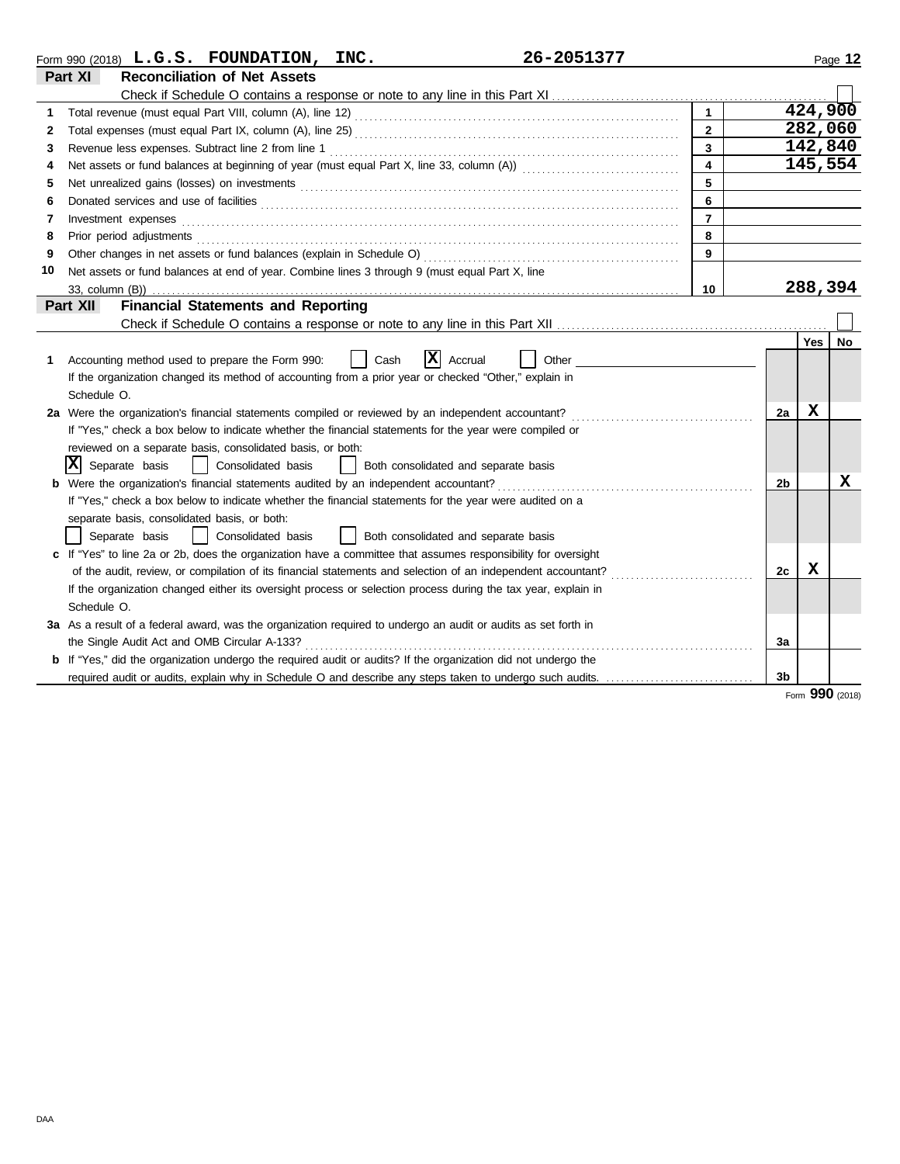|    | 26-2051377<br>Form 990 (2018) $L.G.S.$ FOUNDATION, INC.                                                                                                                                                                              |                         |                |             | Page 12 |
|----|--------------------------------------------------------------------------------------------------------------------------------------------------------------------------------------------------------------------------------------|-------------------------|----------------|-------------|---------|
|    | <b>Reconciliation of Net Assets</b><br>Part XI                                                                                                                                                                                       |                         |                |             |         |
|    |                                                                                                                                                                                                                                      |                         |                |             |         |
| 1  |                                                                                                                                                                                                                                      |                         |                | 424,900     |         |
| 2  |                                                                                                                                                                                                                                      | $\overline{2}$          |                | 282,060     |         |
| 3  |                                                                                                                                                                                                                                      | 3                       |                | 142,840     |         |
| 4  |                                                                                                                                                                                                                                      | $\overline{\mathbf{4}}$ |                | 145,554     |         |
| 5  |                                                                                                                                                                                                                                      | 5                       |                |             |         |
| 6  | Donated services and use of facilities <b>constant of the constant of the constant of the constant of the constant of the constant of the constant of the constant of the constant of the constant of the constant of the consta</b> | 6                       |                |             |         |
| 7  | Investment expenses                                                                                                                                                                                                                  | $\overline{7}$          |                |             |         |
| 8  | Prior period adjustments                                                                                                                                                                                                             | 8                       |                |             |         |
| 9  |                                                                                                                                                                                                                                      | 9                       |                |             |         |
| 10 | Net assets or fund balances at end of year. Combine lines 3 through 9 (must equal Part X, line                                                                                                                                       |                         |                |             |         |
|    | 33, column (B))                                                                                                                                                                                                                      | 10                      |                | 288,394     |         |
|    | <b>Financial Statements and Reporting</b><br>Part XII                                                                                                                                                                                |                         |                |             |         |
|    |                                                                                                                                                                                                                                      |                         |                |             |         |
|    |                                                                                                                                                                                                                                      |                         |                | <b>Yes</b>  | No      |
| 1. | X<br>Other<br>Cash<br>Accrual<br>Accounting method used to prepare the Form 990:                                                                                                                                                     |                         |                |             |         |
|    | If the organization changed its method of accounting from a prior year or checked "Other," explain in                                                                                                                                |                         |                |             |         |
|    | Schedule O.                                                                                                                                                                                                                          |                         |                |             |         |
|    | 2a Were the organization's financial statements compiled or reviewed by an independent accountant?                                                                                                                                   |                         | 2a             | $\mathbf x$ |         |
|    | If "Yes," check a box below to indicate whether the financial statements for the year were compiled or                                                                                                                               |                         |                |             |         |
|    | reviewed on a separate basis, consolidated basis, or both:                                                                                                                                                                           |                         |                |             |         |
|    | IХ<br>Separate basis<br>Consolidated basis<br>Both consolidated and separate basis                                                                                                                                                   |                         |                |             |         |
|    | <b>b</b> Were the organization's financial statements audited by an independent accountant?                                                                                                                                          |                         | 2b             |             | x       |
|    | If "Yes," check a box below to indicate whether the financial statements for the year were audited on a                                                                                                                              |                         |                |             |         |
|    | separate basis, consolidated basis, or both:                                                                                                                                                                                         |                         |                |             |         |
|    | Consolidated basis<br>Both consolidated and separate basis<br>Separate basis                                                                                                                                                         |                         |                |             |         |
|    | c If "Yes" to line 2a or 2b, does the organization have a committee that assumes responsibility for oversight                                                                                                                        |                         |                |             |         |
|    | of the audit, review, or compilation of its financial statements and selection of an independent accountant?                                                                                                                         |                         | 2c             | X           |         |
|    | If the organization changed either its oversight process or selection process during the tax year, explain in                                                                                                                        |                         |                |             |         |
|    | Schedule O.                                                                                                                                                                                                                          |                         |                |             |         |
|    | 3a As a result of a federal award, was the organization required to undergo an audit or audits as set forth in                                                                                                                       |                         |                |             |         |
|    | the Single Audit Act and OMB Circular A-133?                                                                                                                                                                                         |                         | За             |             |         |
|    | <b>b</b> If "Yes," did the organization undergo the required audit or audits? If the organization did not undergo the                                                                                                                |                         |                |             |         |
|    | required audit or audits, explain why in Schedule O and describe any steps taken to undergo such audits.                                                                                                                             |                         | 3 <sub>b</sub> |             |         |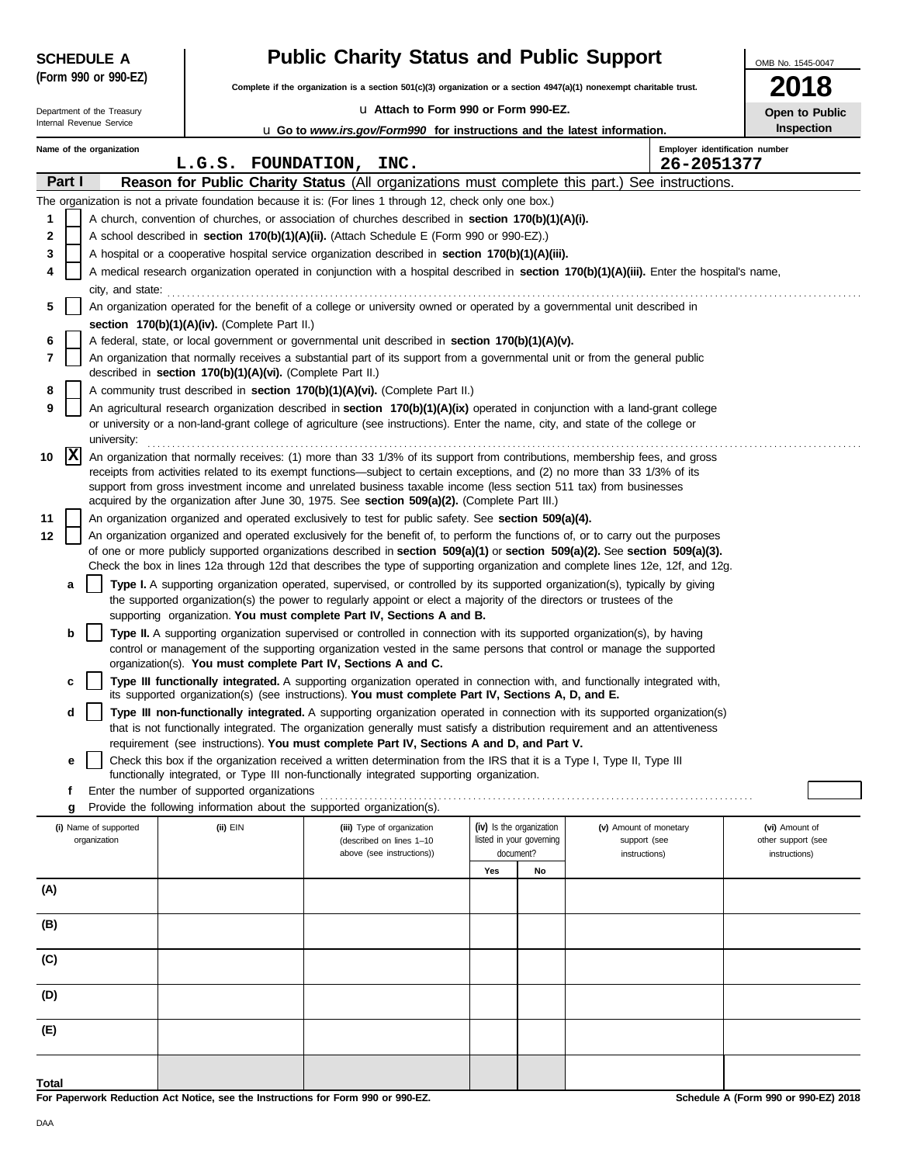| <b>SCHEDULE A</b>                                                   | <b>Public Charity Status and Public Support</b>            | OMB No. 1545-0047                                                                                                                                                                                                                                                                                                                                                                                                                                                                   |                                                      |                                        |                                              |
|---------------------------------------------------------------------|------------------------------------------------------------|-------------------------------------------------------------------------------------------------------------------------------------------------------------------------------------------------------------------------------------------------------------------------------------------------------------------------------------------------------------------------------------------------------------------------------------------------------------------------------------|------------------------------------------------------|----------------------------------------|----------------------------------------------|
| (Form 990 or 990-EZ)                                                |                                                            | Complete if the organization is a section 501(c)(3) organization or a section $4947(a)(1)$ nonexempt charitable trust.                                                                                                                                                                                                                                                                                                                                                              |                                                      |                                        |                                              |
| La Attach to Form 990 or Form 990-EZ.<br>Department of the Treasury |                                                            |                                                                                                                                                                                                                                                                                                                                                                                                                                                                                     |                                                      |                                        | Open to Public                               |
| Internal Revenue Service                                            |                                                            | u Go to www.irs.gov/Form990 for instructions and the latest information.                                                                                                                                                                                                                                                                                                                                                                                                            |                                                      |                                        | <b>Inspection</b>                            |
| Name of the organization                                            | L.G.S. FOUNDATION, INC.                                    |                                                                                                                                                                                                                                                                                                                                                                                                                                                                                     |                                                      | 26-2051377                             | Employer identification number               |
| Part I                                                              |                                                            | Reason for Public Charity Status (All organizations must complete this part.) See instructions.                                                                                                                                                                                                                                                                                                                                                                                     |                                                      |                                        |                                              |
|                                                                     |                                                            | The organization is not a private foundation because it is: (For lines 1 through 12, check only one box.)                                                                                                                                                                                                                                                                                                                                                                           |                                                      |                                        |                                              |
| 1                                                                   |                                                            | A church, convention of churches, or association of churches described in <b>section 170(b)(1)(A)(i).</b>                                                                                                                                                                                                                                                                                                                                                                           |                                                      |                                        |                                              |
| 2                                                                   |                                                            | A school described in section 170(b)(1)(A)(ii). (Attach Schedule E (Form 990 or 990-EZ).)                                                                                                                                                                                                                                                                                                                                                                                           |                                                      |                                        |                                              |
| 3                                                                   |                                                            | A hospital or a cooperative hospital service organization described in section 170(b)(1)(A)(iii).                                                                                                                                                                                                                                                                                                                                                                                   |                                                      |                                        |                                              |
| 4                                                                   |                                                            | A medical research organization operated in conjunction with a hospital described in section 170(b)(1)(A)(iii). Enter the hospital's name,                                                                                                                                                                                                                                                                                                                                          |                                                      |                                        |                                              |
|                                                                     |                                                            | city, and state: <b>contained</b> state:                                                                                                                                                                                                                                                                                                                                                                                                                                            |                                                      |                                        |                                              |
| 5                                                                   |                                                            | An organization operated for the benefit of a college or university owned or operated by a governmental unit described in                                                                                                                                                                                                                                                                                                                                                           |                                                      |                                        |                                              |
|                                                                     | section 170(b)(1)(A)(iv). (Complete Part II.)              |                                                                                                                                                                                                                                                                                                                                                                                                                                                                                     |                                                      |                                        |                                              |
| 6                                                                   |                                                            | A federal, state, or local government or governmental unit described in <b>section 170(b)(1)(A)(v).</b>                                                                                                                                                                                                                                                                                                                                                                             |                                                      |                                        |                                              |
| 7                                                                   | described in section 170(b)(1)(A)(vi). (Complete Part II.) | An organization that normally receives a substantial part of its support from a governmental unit or from the general public                                                                                                                                                                                                                                                                                                                                                        |                                                      |                                        |                                              |
| 8                                                                   |                                                            | A community trust described in section 170(b)(1)(A)(vi). (Complete Part II.)                                                                                                                                                                                                                                                                                                                                                                                                        |                                                      |                                        |                                              |
| 9<br>university:                                                    |                                                            | An agricultural research organization described in section 170(b)(1)(A)(ix) operated in conjunction with a land-grant college<br>or university or a non-land-grant college of agriculture (see instructions). Enter the name, city, and state of the college or                                                                                                                                                                                                                     |                                                      |                                        |                                              |
| X<br>10                                                             |                                                            | An organization that normally receives: (1) more than 33 1/3% of its support from contributions, membership fees, and gross<br>receipts from activities related to its exempt functions—subject to certain exceptions, and (2) no more than 33 1/3% of its<br>support from gross investment income and unrelated business taxable income (less section 511 tax) from businesses<br>acquired by the organization after June 30, 1975. See section $509(a)(2)$ . (Complete Part III.) |                                                      |                                        |                                              |
| 11                                                                  |                                                            | An organization organized and operated exclusively to test for public safety. See section 509(a)(4).                                                                                                                                                                                                                                                                                                                                                                                |                                                      |                                        |                                              |
| 12                                                                  |                                                            | An organization organized and operated exclusively for the benefit of, to perform the functions of, or to carry out the purposes                                                                                                                                                                                                                                                                                                                                                    |                                                      |                                        |                                              |
|                                                                     |                                                            | of one or more publicly supported organizations described in section 509(a)(1) or section 509(a)(2). See section 509(a)(3).                                                                                                                                                                                                                                                                                                                                                         |                                                      |                                        |                                              |
| a                                                                   |                                                            | Check the box in lines 12a through 12d that describes the type of supporting organization and complete lines 12e, 12f, and 12g.<br>Type I. A supporting organization operated, supervised, or controlled by its supported organization(s), typically by giving                                                                                                                                                                                                                      |                                                      |                                        |                                              |
|                                                                     |                                                            | the supported organization(s) the power to regularly appoint or elect a majority of the directors or trustees of the                                                                                                                                                                                                                                                                                                                                                                |                                                      |                                        |                                              |
|                                                                     |                                                            | supporting organization. You must complete Part IV, Sections A and B.                                                                                                                                                                                                                                                                                                                                                                                                               |                                                      |                                        |                                              |
| b                                                                   |                                                            | Type II. A supporting organization supervised or controlled in connection with its supported organization(s), by having                                                                                                                                                                                                                                                                                                                                                             |                                                      |                                        |                                              |
|                                                                     |                                                            | control or management of the supporting organization vested in the same persons that control or manage the supported<br>organization(s). You must complete Part IV, Sections A and C.                                                                                                                                                                                                                                                                                               |                                                      |                                        |                                              |
| C                                                                   |                                                            | Type III functionally integrated. A supporting organization operated in connection with, and functionally integrated with,                                                                                                                                                                                                                                                                                                                                                          |                                                      |                                        |                                              |
|                                                                     |                                                            | its supported organization(s) (see instructions). You must complete Part IV, Sections A, D, and E.                                                                                                                                                                                                                                                                                                                                                                                  |                                                      |                                        |                                              |
| d                                                                   |                                                            | Type III non-functionally integrated. A supporting organization operated in connection with its supported organization(s)                                                                                                                                                                                                                                                                                                                                                           |                                                      |                                        |                                              |
|                                                                     |                                                            | that is not functionally integrated. The organization generally must satisfy a distribution requirement and an attentiveness<br>requirement (see instructions). You must complete Part IV, Sections A and D, and Part V.                                                                                                                                                                                                                                                            |                                                      |                                        |                                              |
| е                                                                   |                                                            | Check this box if the organization received a written determination from the IRS that it is a Type I, Type II, Type III                                                                                                                                                                                                                                                                                                                                                             |                                                      |                                        |                                              |
|                                                                     |                                                            | functionally integrated, or Type III non-functionally integrated supporting organization.                                                                                                                                                                                                                                                                                                                                                                                           |                                                      |                                        |                                              |
| f                                                                   | Enter the number of supported organizations                |                                                                                                                                                                                                                                                                                                                                                                                                                                                                                     |                                                      |                                        |                                              |
| g                                                                   |                                                            | Provide the following information about the supported organization(s).                                                                                                                                                                                                                                                                                                                                                                                                              |                                                      |                                        |                                              |
| (i) Name of supported<br>organization                               | $(ii)$ EIN                                                 | (iii) Type of organization<br>(described on lines 1-10                                                                                                                                                                                                                                                                                                                                                                                                                              | (iv) Is the organization<br>listed in your governing | (v) Amount of monetary<br>support (see | (vi) Amount of<br>other support (see         |
|                                                                     |                                                            | above (see instructions))                                                                                                                                                                                                                                                                                                                                                                                                                                                           | document?                                            | instructions)                          | instructions)                                |
|                                                                     |                                                            |                                                                                                                                                                                                                                                                                                                                                                                                                                                                                     | Yes<br>No                                            |                                        |                                              |
| (A)                                                                 |                                                            |                                                                                                                                                                                                                                                                                                                                                                                                                                                                                     |                                                      |                                        |                                              |
| (B)                                                                 |                                                            |                                                                                                                                                                                                                                                                                                                                                                                                                                                                                     |                                                      |                                        |                                              |
|                                                                     |                                                            |                                                                                                                                                                                                                                                                                                                                                                                                                                                                                     |                                                      |                                        |                                              |
| (C)                                                                 |                                                            |                                                                                                                                                                                                                                                                                                                                                                                                                                                                                     |                                                      |                                        |                                              |
| (D)                                                                 |                                                            |                                                                                                                                                                                                                                                                                                                                                                                                                                                                                     |                                                      |                                        |                                              |
| (E)                                                                 |                                                            |                                                                                                                                                                                                                                                                                                                                                                                                                                                                                     |                                                      |                                        |                                              |
| Total                                                               |                                                            |                                                                                                                                                                                                                                                                                                                                                                                                                                                                                     |                                                      |                                        |                                              |
| stan Aat Matia                                                      |                                                            | the Instructions for Form 000 or 000 F7                                                                                                                                                                                                                                                                                                                                                                                                                                             |                                                      |                                        | <b>Calcedule A (Farm 000 as 000 F7) 2040</b> |

**For Paperwork Reduction Act Notice, see the Instructions for Form 990 or 990-EZ.**

**Schedule A (Form 990 or 990-EZ) 2018**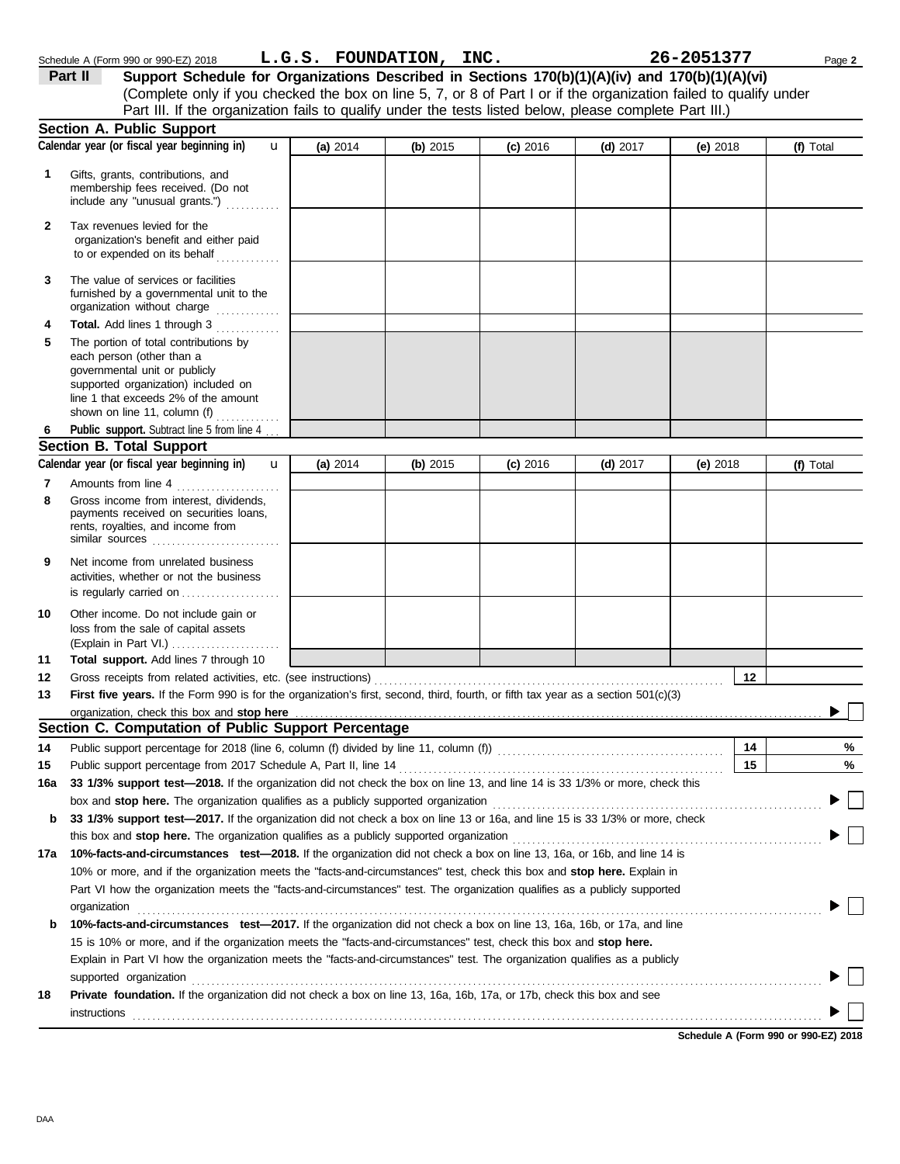|              | Part III. If the organization fails to qualify under the tests listed below, please complete Part III.)                                                                                                                                                                                                                                                 |          |          |            |            |            |           |
|--------------|---------------------------------------------------------------------------------------------------------------------------------------------------------------------------------------------------------------------------------------------------------------------------------------------------------------------------------------------------------|----------|----------|------------|------------|------------|-----------|
|              | <b>Section A. Public Support</b>                                                                                                                                                                                                                                                                                                                        |          |          |            |            |            |           |
|              | Calendar year (or fiscal year beginning in)<br>$\mathbf{u}$                                                                                                                                                                                                                                                                                             | (a) 2014 | (b) 2015 | $(c)$ 2016 | $(d)$ 2017 | (e) $2018$ | (f) Total |
| 1            | Gifts, grants, contributions, and<br>membership fees received. (Do not<br>include any "unusual grants.")                                                                                                                                                                                                                                                |          |          |            |            |            |           |
| $\mathbf{2}$ | Tax revenues levied for the<br>organization's benefit and either paid<br>to or expended on its behalf                                                                                                                                                                                                                                                   |          |          |            |            |            |           |
| 3            | The value of services or facilities<br>furnished by a governmental unit to the<br>organization without charge                                                                                                                                                                                                                                           |          |          |            |            |            |           |
| 4            | Total. Add lines 1 through 3                                                                                                                                                                                                                                                                                                                            |          |          |            |            |            |           |
| 5            | The portion of total contributions by<br>each person (other than a<br>governmental unit or publicly<br>supported organization) included on<br>line 1 that exceeds 2% of the amount<br>shown on line 11, column $(f)$                                                                                                                                    |          |          |            |            |            |           |
| 6            | Public support. Subtract line 5 from line 4                                                                                                                                                                                                                                                                                                             |          |          |            |            |            |           |
|              | <b>Section B. Total Support</b>                                                                                                                                                                                                                                                                                                                         |          |          |            |            |            |           |
|              | Calendar year (or fiscal year beginning in)<br>$\mathbf{u}$                                                                                                                                                                                                                                                                                             | (a) 2014 | (b) 2015 | $(c)$ 2016 | $(d)$ 2017 | (e) $2018$ | (f) Total |
| 7            | Amounts from line 4                                                                                                                                                                                                                                                                                                                                     |          |          |            |            |            |           |
| 8            | Gross income from interest, dividends,<br>payments received on securities loans,<br>rents, royalties, and income from<br>similar sources $\ldots, \ldots, \ldots, \ldots, \ldots, \ldots$                                                                                                                                                               |          |          |            |            |            |           |
| 9            | Net income from unrelated business<br>activities, whether or not the business<br>is regularly carried on                                                                                                                                                                                                                                                |          |          |            |            |            |           |
| 10           | Other income. Do not include gain or<br>loss from the sale of capital assets<br>(Explain in Part VI.)                                                                                                                                                                                                                                                   |          |          |            |            |            |           |
| 11           | Total support. Add lines 7 through 10                                                                                                                                                                                                                                                                                                                   |          |          |            |            |            |           |
| 12           |                                                                                                                                                                                                                                                                                                                                                         |          |          |            |            | 12         |           |
| 13           | First five years. If the Form 990 is for the organization's first, second, third, fourth, or fifth tax year as a section 501(c)(3)                                                                                                                                                                                                                      |          |          |            |            |            |           |
|              | organization, check this box and stop here                                                                                                                                                                                                                                                                                                              |          |          |            |            |            |           |
|              | Section C. Computation of Public Support Percentage                                                                                                                                                                                                                                                                                                     |          |          |            |            |            |           |
| 14           | Public support percentage for 2018 (line 6, column (f) divided by line 11, column (f)) [[[[[[[[[[[[[[[[[[[[[[                                                                                                                                                                                                                                           |          |          |            |            | 14         | %         |
| 15           |                                                                                                                                                                                                                                                                                                                                                         |          |          |            |            | $\vert$ 15 | $\%$      |
| 16a          | 33 1/3% support test-2018. If the organization did not check the box on line 13, and line 14 is 33 1/3% or more, check this                                                                                                                                                                                                                             |          |          |            |            |            |           |
|              |                                                                                                                                                                                                                                                                                                                                                         |          |          |            |            |            |           |
| b            | 33 1/3% support test-2017. If the organization did not check a box on line 13 or 16a, and line 15 is 33 1/3% or more, check                                                                                                                                                                                                                             |          |          |            |            |            |           |
|              |                                                                                                                                                                                                                                                                                                                                                         |          |          |            |            |            |           |
| 17a          | 10%-facts-and-circumstances test-2018. If the organization did not check a box on line 13, 16a, or 16b, and line 14 is<br>10% or more, and if the organization meets the "facts-and-circumstances" test, check this box and stop here. Explain in                                                                                                       |          |          |            |            |            |           |
|              | Part VI how the organization meets the "facts-and-circumstances" test. The organization qualifies as a publicly supported                                                                                                                                                                                                                               |          |          |            |            |            |           |
|              | organization                                                                                                                                                                                                                                                                                                                                            |          |          |            |            |            |           |
| b            | 10%-facts-and-circumstances test-2017. If the organization did not check a box on line 13, 16a, 16b, or 17a, and line                                                                                                                                                                                                                                   |          |          |            |            |            |           |
|              | 15 is 10% or more, and if the organization meets the "facts-and-circumstances" test, check this box and stop here.                                                                                                                                                                                                                                      |          |          |            |            |            |           |
|              | Explain in Part VI how the organization meets the "facts-and-circumstances" test. The organization qualifies as a publicly                                                                                                                                                                                                                              |          |          |            |            |            |           |
| 18           | supported organization contains and contains a subsequent of the contact of the contact of the contact of the contact of the contact of the contact of the contact of the contact of the contact of the contact of the contact<br>Private foundation. If the organization did not check a box on line 13, 16a, 16b, 17a, or 17b, check this box and see |          |          |            |            |            |           |
|              |                                                                                                                                                                                                                                                                                                                                                         |          |          |            |            |            |           |

Schedule A (Form 990 or 990-EZ) 2018 Page **2 L.G.S. FOUNDATION, INC. 26-2051377**

**Part II Support Schedule for Organizations Described in Sections 170(b)(1)(A)(iv) and 170(b)(1)(A)(vi)**

(Complete only if you checked the box on line 5, 7, or 8 of Part I or if the organization failed to qualify under

**Schedule A (Form 990 or 990-EZ) 2018**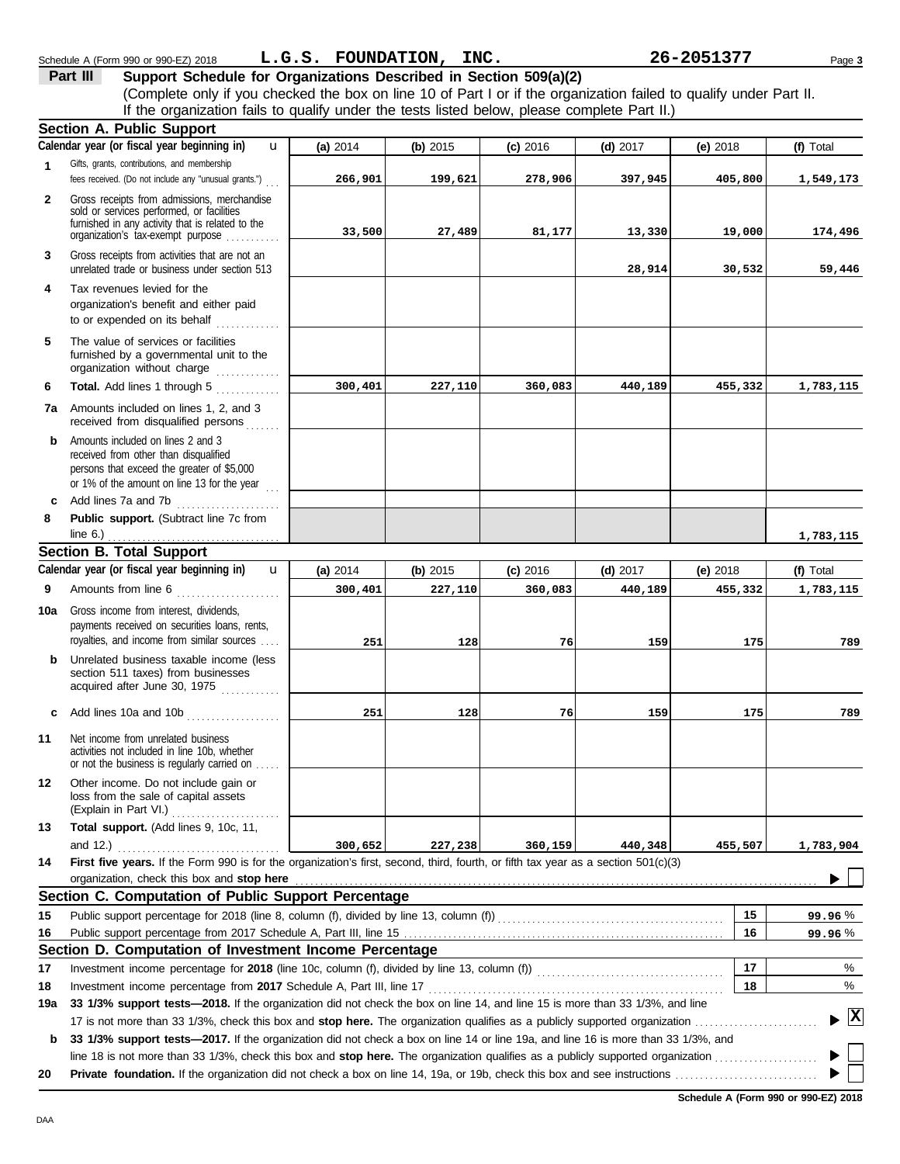|              | <b>Section A. Public Support</b>                                                                                                                                                                                                                                                                  |            |            |            |            |            |             |
|--------------|---------------------------------------------------------------------------------------------------------------------------------------------------------------------------------------------------------------------------------------------------------------------------------------------------|------------|------------|------------|------------|------------|-------------|
|              | Calendar year (or fiscal year beginning in)<br>u                                                                                                                                                                                                                                                  | (a) 2014   | (b) 2015   | $(c)$ 2016 | $(d)$ 2017 | (e) 2018   | (f) Total   |
| $\mathbf{1}$ | Gifts, grants, contributions, and membership<br>fees received. (Do not include any "unusual grants.")                                                                                                                                                                                             | 266,901    | 199,621    | 278,906    | 397,945    | 405,800    | 1,549,173   |
| $\mathbf{2}$ | Gross receipts from admissions, merchandise<br>sold or services performed, or facilities<br>furnished in any activity that is related to the<br>organization's tax-exempt purpose                                                                                                                 | 33,500     | 27,489     | 81,177     | 13,330     | 19,000     | 174,496     |
| 3            | Gross receipts from activities that are not an<br>unrelated trade or business under section 513                                                                                                                                                                                                   |            |            |            | 28,914     | 30,532     | 59,446      |
| 4            | Tax revenues levied for the<br>organization's benefit and either paid<br>to or expended on its behalf                                                                                                                                                                                             |            |            |            |            |            |             |
| 5            | The value of services or facilities<br>furnished by a governmental unit to the<br>organization without charge                                                                                                                                                                                     |            |            |            |            |            |             |
| 6            | Total. Add lines 1 through 5                                                                                                                                                                                                                                                                      | 300,401    | 227,110    | 360,083    | 440,189    | 455,332    | 1,783,115   |
|              | 7a Amounts included on lines 1, 2, and 3<br>received from disqualified persons                                                                                                                                                                                                                    |            |            |            |            |            |             |
| b            | Amounts included on lines 2 and 3<br>received from other than disqualified<br>persons that exceed the greater of \$5,000<br>or 1% of the amount on line 13 for the year $\ldots$                                                                                                                  |            |            |            |            |            |             |
| c            | Add lines 7a and 7b                                                                                                                                                                                                                                                                               |            |            |            |            |            |             |
| 8            | Public support. (Subtract line 7c from                                                                                                                                                                                                                                                            |            |            |            |            |            |             |
|              | line 6.) $\frac{1}{1}$ in $\frac{1}{1}$ in $\frac{1}{1}$ in $\frac{1}{1}$ in $\frac{1}{1}$ in $\frac{1}{1}$ in $\frac{1}{1}$ in $\frac{1}{1}$ in $\frac{1}{1}$ in $\frac{1}{1}$ in $\frac{1}{1}$ in $\frac{1}{1}$ in $\frac{1}{1}$ in $\frac{1}{1}$ in $\frac{1}{1}$ in $\frac{1}{1}$ in $\frac{$ |            |            |            |            |            | 1,783,115   |
|              | <b>Section B. Total Support</b>                                                                                                                                                                                                                                                                   |            |            |            |            |            |             |
|              | Calendar year (or fiscal year beginning in)<br>$\mathbf{u}$                                                                                                                                                                                                                                       | (a) $2014$ | (b) $2015$ | $(c)$ 2016 | $(d)$ 2017 | (e) $2018$ | (f) Total   |
| 9            | Amounts from line 6                                                                                                                                                                                                                                                                               | 300,401    | 227,110    | 360,083    | 440,189    | 455,332    | 1,783,115   |
| 10a          | Gross income from interest, dividends,<br>payments received on securities loans, rents,<br>royalties, and income from similar sources                                                                                                                                                             | 251        | 128        | 76         | 159        | 175        | 789         |
| b            | Unrelated business taxable income (less<br>section 511 taxes) from businesses<br>acquired after June 30, 1975                                                                                                                                                                                     |            |            |            |            |            |             |
| c            | Add lines 10a and 10b                                                                                                                                                                                                                                                                             | 251        | 128        | 76         | 159        | 175        | 789         |
| 11           | Net income from unrelated business<br>activities not included in line 10b, whether<br>or not the business is regularly carried on                                                                                                                                                                 |            |            |            |            |            |             |
|              | 12 Other income. Do not include gain or<br>loss from the sale of capital assets<br>(Explain in Part VI.)<br>.                                                                                                                                                                                     |            |            |            |            |            |             |
| 13           | Total support. (Add lines 9, 10c, 11,                                                                                                                                                                                                                                                             |            |            |            |            |            |             |
|              |                                                                                                                                                                                                                                                                                                   | 300,652    | 227,238    | 360,159    | 440,348    | 455,507    | 1,783,904   |
| 14           | First five years. If the Form 990 is for the organization's first, second, third, fourth, or fifth tax year as a section 501(c)(3)<br>organization, check this box and stop here                                                                                                                  |            |            |            |            |            |             |
|              | Section C. Computation of Public Support Percentage                                                                                                                                                                                                                                               |            |            |            |            |            |             |
| 15           | Public support percentage for 2018 (line 8, column (f), divided by line 13, column (f)) [[[[[[[[[[[[[[[[[[[[[                                                                                                                                                                                     |            |            |            |            | 15         | 99.96%      |
| 16           |                                                                                                                                                                                                                                                                                                   |            |            |            |            | 16         | 99.96%      |
|              | Section D. Computation of Investment Income Percentage                                                                                                                                                                                                                                            |            |            |            |            |            |             |
| 17           |                                                                                                                                                                                                                                                                                                   |            |            |            |            | 17         | %           |
| 18           |                                                                                                                                                                                                                                                                                                   |            |            |            |            | 18         | %           |
| 19a          | 33 1/3% support tests-2018. If the organization did not check the box on line 14, and line 15 is more than 33 1/3%, and line                                                                                                                                                                      |            |            |            |            |            |             |
|              |                                                                                                                                                                                                                                                                                                   |            |            |            |            |            | $ {\bf x} $ |
| b            | 33 1/3% support tests-2017. If the organization did not check a box on line 14 or line 19a, and line 16 is more than 33 1/3%, and                                                                                                                                                                 |            |            |            |            |            |             |
|              |                                                                                                                                                                                                                                                                                                   |            |            |            |            |            |             |
| 20           |                                                                                                                                                                                                                                                                                                   |            |            |            |            |            |             |

#### **Schedule A (Form 990 or 990-EZ) 2018**

DAA

#### **Part III Support Schedule for Organizations Described in Section 509(a)(2)** Schedule A (Form 990 or 990-EZ) 2018 Page **3 L.G.S. FOUNDATION, INC. 26-2051377**

If the organization fails to qualify under the tests listed below, please complete Part II.)

(Complete only if you checked the box on line 10 of Part I or if the organization failed to qualify under Part II.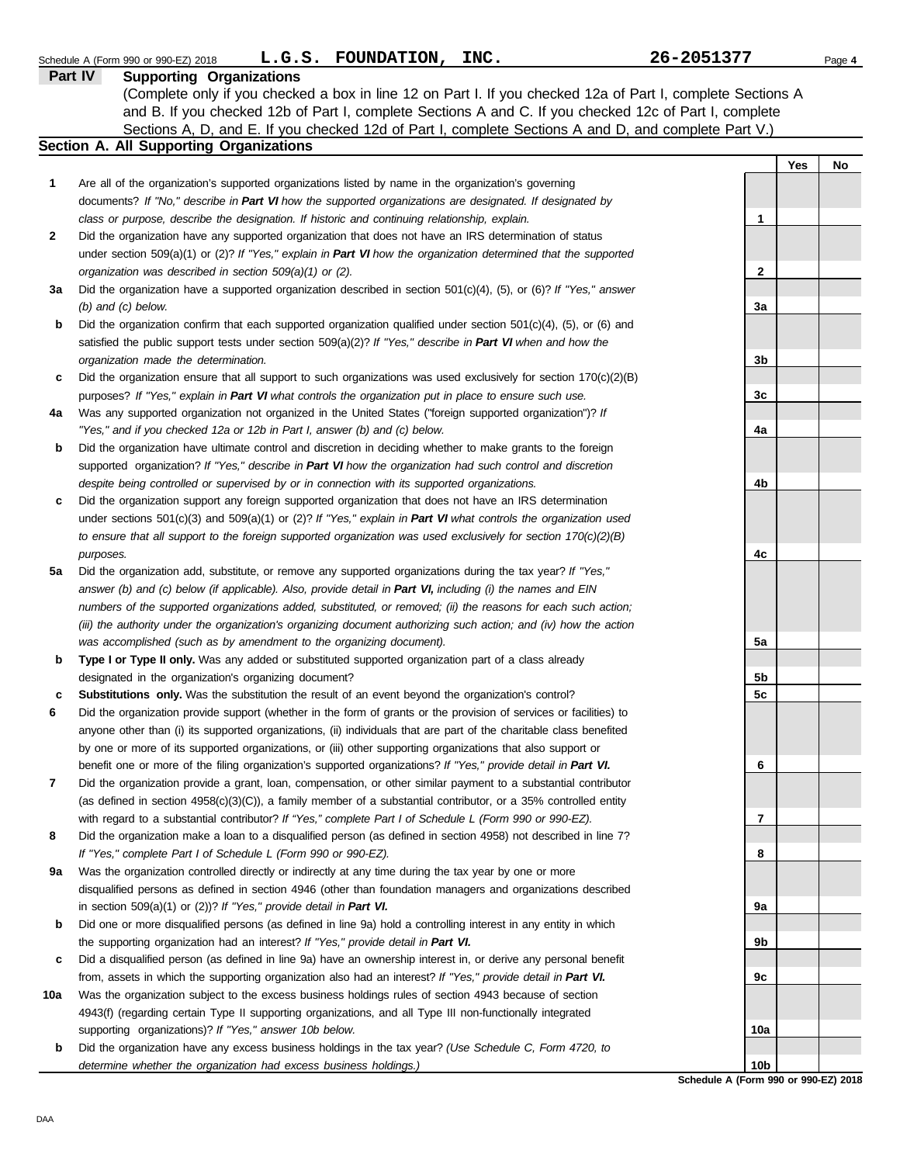|     | L.G.S. FOUNDATION, INC.<br>Schedule A (Form 990 or 990-EZ) 2018                                                     | 26-2051377      | Page 4 |
|-----|---------------------------------------------------------------------------------------------------------------------|-----------------|--------|
|     | Part IV<br><b>Supporting Organizations</b>                                                                          |                 |        |
|     | (Complete only if you checked a box in line 12 on Part I. If you checked 12a of Part I, complete Sections A         |                 |        |
|     | and B. If you checked 12b of Part I, complete Sections A and C. If you checked 12c of Part I, complete              |                 |        |
|     | Sections A, D, and E. If you checked 12d of Part I, complete Sections A and D, and complete Part V.)                |                 |        |
|     | Section A. All Supporting Organizations                                                                             |                 |        |
|     |                                                                                                                     | Yes             | No     |
| 1   | Are all of the organization's supported organizations listed by name in the organization's governing                |                 |        |
|     | documents? If "No," describe in Part VI how the supported organizations are designated. If designated by            |                 |        |
|     | class or purpose, describe the designation. If historic and continuing relationship, explain.                       | 1               |        |
| 2   | Did the organization have any supported organization that does not have an IRS determination of status              |                 |        |
|     | under section $509(a)(1)$ or $(2)?$ If "Yes," explain in Part VI how the organization determined that the supported |                 |        |
|     | organization was described in section $509(a)(1)$ or (2).                                                           | $\mathbf 2$     |        |
| За  | Did the organization have a supported organization described in section $501(c)(4)$ , (5), or (6)? If "Yes," answer |                 |        |
|     | $(b)$ and $(c)$ below.                                                                                              | За              |        |
| b   | Did the organization confirm that each supported organization qualified under section $501(c)(4)$ , (5), or (6) and |                 |        |
|     | satisfied the public support tests under section 509(a)(2)? If "Yes," describe in Part VI when and how the          |                 |        |
|     | organization made the determination.                                                                                | 3b              |        |
| c   | Did the organization ensure that all support to such organizations was used exclusively for section $170(c)(2)(B)$  |                 |        |
|     | purposes? If "Yes," explain in Part VI what controls the organization put in place to ensure such use.              | 3c              |        |
| 4a  | Was any supported organization not organized in the United States ("foreign supported organization")? If            |                 |        |
|     | "Yes," and if you checked 12a or 12b in Part I, answer (b) and (c) below.                                           | 4a              |        |
| b   | Did the organization have ultimate control and discretion in deciding whether to make grants to the foreign         |                 |        |
|     | supported organization? If "Yes," describe in Part VI how the organization had such control and discretion          |                 |        |
|     | despite being controlled or supervised by or in connection with its supported organizations.                        | 4b              |        |
| c   | Did the organization support any foreign supported organization that does not have an IRS determination             |                 |        |
|     | under sections $501(c)(3)$ and $509(a)(1)$ or (2)? If "Yes," explain in Part VI what controls the organization used |                 |        |
|     | to ensure that all support to the foreign supported organization was used exclusively for section $170(c)(2)(B)$    |                 |        |
|     | purposes.                                                                                                           | 4c              |        |
| 5a  | Did the organization add, substitute, or remove any supported organizations during the tax year? If "Yes,"          |                 |        |
|     | answer (b) and (c) below (if applicable). Also, provide detail in Part VI, including (i) the names and EIN          |                 |        |
|     | numbers of the supported organizations added, substituted, or removed; (ii) the reasons for each such action;       |                 |        |
|     | (iii) the authority under the organization's organizing document authorizing such action; and (iv) how the action   |                 |        |
|     | was accomplished (such as by amendment to the organizing document).                                                 | 5a              |        |
| b   | Type I or Type II only. Was any added or substituted supported organization part of a class already                 |                 |        |
|     | designated in the organization's organizing document?                                                               | 5b              |        |
| с   | <b>Substitutions only.</b> Was the substitution the result of an event beyond the organization's control?           | 5 <sub>c</sub>  |        |
| 6   | Did the organization provide support (whether in the form of grants or the provision of services or facilities) to  |                 |        |
|     | anyone other than (i) its supported organizations, (ii) individuals that are part of the charitable class benefited |                 |        |
|     | by one or more of its supported organizations, or (iii) other supporting organizations that also support or         |                 |        |
|     | benefit one or more of the filing organization's supported organizations? If "Yes," provide detail in Part VI.      | 6               |        |
| 7   | Did the organization provide a grant, loan, compensation, or other similar payment to a substantial contributor     |                 |        |
|     | (as defined in section $4958(c)(3)(C)$ ), a family member of a substantial contributor, or a 35% controlled entity  |                 |        |
|     | with regard to a substantial contributor? If "Yes," complete Part I of Schedule L (Form 990 or 990-EZ).             | 7               |        |
| 8   | Did the organization make a loan to a disqualified person (as defined in section 4958) not described in line 7?     |                 |        |
|     | If "Yes," complete Part I of Schedule L (Form 990 or 990-EZ).                                                       | 8               |        |
| 9a  | Was the organization controlled directly or indirectly at any time during the tax year by one or more               |                 |        |
|     | disqualified persons as defined in section 4946 (other than foundation managers and organizations described         |                 |        |
|     | in section 509(a)(1) or (2))? If "Yes," provide detail in Part VI.                                                  | 9а              |        |
| b   | Did one or more disqualified persons (as defined in line 9a) hold a controlling interest in any entity in which     |                 |        |
|     | the supporting organization had an interest? If "Yes," provide detail in Part VI.                                   | 9b              |        |
| c   | Did a disqualified person (as defined in line 9a) have an ownership interest in, or derive any personal benefit     |                 |        |
|     | from, assets in which the supporting organization also had an interest? If "Yes," provide detail in Part VI.        | 9c              |        |
| 10a | Was the organization subject to the excess business holdings rules of section 4943 because of section               |                 |        |
|     | 4943(f) (regarding certain Type II supporting organizations, and all Type III non-functionally integrated           |                 |        |
|     | supporting organizations)? If "Yes," answer 10b below.                                                              | 10a             |        |
| b   | Did the organization have any excess business holdings in the tax year? (Use Schedule C, Form 4720, to              |                 |        |
|     | determine whether the organization had excess business holdings.)                                                   | 10 <sub>b</sub> |        |

**Schedule A (Form 990 or 990-EZ) 2018**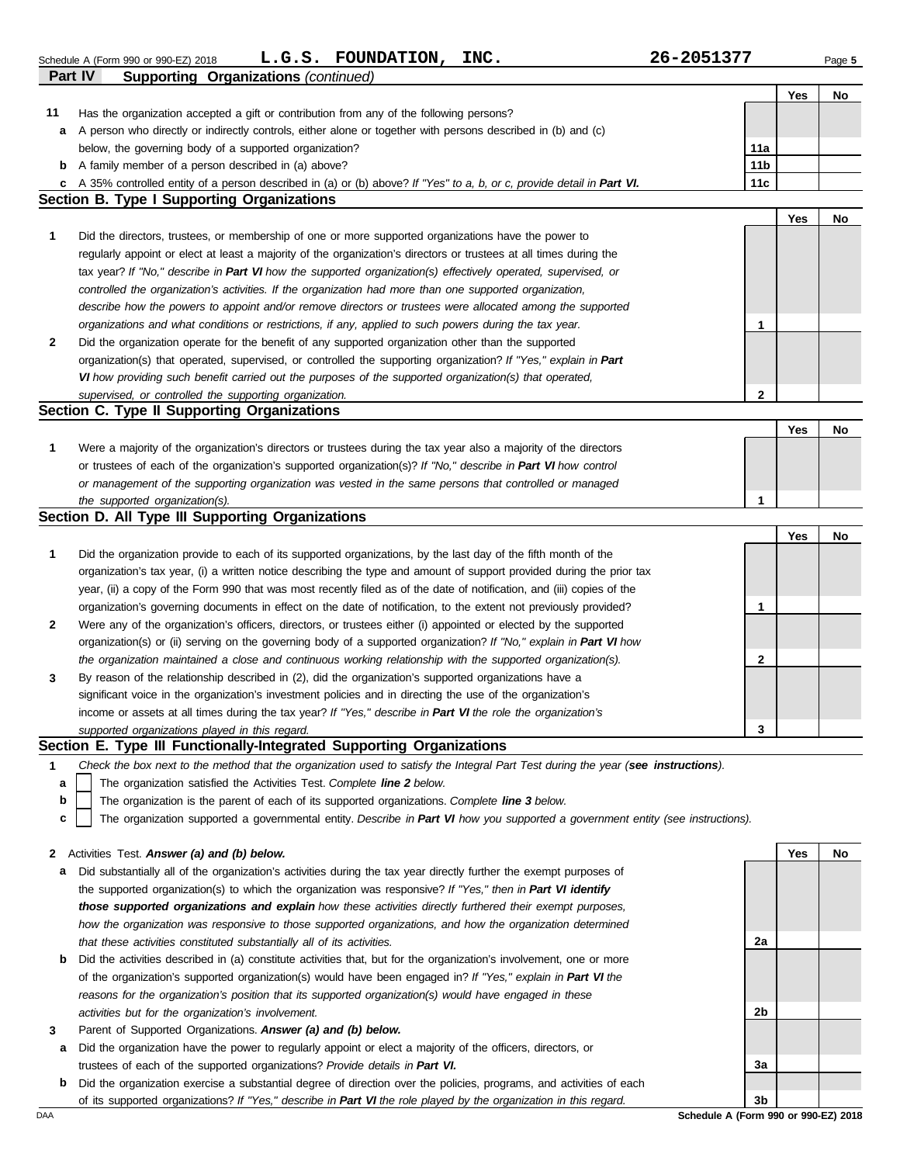|     |                                                                                                                                                           |                 | Yes | No |
|-----|-----------------------------------------------------------------------------------------------------------------------------------------------------------|-----------------|-----|----|
| 11  | Has the organization accepted a gift or contribution from any of the following persons?                                                                   |                 |     |    |
| a   | A person who directly or indirectly controls, either alone or together with persons described in (b) and (c)                                              |                 |     |    |
|     | below, the governing body of a supported organization?                                                                                                    | 11a             |     |    |
| b   | A family member of a person described in (a) above?                                                                                                       | 11 <sub>b</sub> |     |    |
| c   | A 35% controlled entity of a person described in (a) or (b) above? If "Yes" to a, b, or c, provide detail in Part VI.                                     | 11c             |     |    |
|     | <b>Section B. Type I Supporting Organizations</b>                                                                                                         |                 |     |    |
|     |                                                                                                                                                           |                 | Yes | No |
| 1   | Did the directors, trustees, or membership of one or more supported organizations have the power to                                                       |                 |     |    |
|     | regularly appoint or elect at least a majority of the organization's directors or trustees at all times during the                                        |                 |     |    |
|     | tax year? If "No," describe in Part VI how the supported organization(s) effectively operated, supervised, or                                             |                 |     |    |
|     | controlled the organization's activities. If the organization had more than one supported organization,                                                   |                 |     |    |
|     | describe how the powers to appoint and/or remove directors or trustees were allocated among the supported                                                 |                 |     |    |
|     | organizations and what conditions or restrictions, if any, applied to such powers during the tax year.                                                    | 1               |     |    |
| 2   | Did the organization operate for the benefit of any supported organization other than the supported                                                       |                 |     |    |
|     | organization(s) that operated, supervised, or controlled the supporting organization? If "Yes," explain in Part                                           |                 |     |    |
|     | VI how providing such benefit carried out the purposes of the supported organization(s) that operated,                                                    |                 |     |    |
|     | supervised, or controlled the supporting organization.                                                                                                    | $\mathbf{2}$    |     |    |
|     | Section C. Type II Supporting Organizations                                                                                                               |                 |     |    |
|     |                                                                                                                                                           |                 | Yes | No |
| 1   | Were a majority of the organization's directors or trustees during the tax year also a majority of the directors                                          |                 |     |    |
|     | or trustees of each of the organization's supported organization(s)? If "No," describe in Part VI how control                                             |                 |     |    |
|     | or management of the supporting organization was vested in the same persons that controlled or managed                                                    | $\mathbf{1}$    |     |    |
|     | the supported organization(s).<br>Section D. All Type III Supporting Organizations                                                                        |                 |     |    |
|     |                                                                                                                                                           |                 | Yes | No |
| 1   | Did the organization provide to each of its supported organizations, by the last day of the fifth month of the                                            |                 |     |    |
|     | organization's tax year, (i) a written notice describing the type and amount of support provided during the prior tax                                     |                 |     |    |
|     | year, (ii) a copy of the Form 990 that was most recently filed as of the date of notification, and (iii) copies of the                                    |                 |     |    |
|     | organization's governing documents in effect on the date of notification, to the extent not previously provided?                                          | 1               |     |    |
| 2   | Were any of the organization's officers, directors, or trustees either (i) appointed or elected by the supported                                          |                 |     |    |
|     | organization(s) or (ii) serving on the governing body of a supported organization? If "No," explain in Part VI how                                        |                 |     |    |
|     | the organization maintained a close and continuous working relationship with the supported organization(s).                                               | 2               |     |    |
| 3   | By reason of the relationship described in (2), did the organization's supported organizations have a                                                     |                 |     |    |
|     | significant voice in the organization's investment policies and in directing the use of the organization's                                                |                 |     |    |
|     | income or assets at all times during the tax year? If "Yes," describe in Part VI the role the organization's                                              |                 |     |    |
|     | supported organizations played in this regard.                                                                                                            | 3               |     |    |
|     | Section E. Type III Functionally-Integrated Supporting Organizations                                                                                      |                 |     |    |
| 1   | Check the box next to the method that the organization used to satisfy the Integral Part Test during the year (see instructions).                         |                 |     |    |
| а   | The organization satisfied the Activities Test. Complete line 2 below.                                                                                    |                 |     |    |
| b   | The organization is the parent of each of its supported organizations. Complete line 3 below.                                                             |                 |     |    |
| c   | The organization supported a governmental entity. Describe in Part VI how you supported a government entity (see instructions).                           |                 |     |    |
|     |                                                                                                                                                           |                 |     |    |
| 2   | Activities Test. Answer (a) and (b) below.                                                                                                                |                 | Yes | No |
| а   | Did substantially all of the organization's activities during the tax year directly further the exempt purposes of                                        |                 |     |    |
|     | the supported organization(s) to which the organization was responsive? If "Yes," then in Part VI identify                                                |                 |     |    |
|     | those supported organizations and explain how these activities directly furthered their exempt purposes,                                                  |                 |     |    |
|     | how the organization was responsive to those supported organizations, and how the organization determined                                                 |                 |     |    |
|     | that these activities constituted substantially all of its activities.                                                                                    | 2a              |     |    |
| b   | Did the activities described in (a) constitute activities that, but for the organization's involvement, one or more                                       |                 |     |    |
|     | of the organization's supported organization(s) would have been engaged in? If "Yes," explain in Part VI the                                              |                 |     |    |
|     | reasons for the organization's position that its supported organization(s) would have engaged in these                                                    |                 |     |    |
|     | activities but for the organization's involvement.                                                                                                        | 2b              |     |    |
| 3   | Parent of Supported Organizations. Answer (a) and (b) below.                                                                                              |                 |     |    |
| а   | Did the organization have the power to regularly appoint or elect a majority of the officers, directors, or                                               |                 |     |    |
|     | trustees of each of the supported organizations? Provide details in Part VI.                                                                              | За              |     |    |
| b   | Did the organization exercise a substantial degree of direction over the policies, programs, and activities of each                                       |                 |     |    |
| DAA | of its supported organizations? If "Yes," describe in Part VI the role played by the organization in this regard.<br>Schedule A (Form 990 or 990-EZ) 2018 | 3b              |     |    |
|     |                                                                                                                                                           |                 |     |    |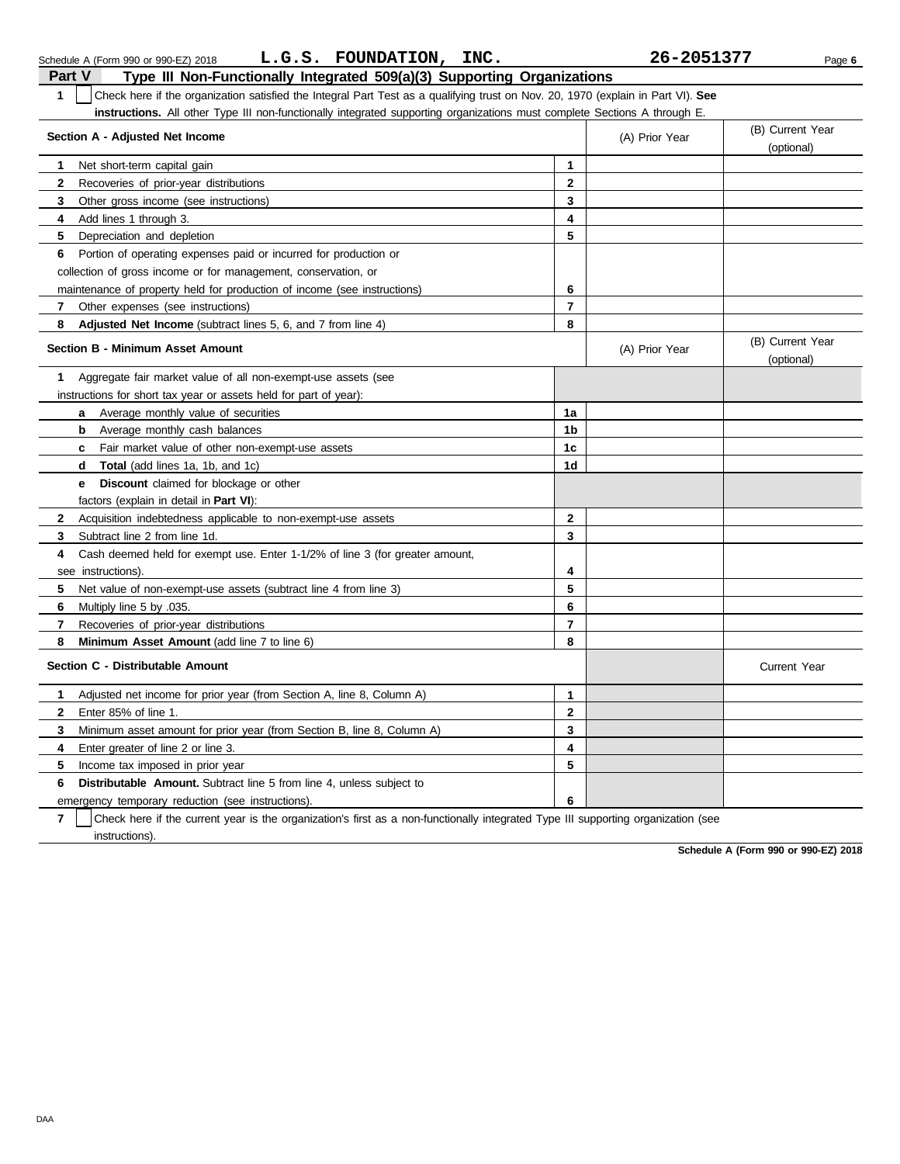| Check here if the organization satisfied the Integral Part Test as a qualifying trust on Nov. 20, 1970 (explain in Part VI). See<br>1 |                         |                |                                |  |  |  |
|---------------------------------------------------------------------------------------------------------------------------------------|-------------------------|----------------|--------------------------------|--|--|--|
| instructions. All other Type III non-functionally integrated supporting organizations must complete Sections A through E.             |                         |                |                                |  |  |  |
| Section A - Adjusted Net Income                                                                                                       |                         | (A) Prior Year | (B) Current Year               |  |  |  |
|                                                                                                                                       |                         |                | (optional)                     |  |  |  |
| Net short-term capital gain<br>1                                                                                                      | $\mathbf 1$             |                |                                |  |  |  |
| $\mathbf{2}$<br>Recoveries of prior-year distributions                                                                                | $\overline{2}$          |                |                                |  |  |  |
| 3<br>Other gross income (see instructions)                                                                                            | 3                       |                |                                |  |  |  |
| Add lines 1 through 3.<br>4                                                                                                           | 4                       |                |                                |  |  |  |
| 5<br>Depreciation and depletion                                                                                                       | 5                       |                |                                |  |  |  |
| Portion of operating expenses paid or incurred for production or<br>6                                                                 |                         |                |                                |  |  |  |
| collection of gross income or for management, conservation, or                                                                        |                         |                |                                |  |  |  |
| maintenance of property held for production of income (see instructions)                                                              | 6                       |                |                                |  |  |  |
| Other expenses (see instructions)<br>$\mathbf{7}$                                                                                     | $\overline{7}$          |                |                                |  |  |  |
| 8<br>Adjusted Net Income (subtract lines 5, 6, and 7 from line 4)                                                                     | 8                       |                |                                |  |  |  |
| Section B - Minimum Asset Amount                                                                                                      |                         | (A) Prior Year | (B) Current Year<br>(optional) |  |  |  |
| Aggregate fair market value of all non-exempt-use assets (see<br>1.                                                                   |                         |                |                                |  |  |  |
| instructions for short tax year or assets held for part of year):                                                                     |                         |                |                                |  |  |  |
| Average monthly value of securities<br>a                                                                                              | 1a                      |                |                                |  |  |  |
| Average monthly cash balances<br>b                                                                                                    | 1 <sub>b</sub>          |                |                                |  |  |  |
| Fair market value of other non-exempt-use assets<br>c                                                                                 | 1 <sub>c</sub>          |                |                                |  |  |  |
| <b>Total</b> (add lines 1a, 1b, and 1c)<br>d                                                                                          | 1d                      |                |                                |  |  |  |
| <b>Discount</b> claimed for blockage or other<br>е                                                                                    |                         |                |                                |  |  |  |
| factors (explain in detail in <b>Part VI)</b> :                                                                                       |                         |                |                                |  |  |  |
| $\mathbf{2}$<br>Acquisition indebtedness applicable to non-exempt-use assets                                                          | $\mathbf{2}$            |                |                                |  |  |  |
| 3<br>Subtract line 2 from line 1d.                                                                                                    | 3                       |                |                                |  |  |  |
| Cash deemed held for exempt use. Enter 1-1/2% of line 3 (for greater amount,<br>4                                                     |                         |                |                                |  |  |  |
| see instructions)                                                                                                                     | 4                       |                |                                |  |  |  |
| 5<br>Net value of non-exempt-use assets (subtract line 4 from line 3)                                                                 | 5                       |                |                                |  |  |  |
| Multiply line 5 by .035.<br>6                                                                                                         | 6                       |                |                                |  |  |  |
| 7<br>Recoveries of prior-year distributions                                                                                           | $\overline{\mathbf{r}}$ |                |                                |  |  |  |
| <b>Minimum Asset Amount</b> (add line 7 to line 6)<br>8                                                                               | 8                       |                |                                |  |  |  |
| Section C - Distributable Amount                                                                                                      |                         |                | <b>Current Year</b>            |  |  |  |
| Adjusted net income for prior year (from Section A, line 8, Column A)<br>1                                                            | 1                       |                |                                |  |  |  |
| $\mathbf{2}$<br>Enter 85% of line 1.                                                                                                  | $\overline{2}$          |                |                                |  |  |  |
| 3<br>Minimum asset amount for prior year (from Section B, line 8, Column A)                                                           | 3                       |                |                                |  |  |  |
| 4<br>Enter greater of line 2 or line 3.                                                                                               | 4                       |                |                                |  |  |  |
| 5<br>Income tax imposed in prior year                                                                                                 | 5                       |                |                                |  |  |  |
| Distributable Amount. Subtract line 5 from line 4, unless subject to<br>6                                                             |                         |                |                                |  |  |  |
| emergency temporary reduction (see instructions).                                                                                     | 6                       |                |                                |  |  |  |
|                                                                                                                                       |                         |                |                                |  |  |  |

**7** | Check here if the current year is the organization's first as a non-functionally integrated Type III supporting organization (see instructions).

**Schedule A (Form 990 or 990-EZ) 2018**

Schedule A (Form 990 or 990-EZ) 2018 Page **6 L.G.S. FOUNDATION, INC. 26-2051377**

|               | Schedule A (Form 990 or 990-EZ) 2018                                    | L.G.S. FOUNDATION, INC. |  |  |
|---------------|-------------------------------------------------------------------------|-------------------------|--|--|
| <b>Part V</b> | Type III Non-Functionally Integrated 509(a)(3) Supporting Organizations |                         |  |  |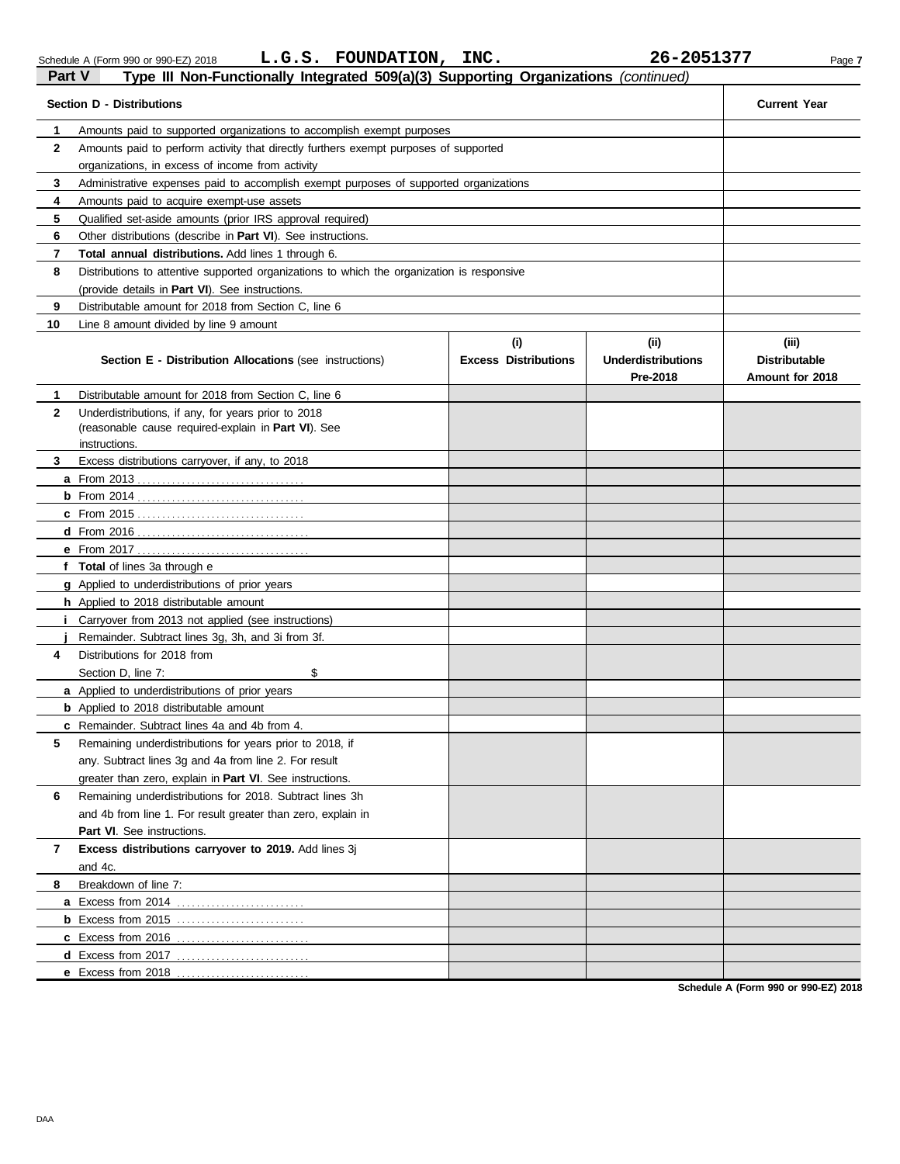|                | $\frac{1}{2}$ in Non-Functionary integrated $\frac{1}{2}$ or $\frac{1}{2}$ or $\frac{1}{2}$ or $\frac{1}{2}$ or $\frac{1}{2}$ or $\frac{1}{2}$ or $\frac{1}{2}$<br><b>Section D - Distributions</b> |                             |                                       |                                         |  |  |  |  |  |
|----------------|-----------------------------------------------------------------------------------------------------------------------------------------------------------------------------------------------------|-----------------------------|---------------------------------------|-----------------------------------------|--|--|--|--|--|
|                |                                                                                                                                                                                                     |                             |                                       |                                         |  |  |  |  |  |
| 1<br>2         | Amounts paid to supported organizations to accomplish exempt purposes                                                                                                                               |                             |                                       |                                         |  |  |  |  |  |
|                | Amounts paid to perform activity that directly furthers exempt purposes of supported<br>organizations, in excess of income from activity                                                            |                             |                                       |                                         |  |  |  |  |  |
| 3              | Administrative expenses paid to accomplish exempt purposes of supported organizations                                                                                                               |                             |                                       |                                         |  |  |  |  |  |
| 4              | Amounts paid to acquire exempt-use assets                                                                                                                                                           |                             |                                       |                                         |  |  |  |  |  |
| 5              | Qualified set-aside amounts (prior IRS approval required)                                                                                                                                           |                             |                                       |                                         |  |  |  |  |  |
| 6              | Other distributions (describe in <b>Part VI</b> ). See instructions.                                                                                                                                |                             |                                       |                                         |  |  |  |  |  |
| $\overline{7}$ | Total annual distributions. Add lines 1 through 6.                                                                                                                                                  |                             |                                       |                                         |  |  |  |  |  |
| 8              | Distributions to attentive supported organizations to which the organization is responsive                                                                                                          |                             |                                       |                                         |  |  |  |  |  |
|                | (provide details in Part VI). See instructions.                                                                                                                                                     |                             |                                       |                                         |  |  |  |  |  |
| 9              | Distributable amount for 2018 from Section C, line 6                                                                                                                                                |                             |                                       |                                         |  |  |  |  |  |
| 10             | Line 8 amount divided by line 9 amount                                                                                                                                                              |                             |                                       |                                         |  |  |  |  |  |
|                |                                                                                                                                                                                                     | (i)                         | (ii)                                  | (iii)                                   |  |  |  |  |  |
|                | <b>Section E - Distribution Allocations (see instructions)</b>                                                                                                                                      | <b>Excess Distributions</b> | <b>Underdistributions</b><br>Pre-2018 | <b>Distributable</b><br>Amount for 2018 |  |  |  |  |  |
| 1              | Distributable amount for 2018 from Section C, line 6                                                                                                                                                |                             |                                       |                                         |  |  |  |  |  |
| $\mathbf{2}$   | Underdistributions, if any, for years prior to 2018                                                                                                                                                 |                             |                                       |                                         |  |  |  |  |  |
|                | (reasonable cause required-explain in Part VI). See                                                                                                                                                 |                             |                                       |                                         |  |  |  |  |  |
|                | instructions.                                                                                                                                                                                       |                             |                                       |                                         |  |  |  |  |  |
| 3              | Excess distributions carryover, if any, to 2018                                                                                                                                                     |                             |                                       |                                         |  |  |  |  |  |
|                |                                                                                                                                                                                                     |                             |                                       |                                         |  |  |  |  |  |
|                |                                                                                                                                                                                                     |                             |                                       |                                         |  |  |  |  |  |
|                |                                                                                                                                                                                                     |                             |                                       |                                         |  |  |  |  |  |
|                |                                                                                                                                                                                                     |                             |                                       |                                         |  |  |  |  |  |
|                | f Total of lines 3a through e                                                                                                                                                                       |                             |                                       |                                         |  |  |  |  |  |
|                | <b>g</b> Applied to underdistributions of prior years                                                                                                                                               |                             |                                       |                                         |  |  |  |  |  |
|                | <b>h</b> Applied to 2018 distributable amount                                                                                                                                                       |                             |                                       |                                         |  |  |  |  |  |
| i.             | Carryover from 2013 not applied (see instructions)                                                                                                                                                  |                             |                                       |                                         |  |  |  |  |  |
|                | Remainder. Subtract lines 3g, 3h, and 3i from 3f.                                                                                                                                                   |                             |                                       |                                         |  |  |  |  |  |
| 4              | Distributions for 2018 from                                                                                                                                                                         |                             |                                       |                                         |  |  |  |  |  |
|                | \$<br>Section D, line 7:                                                                                                                                                                            |                             |                                       |                                         |  |  |  |  |  |
|                | a Applied to underdistributions of prior years                                                                                                                                                      |                             |                                       |                                         |  |  |  |  |  |
|                | <b>b</b> Applied to 2018 distributable amount                                                                                                                                                       |                             |                                       |                                         |  |  |  |  |  |
|                | c Remainder. Subtract lines 4a and 4b from 4.                                                                                                                                                       |                             |                                       |                                         |  |  |  |  |  |
| 5              | Remaining underdistributions for years prior to 2018, if                                                                                                                                            |                             |                                       |                                         |  |  |  |  |  |
|                | any. Subtract lines 3g and 4a from line 2. For result                                                                                                                                               |                             |                                       |                                         |  |  |  |  |  |
|                | greater than zero, explain in <b>Part VI</b> . See instructions.                                                                                                                                    |                             |                                       |                                         |  |  |  |  |  |
| 6              | Remaining underdistributions for 2018. Subtract lines 3h                                                                                                                                            |                             |                                       |                                         |  |  |  |  |  |
|                | and 4b from line 1. For result greater than zero, explain in                                                                                                                                        |                             |                                       |                                         |  |  |  |  |  |
|                | Part VI. See instructions.                                                                                                                                                                          |                             |                                       |                                         |  |  |  |  |  |
| 7              | Excess distributions carryover to 2019. Add lines 3j                                                                                                                                                |                             |                                       |                                         |  |  |  |  |  |
|                | and 4c.                                                                                                                                                                                             |                             |                                       |                                         |  |  |  |  |  |
| 8              | Breakdown of line 7:                                                                                                                                                                                |                             |                                       |                                         |  |  |  |  |  |
|                |                                                                                                                                                                                                     |                             |                                       |                                         |  |  |  |  |  |
|                |                                                                                                                                                                                                     |                             |                                       |                                         |  |  |  |  |  |
|                |                                                                                                                                                                                                     |                             |                                       |                                         |  |  |  |  |  |
|                |                                                                                                                                                                                                     |                             |                                       |                                         |  |  |  |  |  |
|                | e Excess from 2018                                                                                                                                                                                  |                             |                                       |                                         |  |  |  |  |  |

**Schedule A (Form 990 or 990-EZ) 2018**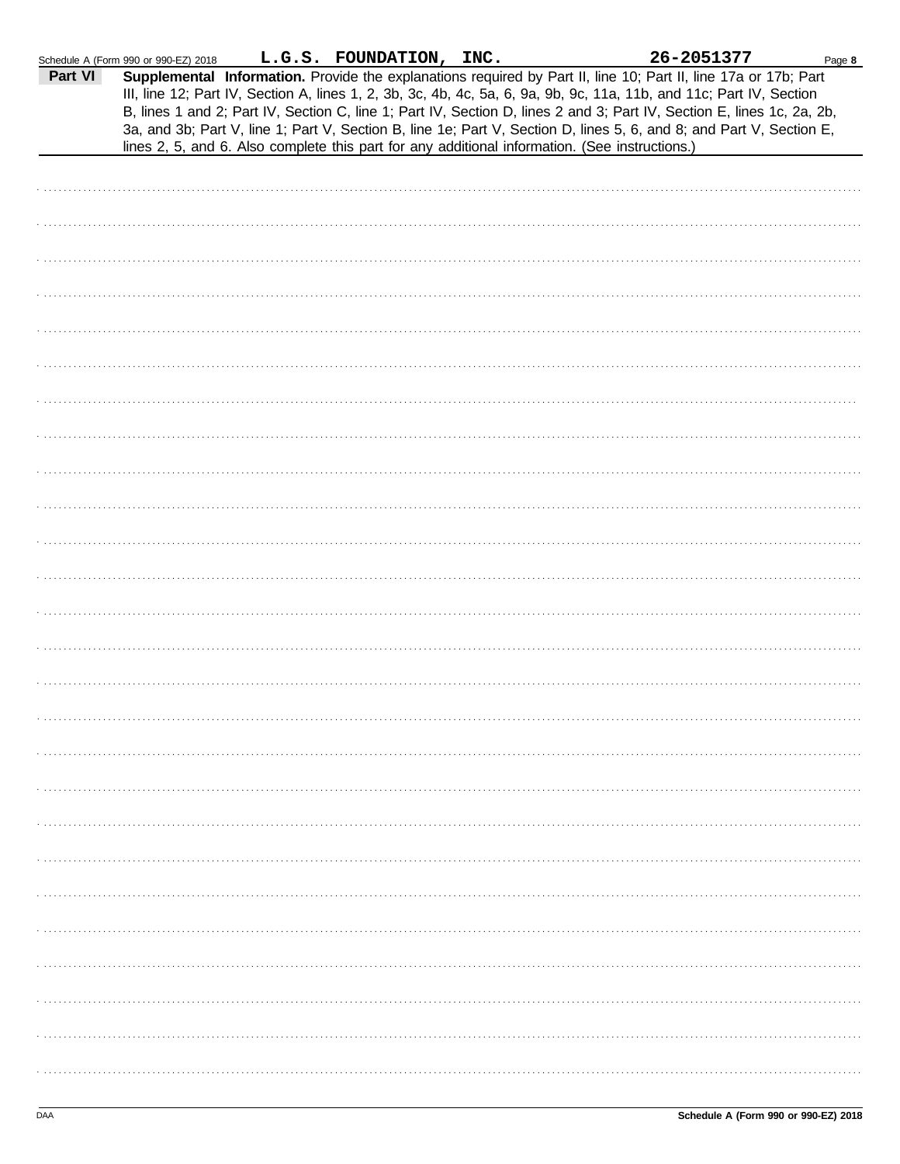|         | Schedule A (Form 990 or 990-EZ) 2018 | L.G.S. FOUNDATION, INC. | 26-2051377                                                                                                                                                                                                                                                                                                                                                                                                                                                                                                                                                                                  | Page 8 |
|---------|--------------------------------------|-------------------------|---------------------------------------------------------------------------------------------------------------------------------------------------------------------------------------------------------------------------------------------------------------------------------------------------------------------------------------------------------------------------------------------------------------------------------------------------------------------------------------------------------------------------------------------------------------------------------------------|--------|
| Part VI |                                      |                         | Supplemental Information. Provide the explanations required by Part II, line 10; Part II, line 17a or 17b; Part<br>III, line 12; Part IV, Section A, lines 1, 2, 3b, 3c, 4b, 4c, 5a, 6, 9a, 9b, 9c, 11a, 11b, and 11c; Part IV, Section<br>B, lines 1 and 2; Part IV, Section C, line 1; Part IV, Section D, lines 2 and 3; Part IV, Section E, lines 1c, 2a, 2b,<br>3a, and 3b; Part V, line 1; Part V, Section B, line 1e; Part V, Section D, lines 5, 6, and 8; and Part V, Section E,<br>lines 2, 5, and 6. Also complete this part for any additional information. (See instructions.) |        |
|         |                                      |                         |                                                                                                                                                                                                                                                                                                                                                                                                                                                                                                                                                                                             |        |
|         |                                      |                         |                                                                                                                                                                                                                                                                                                                                                                                                                                                                                                                                                                                             |        |
|         |                                      |                         |                                                                                                                                                                                                                                                                                                                                                                                                                                                                                                                                                                                             |        |
|         |                                      |                         |                                                                                                                                                                                                                                                                                                                                                                                                                                                                                                                                                                                             |        |
|         |                                      |                         |                                                                                                                                                                                                                                                                                                                                                                                                                                                                                                                                                                                             |        |
|         |                                      |                         |                                                                                                                                                                                                                                                                                                                                                                                                                                                                                                                                                                                             |        |
|         |                                      |                         |                                                                                                                                                                                                                                                                                                                                                                                                                                                                                                                                                                                             |        |
|         |                                      |                         |                                                                                                                                                                                                                                                                                                                                                                                                                                                                                                                                                                                             |        |
|         |                                      |                         |                                                                                                                                                                                                                                                                                                                                                                                                                                                                                                                                                                                             |        |
|         |                                      |                         |                                                                                                                                                                                                                                                                                                                                                                                                                                                                                                                                                                                             |        |
|         |                                      |                         |                                                                                                                                                                                                                                                                                                                                                                                                                                                                                                                                                                                             |        |
|         |                                      |                         |                                                                                                                                                                                                                                                                                                                                                                                                                                                                                                                                                                                             |        |
|         |                                      |                         |                                                                                                                                                                                                                                                                                                                                                                                                                                                                                                                                                                                             |        |
|         |                                      |                         |                                                                                                                                                                                                                                                                                                                                                                                                                                                                                                                                                                                             |        |
|         |                                      |                         |                                                                                                                                                                                                                                                                                                                                                                                                                                                                                                                                                                                             |        |
|         |                                      |                         |                                                                                                                                                                                                                                                                                                                                                                                                                                                                                                                                                                                             |        |
|         |                                      |                         |                                                                                                                                                                                                                                                                                                                                                                                                                                                                                                                                                                                             |        |
|         |                                      |                         |                                                                                                                                                                                                                                                                                                                                                                                                                                                                                                                                                                                             |        |
|         |                                      |                         |                                                                                                                                                                                                                                                                                                                                                                                                                                                                                                                                                                                             |        |
|         |                                      |                         |                                                                                                                                                                                                                                                                                                                                                                                                                                                                                                                                                                                             |        |
|         |                                      |                         |                                                                                                                                                                                                                                                                                                                                                                                                                                                                                                                                                                                             |        |
|         |                                      |                         |                                                                                                                                                                                                                                                                                                                                                                                                                                                                                                                                                                                             |        |
|         |                                      |                         |                                                                                                                                                                                                                                                                                                                                                                                                                                                                                                                                                                                             |        |
|         |                                      |                         |                                                                                                                                                                                                                                                                                                                                                                                                                                                                                                                                                                                             |        |
|         |                                      |                         |                                                                                                                                                                                                                                                                                                                                                                                                                                                                                                                                                                                             |        |
|         |                                      |                         |                                                                                                                                                                                                                                                                                                                                                                                                                                                                                                                                                                                             |        |
|         |                                      |                         |                                                                                                                                                                                                                                                                                                                                                                                                                                                                                                                                                                                             |        |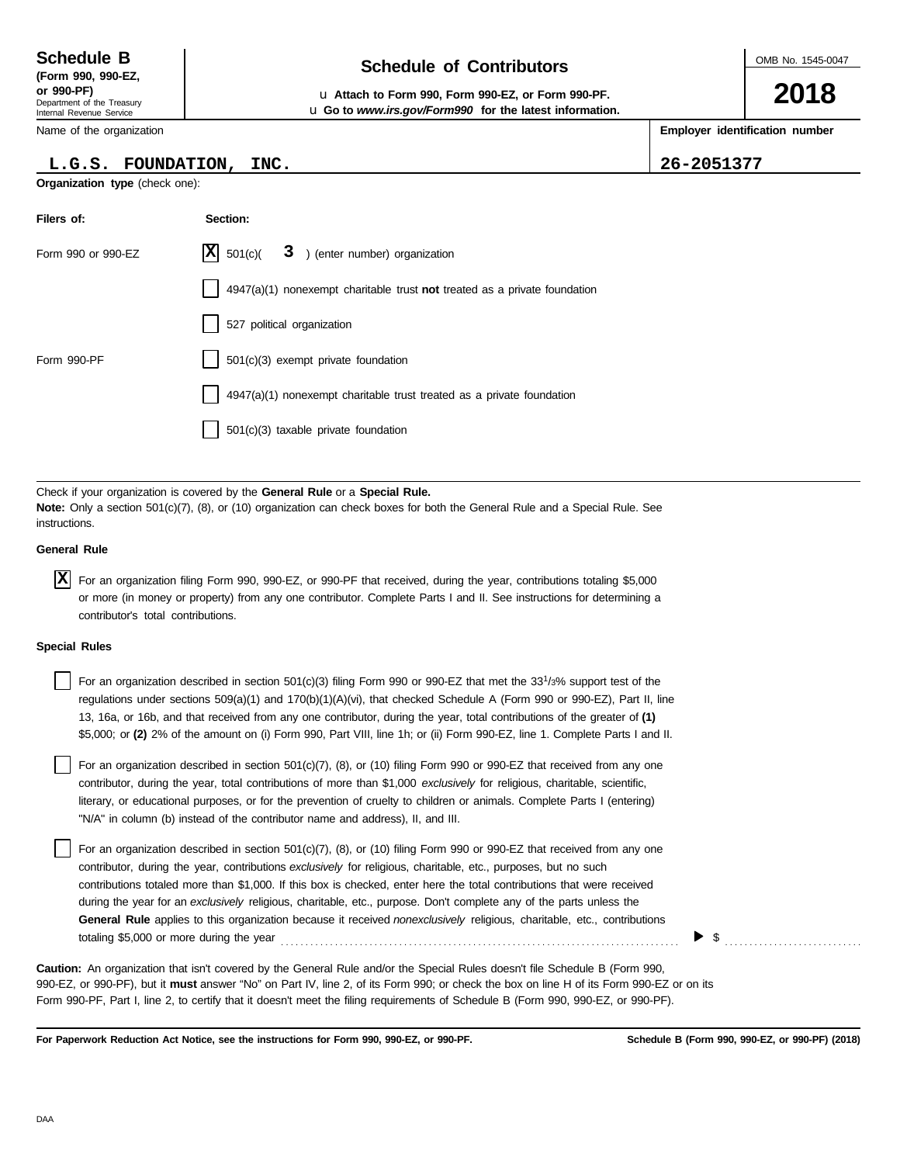Department of the Treasury Internal Revenue Service **(Form 990, 990-EZ,**

Name of the organization

### **L.G.S. FOUNDATION, INC. 26-2051377**

**Organization type** (check one):

**Filers of: Section:**

| Schedule B               | <b>Schedule of Contributors</b> |
|--------------------------|---------------------------------|
| $T_{\rm arm}$ 000 000.57 |                                 |

**or 990-PF)** u **Attach to Form 990, Form 990-EZ, or Form 990-PF.** u **Go to** *www.irs.gov/Form990* **for the latest information.** OMB No. 1545-0047

**2018**

**Employer identification number**

|                      | Form 990 or 990-EZ                                                                                                                                                                                                                                                                                                                                                                                                                                                                                                                                                                                                  | X <br>501(c)                         |  | 3 ) (enter number) organization                                             |  |  |  |  |  |    |  |
|----------------------|---------------------------------------------------------------------------------------------------------------------------------------------------------------------------------------------------------------------------------------------------------------------------------------------------------------------------------------------------------------------------------------------------------------------------------------------------------------------------------------------------------------------------------------------------------------------------------------------------------------------|--------------------------------------|--|-----------------------------------------------------------------------------|--|--|--|--|--|----|--|
|                      |                                                                                                                                                                                                                                                                                                                                                                                                                                                                                                                                                                                                                     |                                      |  | $4947(a)(1)$ nonexempt charitable trust not treated as a private foundation |  |  |  |  |  |    |  |
|                      |                                                                                                                                                                                                                                                                                                                                                                                                                                                                                                                                                                                                                     | 527 political organization           |  |                                                                             |  |  |  |  |  |    |  |
| Form 990-PF          |                                                                                                                                                                                                                                                                                                                                                                                                                                                                                                                                                                                                                     | 501(c)(3) exempt private foundation  |  |                                                                             |  |  |  |  |  |    |  |
|                      |                                                                                                                                                                                                                                                                                                                                                                                                                                                                                                                                                                                                                     |                                      |  | 4947(a)(1) nonexempt charitable trust treated as a private foundation       |  |  |  |  |  |    |  |
|                      |                                                                                                                                                                                                                                                                                                                                                                                                                                                                                                                                                                                                                     | 501(c)(3) taxable private foundation |  |                                                                             |  |  |  |  |  |    |  |
|                      |                                                                                                                                                                                                                                                                                                                                                                                                                                                                                                                                                                                                                     |                                      |  |                                                                             |  |  |  |  |  |    |  |
| instructions.        | Check if your organization is covered by the <b>General Rule</b> or a <b>Special Rule.</b><br><b>Note:</b> Only a section 501(c)(7), (8), or (10) organization can check boxes for both the General Rule and a Special Rule. See                                                                                                                                                                                                                                                                                                                                                                                    |                                      |  |                                                                             |  |  |  |  |  |    |  |
| <b>General Rule</b>  |                                                                                                                                                                                                                                                                                                                                                                                                                                                                                                                                                                                                                     |                                      |  |                                                                             |  |  |  |  |  |    |  |
| ΙXΙ                  | For an organization filing Form 990, 990-EZ, or 990-PF that received, during the year, contributions totaling \$5,000<br>or more (in money or property) from any one contributor. Complete Parts I and II. See instructions for determining a<br>contributor's total contributions.                                                                                                                                                                                                                                                                                                                                 |                                      |  |                                                                             |  |  |  |  |  |    |  |
| <b>Special Rules</b> |                                                                                                                                                                                                                                                                                                                                                                                                                                                                                                                                                                                                                     |                                      |  |                                                                             |  |  |  |  |  |    |  |
|                      | For an organization described in section $501(c)(3)$ filing Form 990 or 990-EZ that met the 33 <sup>1</sup> /3% support test of the<br>regulations under sections 509(a)(1) and 170(b)(1)(A)(vi), that checked Schedule A (Form 990 or 990-EZ), Part II, line<br>13, 16a, or 16b, and that received from any one contributor, during the year, total contributions of the greater of (1)<br>\$5,000; or (2) 2% of the amount on (i) Form 990, Part VIII, line 1h; or (ii) Form 990-EZ, line 1. Complete Parts I and II.                                                                                             |                                      |  |                                                                             |  |  |  |  |  |    |  |
|                      | For an organization described in section 501(c)(7), (8), or (10) filing Form 990 or 990-EZ that received from any one<br>contributor, during the year, total contributions of more than \$1,000 exclusively for religious, charitable, scientific,<br>literary, or educational purposes, or for the prevention of cruelty to children or animals. Complete Parts I (entering)<br>"N/A" in column (b) instead of the contributor name and address), II, and III.                                                                                                                                                     |                                      |  |                                                                             |  |  |  |  |  |    |  |
|                      | For an organization described in section 501(c)(7), (8), or (10) filing Form 990 or 990-EZ that received from any one<br>contributor, during the year, contributions exclusively for religious, charitable, etc., purposes, but no such<br>contributions totaled more than \$1,000. If this box is checked, enter here the total contributions that were received<br>during the year for an exclusively religious, charitable, etc., purpose. Don't complete any of the parts unless the<br>General Rule applies to this organization because it received nonexclusively religious, charitable, etc., contributions |                                      |  |                                                                             |  |  |  |  |  |    |  |
|                      | totaling \$5,000 or more during the year                                                                                                                                                                                                                                                                                                                                                                                                                                                                                                                                                                            |                                      |  |                                                                             |  |  |  |  |  | \$ |  |
|                      | <b>Caution:</b> An organization that isn't covered by the General Rule and/or the Special Rules doesn't file Schedule B (Form 990,<br>990-EZ, or 990-PF), but it must answer "No" on Part IV, line 2, of its Form 990; or check the box on line H of its Form 990-EZ or on its<br>Form 990-PF, Part I, line 2, to certify that it doesn't meet the filing requirements of Schedule B (Form 990, 990-EZ, or 990-PF).                                                                                                                                                                                                 |                                      |  |                                                                             |  |  |  |  |  |    |  |

**For Paperwork Reduction Act Notice, see the instructions for Form 990, 990-EZ, or 990-PF.**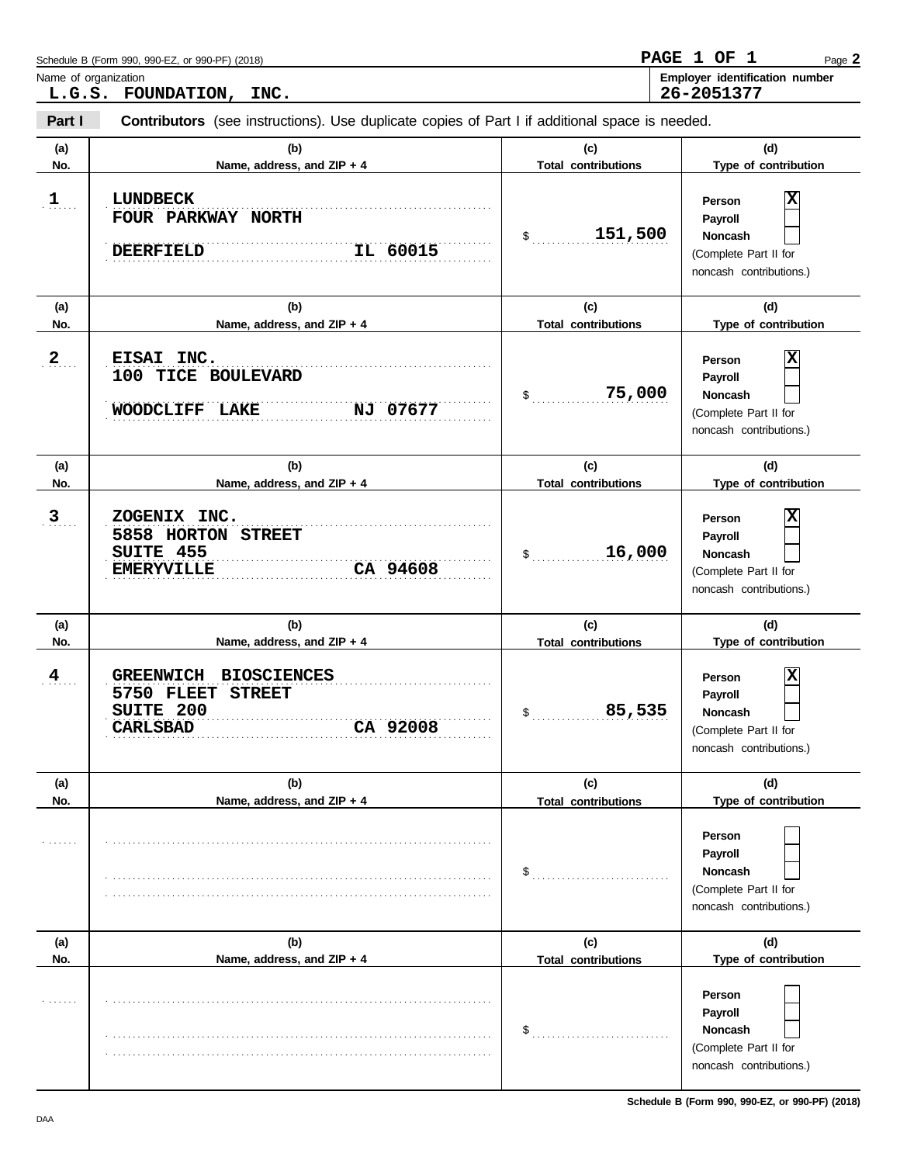|                      | Schedule B (Form 990, 990-EZ, or 990-PF) (2018)                                                         |                                                            | PAGE 1 OF 1<br>Page 2                                                                        |  |  |  |  |
|----------------------|---------------------------------------------------------------------------------------------------------|------------------------------------------------------------|----------------------------------------------------------------------------------------------|--|--|--|--|
| Name of organization | L.G.S. FOUNDATION, INC.                                                                                 | Employer identification number<br>26-2051377               |                                                                                              |  |  |  |  |
| Part I               | Contributors (see instructions). Use duplicate copies of Part I if additional space is needed.          |                                                            |                                                                                              |  |  |  |  |
| (a)<br>No.           | (b)<br>Name, address, and ZIP + 4                                                                       | (c)<br><b>Total contributions</b>                          | (d)<br>Type of contribution                                                                  |  |  |  |  |
| $1$                  | <b>LUNDBECK</b><br>FOUR PARKWAY NORTH<br>IL 60015<br><b>DEERFIELD</b>                                   | 151,500<br>\$                                              | X<br>Person<br>Payroll<br><b>Noncash</b><br>(Complete Part II for<br>noncash contributions.) |  |  |  |  |
| (a)<br>No.           | (b)<br>Name, address, and ZIP + 4                                                                       | (c)<br><b>Total contributions</b>                          | (d)<br>Type of contribution                                                                  |  |  |  |  |
| $2_{\ldots}$         | EISAI INC.<br>100 TICE BOULEVARD<br><b>WOODCLIFF</b><br>NJ 07677<br><b>LAKE</b>                         | 75,000<br>\$                                               | X<br>Person<br>Payroll<br><b>Noncash</b><br>(Complete Part II for<br>noncash contributions.) |  |  |  |  |
| (a)<br>No.           | (b)<br>Name, address, and ZIP + 4                                                                       | (c)<br><b>Total contributions</b>                          | (d)<br>Type of contribution                                                                  |  |  |  |  |
| $\overline{3}$       | ZOGENIX INC.<br>5858 HORTON STREET<br>SUITE 455<br><b>EMERYVILLE</b><br>CA 94608                        | 16,000<br>\$                                               | X<br>Person<br>Payroll<br><b>Noncash</b><br>(Complete Part II for<br>noncash contributions.) |  |  |  |  |
| (a)<br>No.           | (b)<br>Name, address, and ZIP + 4                                                                       | (c)<br><b>Total contributions</b>                          | (d)<br>Type of contribution                                                                  |  |  |  |  |
| $\frac{4}{\pi}$      | <b>BIOSCIENCES</b><br><b>GREENWICH</b><br>5750 FLEET STREET<br>SUITE 200<br>CA 92008<br><b>CARLSBAD</b> | 85,535<br>$\mathsf{\$}$                                    | X<br>Person<br>Payroll<br>Noncash<br>(Complete Part II for<br>noncash contributions.)        |  |  |  |  |
| (a)<br>No.           | (b)<br>Name, address, and ZIP + 4                                                                       | (c)<br><b>Total contributions</b>                          | (d)<br>Type of contribution                                                                  |  |  |  |  |
| .                    |                                                                                                         | $\$\ldots\ldots\ldots\ldots\ldots\ldots\ldots\ldots\ldots$ | Person<br>Payroll<br><b>Noncash</b><br>(Complete Part II for<br>noncash contributions.)      |  |  |  |  |
| (a)<br>No.           | (b)<br>Name, address, and ZIP + 4                                                                       | (c)<br><b>Total contributions</b>                          | (d)<br>Type of contribution                                                                  |  |  |  |  |
| .                    |                                                                                                         | $\$\ldots\ldots\ldots\ldots\ldots\ldots\ldots\ldots\ldots$ | Person<br>Payroll<br><b>Noncash</b><br>(Complete Part II for<br>noncash contributions.)      |  |  |  |  |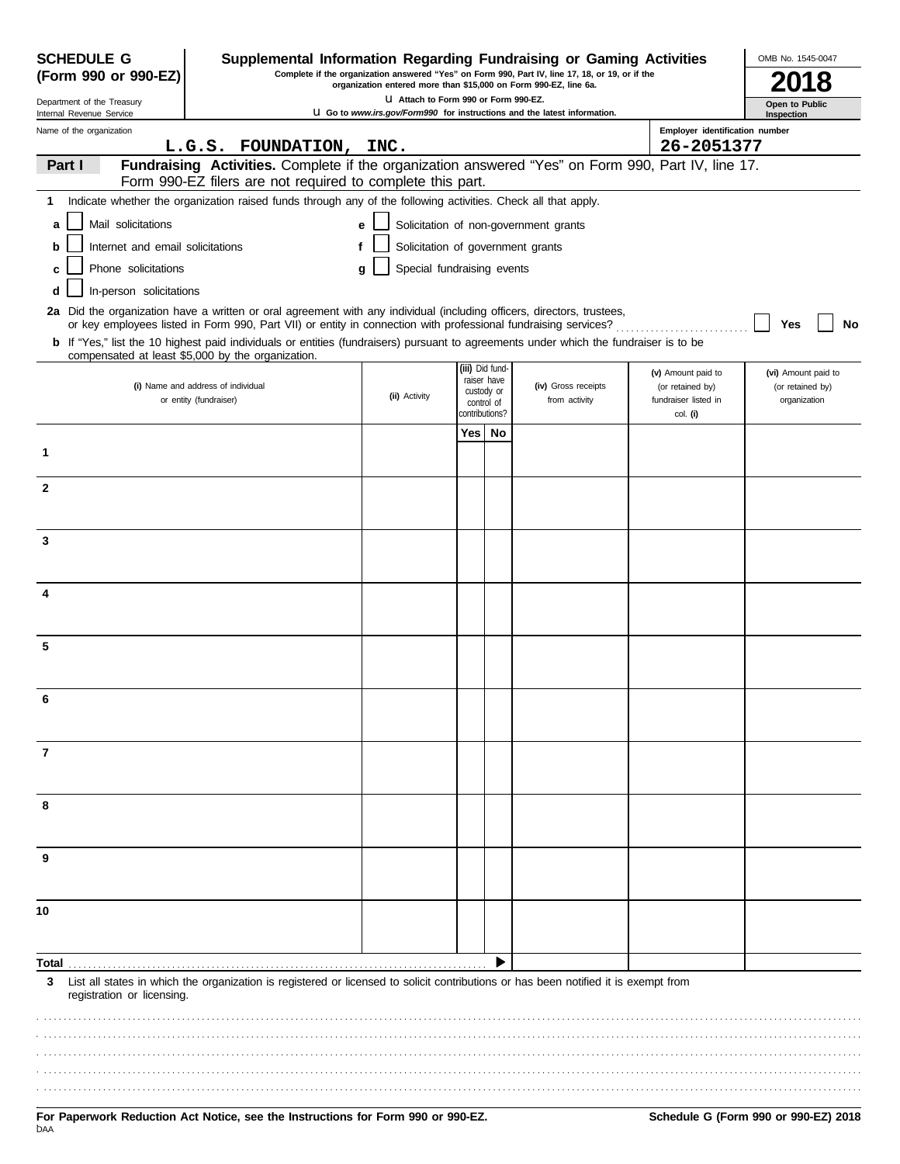| <b>SCHEDULE G</b><br>(Form 990 or 990-EZ) | Supplemental Information Regarding Fundraising or Gaming Activities<br>Complete if the organization answered "Yes" on Form 990, Part IV, line 17, 18, or 19, or if the                                                                   | OMB No. 1545-0047                                                                                         |                          |                 |                                                                                 |                                              |                                         |
|-------------------------------------------|------------------------------------------------------------------------------------------------------------------------------------------------------------------------------------------------------------------------------------------|-----------------------------------------------------------------------------------------------------------|--------------------------|-----------------|---------------------------------------------------------------------------------|----------------------------------------------|-----------------------------------------|
| Department of the Treasury                |                                                                                                                                                                                                                                          | organization entered more than \$15,000 on Form 990-EZ, line 6a.<br>LI Attach to Form 990 or Form 990-EZ. |                          |                 |                                                                                 |                                              | Open to Public                          |
| Internal Revenue Service                  |                                                                                                                                                                                                                                          |                                                                                                           |                          |                 | <b>U</b> Go to www.irs.gov/Form990 for instructions and the latest information. |                                              | Inspection                              |
| Name of the organization                  | L.G.S. FOUNDATION, INC.                                                                                                                                                                                                                  |                                                                                                           |                          |                 |                                                                                 | Employer identification number<br>26-2051377 |                                         |
| Part I                                    | Fundraising Activities. Complete if the organization answered "Yes" on Form 990, Part IV, line 17.<br>Form 990-EZ filers are not required to complete this part.                                                                         |                                                                                                           |                          |                 |                                                                                 |                                              |                                         |
| 1                                         | Indicate whether the organization raised funds through any of the following activities. Check all that apply.                                                                                                                            |                                                                                                           |                          |                 |                                                                                 |                                              |                                         |
| Mail solicitations<br>a                   |                                                                                                                                                                                                                                          | е                                                                                                         |                          |                 | Solicitation of non-government grants                                           |                                              |                                         |
| Internet and email solicitations<br>b     | f                                                                                                                                                                                                                                        | Solicitation of government grants                                                                         |                          |                 |                                                                                 |                                              |                                         |
| Phone solicitations<br>c                  |                                                                                                                                                                                                                                          | Special fundraising events<br>g                                                                           |                          |                 |                                                                                 |                                              |                                         |
| In-person solicitations<br>d              |                                                                                                                                                                                                                                          |                                                                                                           |                          |                 |                                                                                 |                                              |                                         |
|                                           | 2a Did the organization have a written or oral agreement with any individual (including officers, directors, trustees,<br>or key employees listed in Form 990, Part VII) or entity in connection with professional fundraising services? |                                                                                                           |                          |                 |                                                                                 |                                              | No<br>Yes                               |
|                                           | <b>b</b> If "Yes," list the 10 highest paid individuals or entities (fundraisers) pursuant to agreements under which the fundraiser is to be<br>compensated at least \$5,000 by the organization.                                        |                                                                                                           |                          |                 |                                                                                 |                                              |                                         |
|                                           | (i) Name and address of individual                                                                                                                                                                                                       |                                                                                                           | raiser have              | (iii) Did fund- | (iv) Gross receipts                                                             | (v) Amount paid to<br>(or retained by)       | (vi) Amount paid to<br>(or retained by) |
|                                           | or entity (fundraiser)                                                                                                                                                                                                                   | (ii) Activity                                                                                             | custody or<br>control of |                 | from activity                                                                   | fundraiser listed in                         | organization                            |
|                                           |                                                                                                                                                                                                                                          |                                                                                                           | contributions?           |                 |                                                                                 | col. (i)                                     |                                         |
| 1                                         |                                                                                                                                                                                                                                          |                                                                                                           | Yes l                    | No              |                                                                                 |                                              |                                         |
| $\mathbf{2}$                              |                                                                                                                                                                                                                                          |                                                                                                           |                          |                 |                                                                                 |                                              |                                         |
|                                           |                                                                                                                                                                                                                                          |                                                                                                           |                          |                 |                                                                                 |                                              |                                         |
| 3                                         |                                                                                                                                                                                                                                          |                                                                                                           |                          |                 |                                                                                 |                                              |                                         |
|                                           |                                                                                                                                                                                                                                          |                                                                                                           |                          |                 |                                                                                 |                                              |                                         |
| 4                                         |                                                                                                                                                                                                                                          |                                                                                                           |                          |                 |                                                                                 |                                              |                                         |
|                                           |                                                                                                                                                                                                                                          |                                                                                                           |                          |                 |                                                                                 |                                              |                                         |
| 5                                         |                                                                                                                                                                                                                                          |                                                                                                           |                          |                 |                                                                                 |                                              |                                         |
|                                           |                                                                                                                                                                                                                                          |                                                                                                           |                          |                 |                                                                                 |                                              |                                         |
| 6                                         |                                                                                                                                                                                                                                          |                                                                                                           |                          |                 |                                                                                 |                                              |                                         |
| 7                                         |                                                                                                                                                                                                                                          |                                                                                                           |                          |                 |                                                                                 |                                              |                                         |
|                                           |                                                                                                                                                                                                                                          |                                                                                                           |                          |                 |                                                                                 |                                              |                                         |
| 8                                         |                                                                                                                                                                                                                                          |                                                                                                           |                          |                 |                                                                                 |                                              |                                         |
|                                           |                                                                                                                                                                                                                                          |                                                                                                           |                          |                 |                                                                                 |                                              |                                         |
| 9                                         |                                                                                                                                                                                                                                          |                                                                                                           |                          |                 |                                                                                 |                                              |                                         |
| 10                                        |                                                                                                                                                                                                                                          |                                                                                                           |                          |                 |                                                                                 |                                              |                                         |
|                                           |                                                                                                                                                                                                                                          |                                                                                                           |                          |                 |                                                                                 |                                              |                                         |
| Total                                     |                                                                                                                                                                                                                                          |                                                                                                           |                          |                 |                                                                                 |                                              |                                         |
| 3<br>registration or licensing.           | List all states in which the organization is registered or licensed to solicit contributions or has been notified it is exempt from                                                                                                      |                                                                                                           |                          |                 |                                                                                 |                                              |                                         |
|                                           |                                                                                                                                                                                                                                          |                                                                                                           |                          |                 |                                                                                 |                                              |                                         |
|                                           |                                                                                                                                                                                                                                          |                                                                                                           |                          |                 |                                                                                 |                                              |                                         |
|                                           |                                                                                                                                                                                                                                          |                                                                                                           |                          |                 |                                                                                 |                                              |                                         |
|                                           |                                                                                                                                                                                                                                          |                                                                                                           |                          |                 |                                                                                 |                                              |                                         |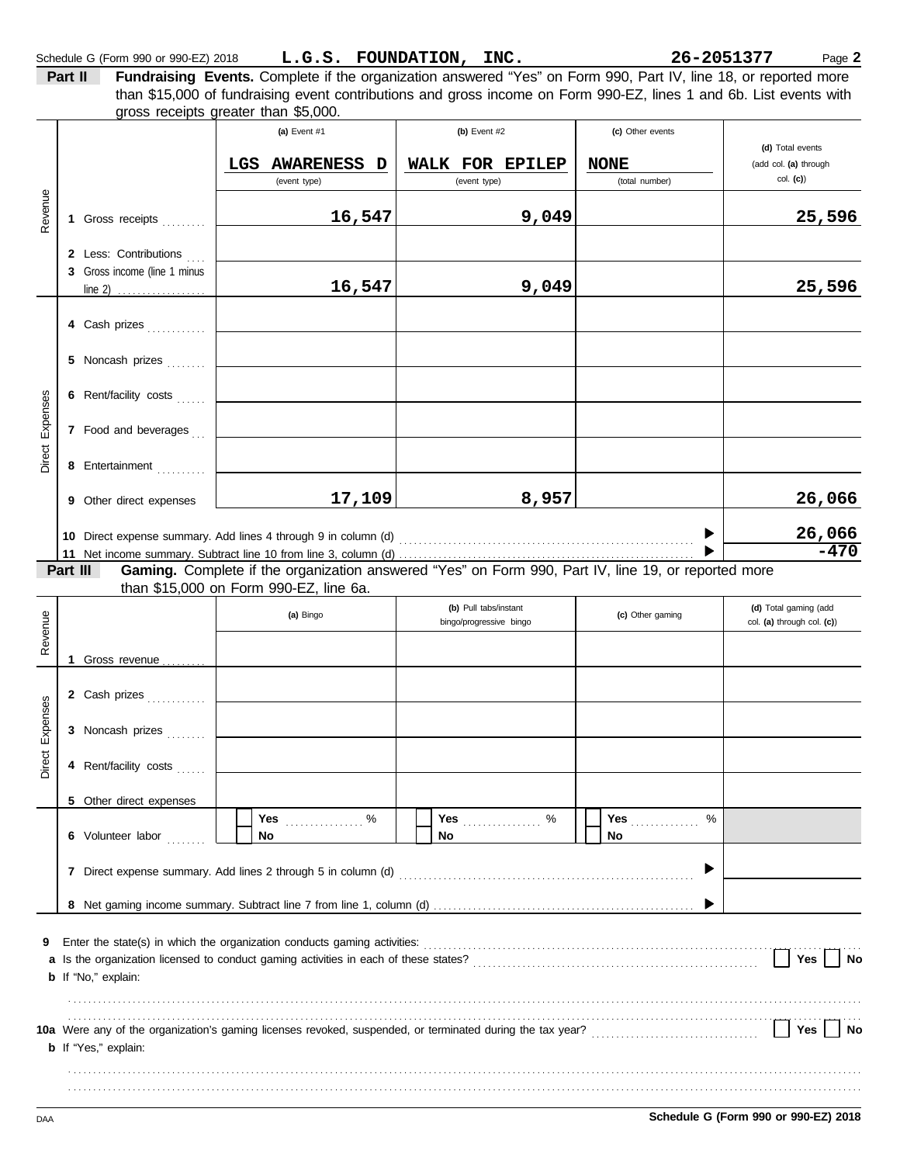**Part II Fundraising Events.** Complete if the organization answered "Yes" on Form 990, Part IV, line 18, or reported more gross receipts greater than \$5,000. than \$15,000 of fundraising event contributions and gross income on Form 990-EZ, lines 1 and 6b. List events with

|                 |          |                                                                |     | (a) Event #1                           | (b) Event #2                                                                                        | (c) Other events              |                                                     |
|-----------------|----------|----------------------------------------------------------------|-----|----------------------------------------|-----------------------------------------------------------------------------------------------------|-------------------------------|-----------------------------------------------------|
|                 |          |                                                                |     |                                        |                                                                                                     |                               | (d) Total events                                    |
|                 |          |                                                                | LGS | AWARENESS D<br>(event type)            | WALK FOR EPILEP<br>(event type)                                                                     | <b>NONE</b><br>(total number) | (add col. (a) through<br>col. (c)                   |
|                 |          |                                                                |     |                                        |                                                                                                     |                               |                                                     |
| Revenue         |          | 1 Gross receipts                                               |     | 16,547                                 | 9,049                                                                                               |                               | 25,596                                              |
|                 |          | 2 Less: Contributions                                          |     |                                        |                                                                                                     |                               |                                                     |
|                 |          | 3 Gross income (line 1 minus<br>line 2) <u></u>                |     | 16,547                                 | 9,049                                                                                               |                               | 25,596                                              |
|                 |          |                                                                |     |                                        |                                                                                                     |                               |                                                     |
|                 |          | 4 Cash prizes                                                  |     |                                        |                                                                                                     |                               |                                                     |
|                 |          | 5 Noncash prizes                                               |     |                                        |                                                                                                     |                               |                                                     |
| Expenses        |          | 6 Rent/facility costs                                          |     |                                        |                                                                                                     |                               |                                                     |
|                 |          | 7 Food and beverages                                           |     |                                        |                                                                                                     |                               |                                                     |
| Direct          |          | 8 Entertainment                                                |     |                                        |                                                                                                     |                               |                                                     |
|                 |          | 9 Other direct expenses                                        |     | 17,109                                 | 8,957                                                                                               |                               | 26,066                                              |
|                 |          | 10 Direct expense summary. Add lines 4 through 9 in column (d) |     |                                        |                                                                                                     |                               | 26,066                                              |
|                 |          |                                                                |     |                                        |                                                                                                     |                               | $-470$                                              |
|                 | Part III |                                                                |     |                                        | Gaming. Complete if the organization answered "Yes" on Form 990, Part IV, line 19, or reported more |                               |                                                     |
|                 |          |                                                                |     | than \$15,000 on Form 990-EZ, line 6a. |                                                                                                     |                               |                                                     |
| Revenue         |          |                                                                |     | (a) Bingo                              | (b) Pull tabs/instant<br>bingo/progressive bingo                                                    | (c) Other gaming              | (d) Total gaming (add<br>col. (a) through col. (c)) |
|                 |          | 1 Gross revenue $\ldots$                                       |     |                                        |                                                                                                     |                               |                                                     |
|                 |          | 2 Cash prizes                                                  |     |                                        |                                                                                                     |                               |                                                     |
|                 |          | 3 Noncash prizes                                               |     |                                        |                                                                                                     |                               |                                                     |
| Direct Expenses |          | 4 Rent/facility costs                                          |     |                                        |                                                                                                     |                               |                                                     |
|                 |          |                                                                |     |                                        |                                                                                                     |                               |                                                     |
|                 |          | 5 Other direct expenses                                        |     | Yes<br>$\%$<br><u>.</u>                | Yes<br>$\%$                                                                                         | Yes<br>%                      |                                                     |
|                 |          | 6 Volunteer labor                                              |     | No                                     | No                                                                                                  | No                            |                                                     |
|                 |          |                                                                |     |                                        |                                                                                                     | ▶                             |                                                     |
|                 |          |                                                                |     |                                        |                                                                                                     | ▶                             |                                                     |
| 9               |          |                                                                |     |                                        |                                                                                                     |                               |                                                     |
|                 |          | <b>b</b> If "No," explain:                                     |     |                                        |                                                                                                     |                               | Yes<br>No                                           |
|                 |          |                                                                |     |                                        |                                                                                                     |                               |                                                     |
|                 |          | <b>b</b> If "Yes," explain:                                    |     |                                        |                                                                                                     |                               | Yes<br>No                                           |
|                 |          |                                                                |     |                                        |                                                                                                     |                               |                                                     |
|                 |          |                                                                |     |                                        |                                                                                                     |                               |                                                     |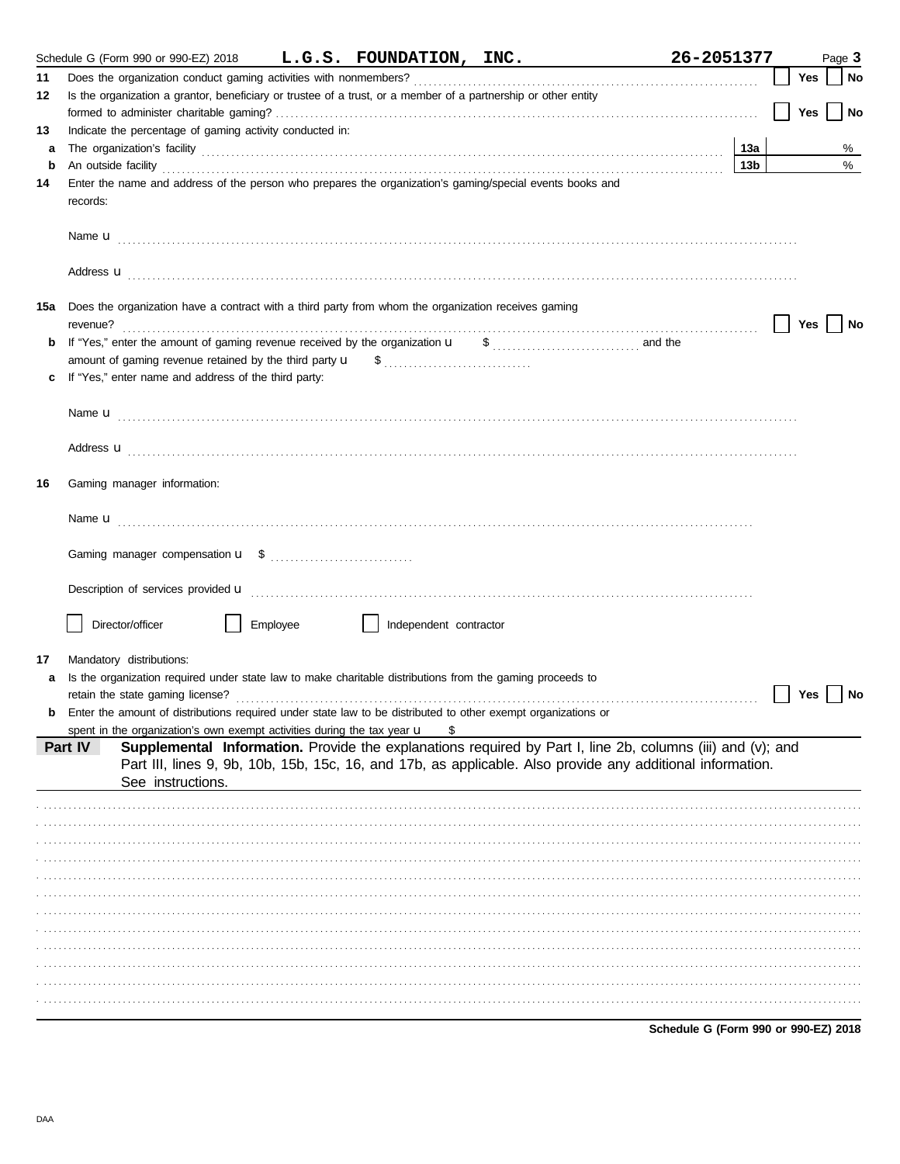|    | Schedule G (Form 990 or 990-EZ) 2018 L.G.S. FOUNDATION, INC.                                                                                                                                                                         |                        | 26-2051377                                                                                                                                                                                                               |     | Page 3 |
|----|--------------------------------------------------------------------------------------------------------------------------------------------------------------------------------------------------------------------------------------|------------------------|--------------------------------------------------------------------------------------------------------------------------------------------------------------------------------------------------------------------------|-----|--------|
| 11 |                                                                                                                                                                                                                                      |                        |                                                                                                                                                                                                                          | Yes | No     |
| 12 | Is the organization a grantor, beneficiary or trustee of a trust, or a member of a partnership or other entity                                                                                                                       |                        |                                                                                                                                                                                                                          |     |        |
|    |                                                                                                                                                                                                                                      |                        |                                                                                                                                                                                                                          | Yes | No     |
| 13 | Indicate the percentage of gaming activity conducted in:                                                                                                                                                                             |                        |                                                                                                                                                                                                                          |     |        |
| a  |                                                                                                                                                                                                                                      |                        | 13а                                                                                                                                                                                                                      |     | %      |
| b  | An outside facility <b>contained an activity of the contract of the contract of the contract of the contract of the contract of the contract of the contract of the contract of the contract of the contract of the contract of </b> |                        | 13 <sub>b</sub>                                                                                                                                                                                                          |     | %      |
| 14 | Enter the name and address of the person who prepares the organization's gaming/special events books and<br>records:                                                                                                                 |                        |                                                                                                                                                                                                                          |     |        |
|    |                                                                                                                                                                                                                                      |                        |                                                                                                                                                                                                                          |     |        |
|    | Address <b>u</b>                                                                                                                                                                                                                     |                        |                                                                                                                                                                                                                          |     |        |
|    | 15a Does the organization have a contract with a third party from whom the organization receives gaming<br>revenue?                                                                                                                  |                        |                                                                                                                                                                                                                          | Yes | No     |
| b  |                                                                                                                                                                                                                                      |                        |                                                                                                                                                                                                                          |     |        |
|    |                                                                                                                                                                                                                                      |                        |                                                                                                                                                                                                                          |     |        |
|    | If "Yes," enter name and address of the third party:                                                                                                                                                                                 |                        |                                                                                                                                                                                                                          |     |        |
|    |                                                                                                                                                                                                                                      |                        |                                                                                                                                                                                                                          |     |        |
|    | Address <b>u</b>                                                                                                                                                                                                                     |                        |                                                                                                                                                                                                                          |     |        |
| 16 | Gaming manager information:                                                                                                                                                                                                          |                        |                                                                                                                                                                                                                          |     |        |
|    |                                                                                                                                                                                                                                      |                        |                                                                                                                                                                                                                          |     |        |
|    |                                                                                                                                                                                                                                      |                        |                                                                                                                                                                                                                          |     |        |
|    |                                                                                                                                                                                                                                      |                        |                                                                                                                                                                                                                          |     |        |
|    | Description of services provided <b>u</b> electron contract the contract of the contract of the contract of the contract of the contract of the contract of the contract of the contract of the contract of the contract of the con  |                        |                                                                                                                                                                                                                          |     |        |
|    | Director/officer<br>Employee                                                                                                                                                                                                         | Independent contractor |                                                                                                                                                                                                                          |     |        |
| 17 | Mandatory distributions:                                                                                                                                                                                                             |                        |                                                                                                                                                                                                                          |     |        |
|    | Is the organization required under state law to make charitable distributions from the gaming proceeds to                                                                                                                            |                        |                                                                                                                                                                                                                          |     |        |
|    | retain the state gaming license?<br><b>b</b> Enter the amount of distributions required under state law to be distributed to other exempt organizations or                                                                           |                        |                                                                                                                                                                                                                          | Yes | No     |
|    | spent in the organization's own exempt activities during the tax year u                                                                                                                                                              | S                      |                                                                                                                                                                                                                          |     |        |
|    | Part IV                                                                                                                                                                                                                              |                        | Supplemental Information. Provide the explanations required by Part I, line 2b, columns (iii) and (v); and<br>Part III, lines 9, 9b, 10b, 15b, 15c, 16, and 17b, as applicable. Also provide any additional information. |     |        |
|    | See instructions.                                                                                                                                                                                                                    |                        |                                                                                                                                                                                                                          |     |        |
|    |                                                                                                                                                                                                                                      |                        |                                                                                                                                                                                                                          |     |        |
|    |                                                                                                                                                                                                                                      |                        |                                                                                                                                                                                                                          |     |        |
|    |                                                                                                                                                                                                                                      |                        |                                                                                                                                                                                                                          |     |        |
|    |                                                                                                                                                                                                                                      |                        |                                                                                                                                                                                                                          |     |        |
|    |                                                                                                                                                                                                                                      |                        |                                                                                                                                                                                                                          |     |        |
|    |                                                                                                                                                                                                                                      |                        |                                                                                                                                                                                                                          |     |        |
|    |                                                                                                                                                                                                                                      |                        |                                                                                                                                                                                                                          |     |        |
|    |                                                                                                                                                                                                                                      |                        |                                                                                                                                                                                                                          |     |        |
|    |                                                                                                                                                                                                                                      |                        |                                                                                                                                                                                                                          |     |        |
|    |                                                                                                                                                                                                                                      |                        |                                                                                                                                                                                                                          |     |        |
|    |                                                                                                                                                                                                                                      |                        |                                                                                                                                                                                                                          |     |        |
|    |                                                                                                                                                                                                                                      |                        |                                                                                                                                                                                                                          |     |        |

Schedule G (Form 990 or 990-EZ) 2018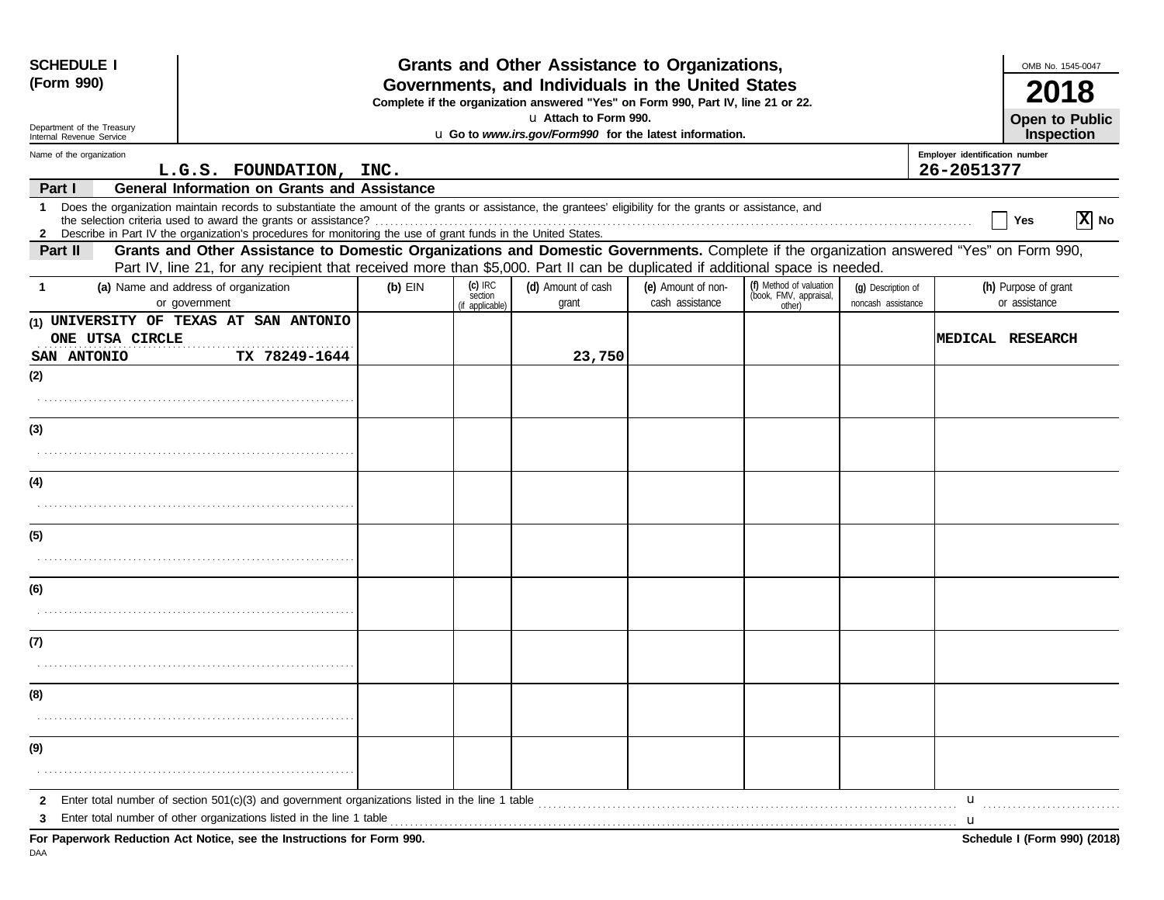| <b>SCHEDULE I</b>              |                                                                                                                                                                                                                                                                             |           |                                         | Grants and Other Assistance to Organizations,                                                                                         |                                       |                                                             |                                          |                                              | OMB No. 1545-0047                     |
|--------------------------------|-----------------------------------------------------------------------------------------------------------------------------------------------------------------------------------------------------------------------------------------------------------------------------|-----------|-----------------------------------------|---------------------------------------------------------------------------------------------------------------------------------------|---------------------------------------|-------------------------------------------------------------|------------------------------------------|----------------------------------------------|---------------------------------------|
| (Form 990)                     |                                                                                                                                                                                                                                                                             |           |                                         | Governments, and Individuals in the United States<br>Complete if the organization answered "Yes" on Form 990, Part IV, line 21 or 22. |                                       |                                                             |                                          |                                              |                                       |
| Department of the Treasury     |                                                                                                                                                                                                                                                                             |           |                                         | u Attach to Form 990.                                                                                                                 |                                       |                                                             |                                          |                                              | Open to Public                        |
| Internal Revenue Service       |                                                                                                                                                                                                                                                                             |           |                                         | u Go to www.irs.gov/Form990 for the latest information.                                                                               |                                       |                                                             |                                          |                                              | Inspection                            |
| Name of the organization       | L.G.S. FOUNDATION, INC.                                                                                                                                                                                                                                                     |           |                                         |                                                                                                                                       |                                       |                                                             |                                          | Employer identification number<br>26-2051377 |                                       |
| Part I                         | <b>General Information on Grants and Assistance</b>                                                                                                                                                                                                                         |           |                                         |                                                                                                                                       |                                       |                                                             |                                          |                                              |                                       |
| $\mathbf 1$<br>$\mathbf{2}$    | Does the organization maintain records to substantiate the amount of the grants or assistance, the grantees' eligibility for the grants or assistance, and<br>Describe in Part IV the organization's procedures for monitoring the use of grant funds in the United States. |           |                                         |                                                                                                                                       |                                       |                                                             |                                          |                                              | $ \overline{X} $ No<br>Yes            |
| Part II                        | Grants and Other Assistance to Domestic Organizations and Domestic Governments. Complete if the organization answered "Yes" on Form 990,<br>Part IV, line 21, for any recipient that received more than \$5,000. Part II can be duplicated if additional space is needed.   |           |                                         |                                                                                                                                       |                                       |                                                             |                                          |                                              |                                       |
| $\mathbf{1}$                   | (a) Name and address of organization<br>or government                                                                                                                                                                                                                       | $(b)$ EIN | $(c)$ IRC<br>section<br>(if applicable) | (d) Amount of cash<br>grant                                                                                                           | (e) Amount of non-<br>cash assistance | (f) Method of valuation<br>(book, FMV, appraisal,<br>other) | (q) Description of<br>noncash assistance |                                              | (h) Purpose of grant<br>or assistance |
| ONE UTSA CIRCLE<br>SAN ANTONIO | (1) UNIVERSITY OF TEXAS AT SAN ANTONIO<br>TX 78249-1644                                                                                                                                                                                                                     |           |                                         | 23,750                                                                                                                                |                                       |                                                             |                                          |                                              | <b>MEDICAL RESEARCH</b>               |
| (2)                            |                                                                                                                                                                                                                                                                             |           |                                         |                                                                                                                                       |                                       |                                                             |                                          |                                              |                                       |
|                                |                                                                                                                                                                                                                                                                             |           |                                         |                                                                                                                                       |                                       |                                                             |                                          |                                              |                                       |
| (3)                            |                                                                                                                                                                                                                                                                             |           |                                         |                                                                                                                                       |                                       |                                                             |                                          |                                              |                                       |
|                                |                                                                                                                                                                                                                                                                             |           |                                         |                                                                                                                                       |                                       |                                                             |                                          |                                              |                                       |
| (4)                            |                                                                                                                                                                                                                                                                             |           |                                         |                                                                                                                                       |                                       |                                                             |                                          |                                              |                                       |
|                                |                                                                                                                                                                                                                                                                             |           |                                         |                                                                                                                                       |                                       |                                                             |                                          |                                              |                                       |
| (5)                            |                                                                                                                                                                                                                                                                             |           |                                         |                                                                                                                                       |                                       |                                                             |                                          |                                              |                                       |
|                                |                                                                                                                                                                                                                                                                             |           |                                         |                                                                                                                                       |                                       |                                                             |                                          |                                              |                                       |
| (6)                            |                                                                                                                                                                                                                                                                             |           |                                         |                                                                                                                                       |                                       |                                                             |                                          |                                              |                                       |
|                                |                                                                                                                                                                                                                                                                             |           |                                         |                                                                                                                                       |                                       |                                                             |                                          |                                              |                                       |
| (7)                            |                                                                                                                                                                                                                                                                             |           |                                         |                                                                                                                                       |                                       |                                                             |                                          |                                              |                                       |
|                                |                                                                                                                                                                                                                                                                             |           |                                         |                                                                                                                                       |                                       |                                                             |                                          |                                              |                                       |
| (8)                            |                                                                                                                                                                                                                                                                             |           |                                         |                                                                                                                                       |                                       |                                                             |                                          |                                              |                                       |
|                                |                                                                                                                                                                                                                                                                             |           |                                         |                                                                                                                                       |                                       |                                                             |                                          |                                              |                                       |
| (9)                            |                                                                                                                                                                                                                                                                             |           |                                         |                                                                                                                                       |                                       |                                                             |                                          |                                              |                                       |
|                                |                                                                                                                                                                                                                                                                             |           |                                         |                                                                                                                                       |                                       |                                                             |                                          |                                              |                                       |
| 2                              | Enter total number of section $501(c)(3)$ and government organizations listed in the line 1 table<br>Enter total number of other organizations listed in the line 1 table                                                                                                   |           |                                         |                                                                                                                                       |                                       |                                                             |                                          | $\mathbf{u}$                                 |                                       |
|                                |                                                                                                                                                                                                                                                                             |           |                                         |                                                                                                                                       |                                       |                                                             |                                          | u                                            |                                       |
| DAA                            | For Paperwork Reduction Act Notice, see the Instructions for Form 990.                                                                                                                                                                                                      |           |                                         |                                                                                                                                       |                                       |                                                             |                                          |                                              | Schedule I (Form 990) (2018)          |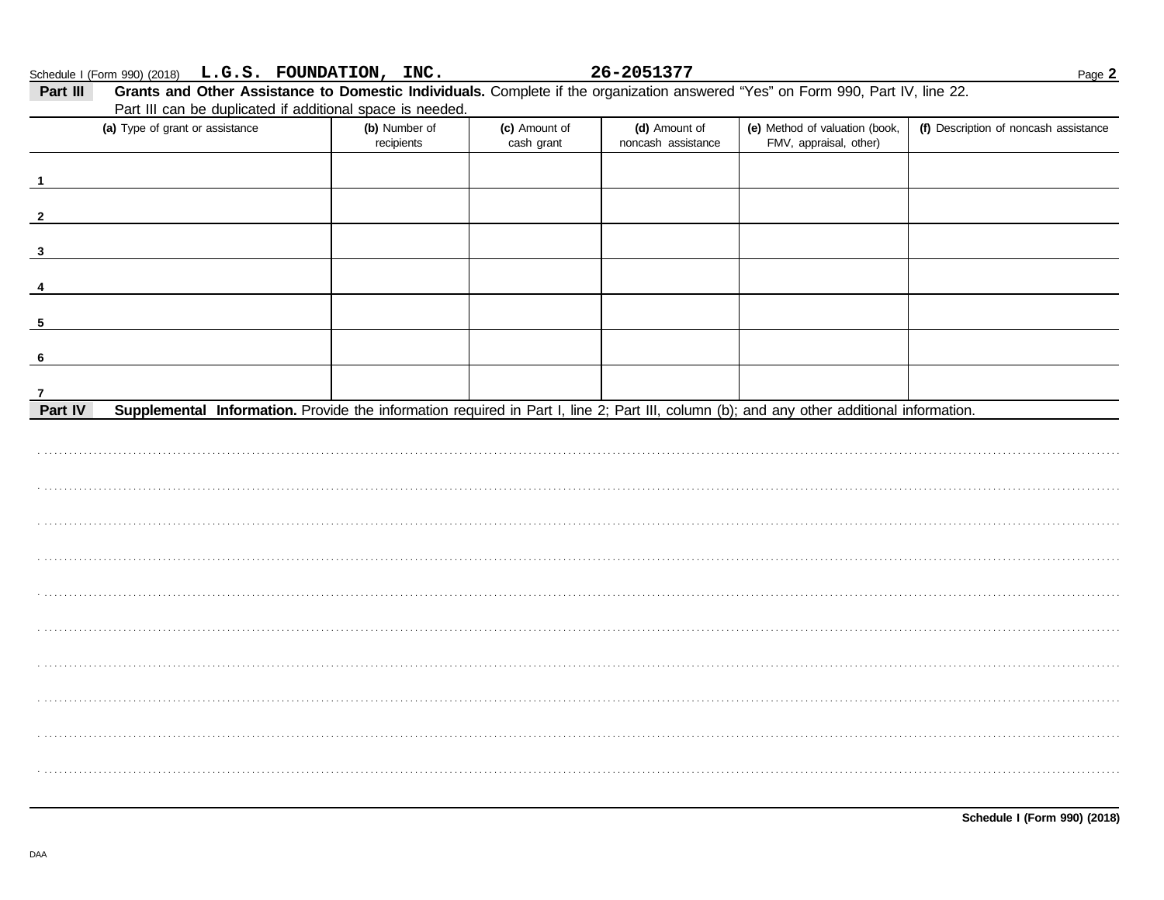|                                                                                                                                                           | Part III can be duplicated if additional space is needed. |                             |                                     |                                                          |                                       |
|-----------------------------------------------------------------------------------------------------------------------------------------------------------|-----------------------------------------------------------|-----------------------------|-------------------------------------|----------------------------------------------------------|---------------------------------------|
| (a) Type of grant or assistance                                                                                                                           | (b) Number of<br>recipients                               | (c) Amount of<br>cash grant | (d) Amount of<br>noncash assistance | (e) Method of valuation (book,<br>FMV, appraisal, other) | (f) Description of noncash assistance |
|                                                                                                                                                           |                                                           |                             |                                     |                                                          |                                       |
|                                                                                                                                                           |                                                           |                             |                                     |                                                          |                                       |
|                                                                                                                                                           |                                                           |                             |                                     |                                                          |                                       |
|                                                                                                                                                           |                                                           |                             |                                     |                                                          |                                       |
|                                                                                                                                                           |                                                           |                             |                                     |                                                          |                                       |
|                                                                                                                                                           |                                                           |                             |                                     |                                                          |                                       |
|                                                                                                                                                           |                                                           |                             |                                     |                                                          |                                       |
|                                                                                                                                                           |                                                           |                             |                                     |                                                          |                                       |
| 7<br>Supplemental Information. Provide the information required in Part I, line 2; Part III, column (b); and any other additional information.<br>Part IV |                                                           |                             |                                     |                                                          |                                       |
|                                                                                                                                                           |                                                           |                             |                                     |                                                          |                                       |
|                                                                                                                                                           |                                                           |                             |                                     |                                                          |                                       |
|                                                                                                                                                           |                                                           |                             |                                     |                                                          |                                       |
|                                                                                                                                                           |                                                           |                             |                                     |                                                          |                                       |
|                                                                                                                                                           |                                                           |                             |                                     |                                                          |                                       |
|                                                                                                                                                           |                                                           |                             |                                     |                                                          |                                       |
|                                                                                                                                                           |                                                           |                             |                                     |                                                          |                                       |
|                                                                                                                                                           |                                                           |                             |                                     |                                                          |                                       |
|                                                                                                                                                           |                                                           |                             |                                     |                                                          |                                       |
|                                                                                                                                                           |                                                           |                             |                                     |                                                          |                                       |
|                                                                                                                                                           |                                                           |                             |                                     |                                                          |                                       |
|                                                                                                                                                           |                                                           |                             |                                     |                                                          |                                       |
|                                                                                                                                                           |                                                           |                             |                                     |                                                          |                                       |
|                                                                                                                                                           |                                                           |                             |                                     |                                                          |                                       |

26-2051377

Page 2

Schedule I (Form 990) (2018) L.G.S. FOUNDATION, INC.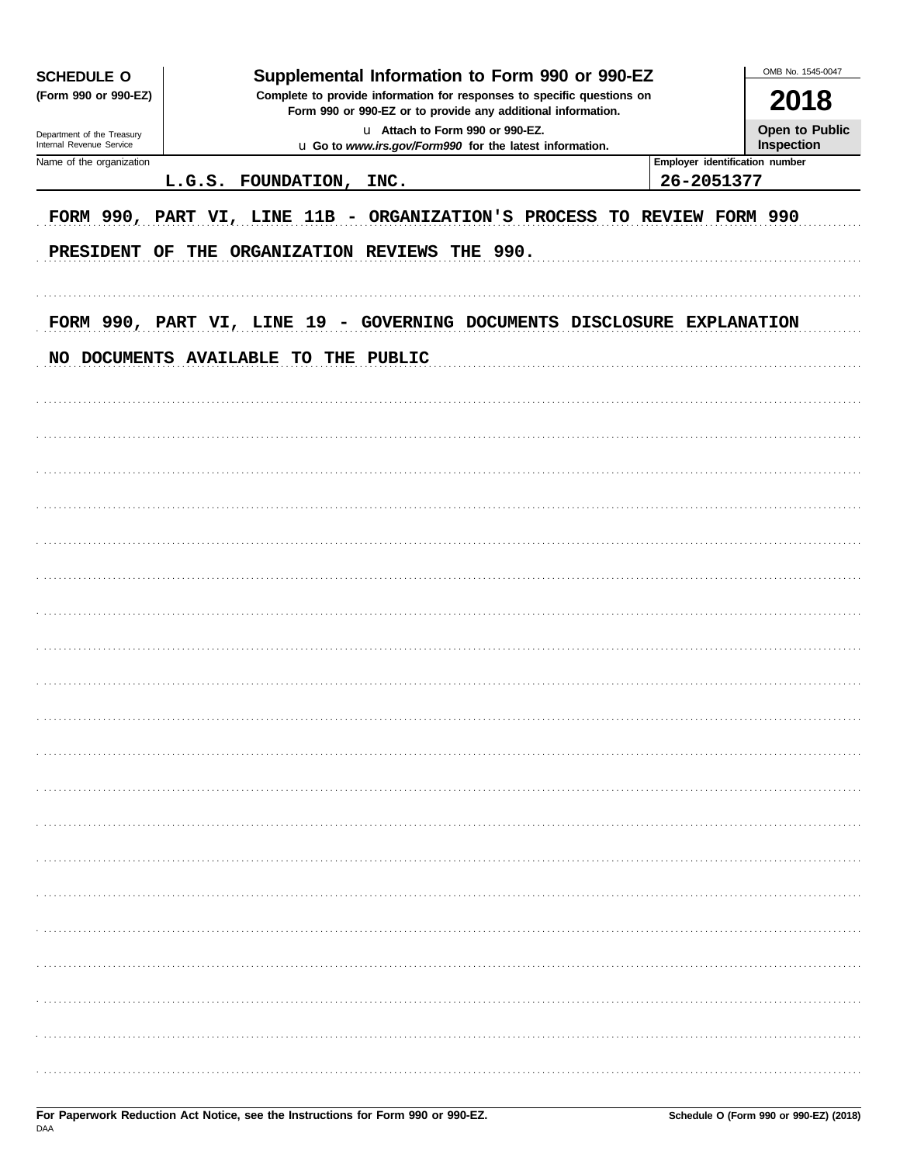| OMB No. 1545-0047<br>Supplemental Information to Form 990 or 990-EZ<br><b>SCHEDULE O</b> |  |                         |                                                                                                                                        |  |  |                                |                              |  |  |  |
|------------------------------------------------------------------------------------------|--|-------------------------|----------------------------------------------------------------------------------------------------------------------------------------|--|--|--------------------------------|------------------------------|--|--|--|
| (Form 990 or 990-EZ)                                                                     |  |                         | Complete to provide information for responses to specific questions on<br>Form 990 or 990-EZ or to provide any additional information. |  |  |                                | 2018                         |  |  |  |
| Department of the Treasury<br>Internal Revenue Service                                   |  |                         | u Attach to Form 990 or 990-EZ.<br>u Go to www.irs.gov/Form990 for the latest information.                                             |  |  |                                | Open to Public<br>Inspection |  |  |  |
| Name of the organization                                                                 |  |                         |                                                                                                                                        |  |  | Employer identification number |                              |  |  |  |
|                                                                                          |  | L.G.S. FOUNDATION, INC. |                                                                                                                                        |  |  | 26-2051377                     |                              |  |  |  |
| FORM 990, PART VI, LINE 11B - ORGANIZATION'S PROCESS TO REVIEW FORM 990                  |  |                         |                                                                                                                                        |  |  |                                |                              |  |  |  |
| PRESIDENT OF                                                                             |  |                         | THE ORGANIZATION REVIEWS THE 990.                                                                                                      |  |  |                                |                              |  |  |  |
|                                                                                          |  |                         |                                                                                                                                        |  |  |                                |                              |  |  |  |
| FORM 990, PART VI, LINE 19 - GOVERNING DOCUMENTS DISCLOSURE EXPLANATION                  |  |                         |                                                                                                                                        |  |  |                                |                              |  |  |  |
| NO DOCUMENTS AVAILABLE TO THE PUBLIC                                                     |  |                         |                                                                                                                                        |  |  |                                |                              |  |  |  |
|                                                                                          |  |                         |                                                                                                                                        |  |  |                                |                              |  |  |  |
|                                                                                          |  |                         |                                                                                                                                        |  |  |                                |                              |  |  |  |
|                                                                                          |  |                         |                                                                                                                                        |  |  |                                |                              |  |  |  |
|                                                                                          |  |                         |                                                                                                                                        |  |  |                                |                              |  |  |  |
|                                                                                          |  |                         |                                                                                                                                        |  |  |                                |                              |  |  |  |
|                                                                                          |  |                         |                                                                                                                                        |  |  |                                |                              |  |  |  |
|                                                                                          |  |                         |                                                                                                                                        |  |  |                                |                              |  |  |  |
|                                                                                          |  |                         |                                                                                                                                        |  |  |                                |                              |  |  |  |
|                                                                                          |  |                         |                                                                                                                                        |  |  |                                |                              |  |  |  |
|                                                                                          |  |                         |                                                                                                                                        |  |  |                                |                              |  |  |  |
|                                                                                          |  |                         |                                                                                                                                        |  |  |                                |                              |  |  |  |
|                                                                                          |  |                         |                                                                                                                                        |  |  |                                |                              |  |  |  |
|                                                                                          |  |                         |                                                                                                                                        |  |  |                                |                              |  |  |  |
|                                                                                          |  |                         |                                                                                                                                        |  |  |                                |                              |  |  |  |
|                                                                                          |  |                         |                                                                                                                                        |  |  |                                |                              |  |  |  |
|                                                                                          |  |                         |                                                                                                                                        |  |  |                                |                              |  |  |  |
|                                                                                          |  |                         |                                                                                                                                        |  |  |                                |                              |  |  |  |
|                                                                                          |  |                         |                                                                                                                                        |  |  |                                |                              |  |  |  |
|                                                                                          |  |                         |                                                                                                                                        |  |  |                                |                              |  |  |  |
|                                                                                          |  |                         |                                                                                                                                        |  |  |                                |                              |  |  |  |
|                                                                                          |  |                         |                                                                                                                                        |  |  |                                |                              |  |  |  |
|                                                                                          |  |                         |                                                                                                                                        |  |  |                                |                              |  |  |  |
|                                                                                          |  |                         |                                                                                                                                        |  |  |                                |                              |  |  |  |
|                                                                                          |  |                         |                                                                                                                                        |  |  |                                |                              |  |  |  |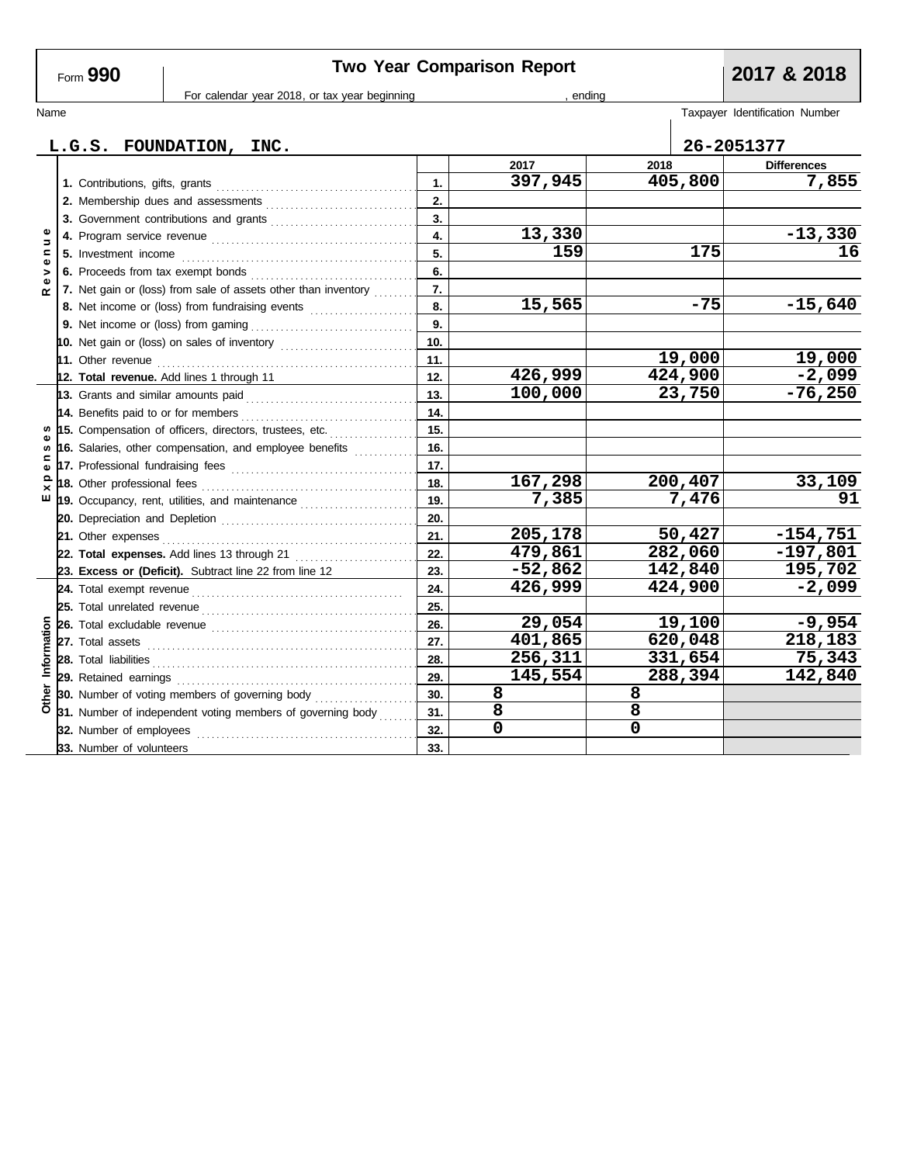| Form 990 |
|----------|
|----------|

# **Two Year Comparison Report 2017 & 2018**

For calendar year 2018, or tax year beginning , ending , ending

| Name           |  |                                                                |                  |           |      |         | Taxpayer Identification Number |
|----------------|--|----------------------------------------------------------------|------------------|-----------|------|---------|--------------------------------|
|                |  | L.G.S. FOUNDATION, INC.                                        |                  |           |      |         | 26-2051377                     |
|                |  |                                                                |                  | 2017      | 2018 |         | <b>Differences</b>             |
|                |  | 1. Contributions, gifts, grants                                | 1.               | 397,945   |      | 405,800 | 7,855                          |
|                |  | 2. Membership dues and assessments                             | 2.               |           |      |         |                                |
|                |  |                                                                | $\overline{3}$ . |           |      |         |                                |
| $\overline{a}$ |  |                                                                | $\overline{4}$ . | 13,330    |      |         | $-13,330$                      |
| Ξ              |  |                                                                | 5.               | 159       |      | 175     | 16                             |
| $\bullet$<br>> |  |                                                                | 6.               |           |      |         |                                |
| Φ<br>$\alpha$  |  | 7. Net gain or (loss) from sale of assets other than inventory | 7.               |           |      |         |                                |
|                |  | 8. Net income or (loss) from fundraising events                | 8.               | 15,565    |      | $-75$   | $-15,640$                      |
|                |  |                                                                | 9.               |           |      |         |                                |
|                |  | 10. Net gain or (loss) on sales of inventory                   | 10.              |           |      |         |                                |
|                |  |                                                                | 11.              |           |      | 19,000  | 19,000                         |
|                |  | 12. Total revenue. Add lines 1 through 11                      | 12.              | 426,999   |      | 424,900 | $-2,099$                       |
|                |  |                                                                | 13.              | 100,000   |      | 23,750  | $-76,250$                      |
|                |  | 14. Benefits paid to or for members                            | 14.              |           |      |         |                                |
|                |  | 15. Compensation of officers, directors, trustees, etc.        | 15.              |           |      |         |                                |
| S              |  | 16. Salaries, other compensation, and employee benefits        | 16.              |           |      |         |                                |
| ≃<br>Φ         |  |                                                                | 17.              |           |      |         |                                |
| Ω<br>×         |  |                                                                | 18.              | 167,298   |      | 200,407 | 33,109                         |
| ш              |  | 19. Occupancy, rent, utilities, and maintenance <i>[[1][1]</i> | 19.              | 7,385     |      | 7,476   | 91                             |
|                |  |                                                                | 20.              |           |      |         |                                |
|                |  | 21. Other expenses                                             | 21.              | 205,178   |      | 50,427  | $-154,751$                     |
|                |  | 22. Total expenses. Add lines 13 through 21                    | 22.              | 479,861   |      | 282,060 | $-197,801$                     |
|                |  | 23. Excess or (Deficit). Subtract line 22 from line 12         | 23.              | $-52,862$ |      | 142,840 | 195,702                        |
|                |  |                                                                | 24.              | 426,999   |      | 424,900 | $-2,099$                       |
|                |  |                                                                | 25.              |           |      |         |                                |
|                |  |                                                                | 26.              | 29,054    |      | 19,100  | $-9,954$                       |
| Information    |  |                                                                | 27.              | 401,865   |      | 620,048 | 218,183                        |
|                |  |                                                                | 28.              | 256,311   |      | 331,654 | 75,343                         |
|                |  |                                                                | 29.              | 145,554   |      | 288,394 | 142,840                        |
| Other          |  | 30. Number of voting members of governing body                 | 30.              | 8         | 8    |         |                                |
|                |  | 31. Number of independent voting members of governing body     | 31.              | 8         | 8    |         |                                |
|                |  | 32. Number of employees                                        | 32.              | 0         | 0    |         |                                |
|                |  | 33. Number of volunteers                                       | 33.              |           |      |         |                                |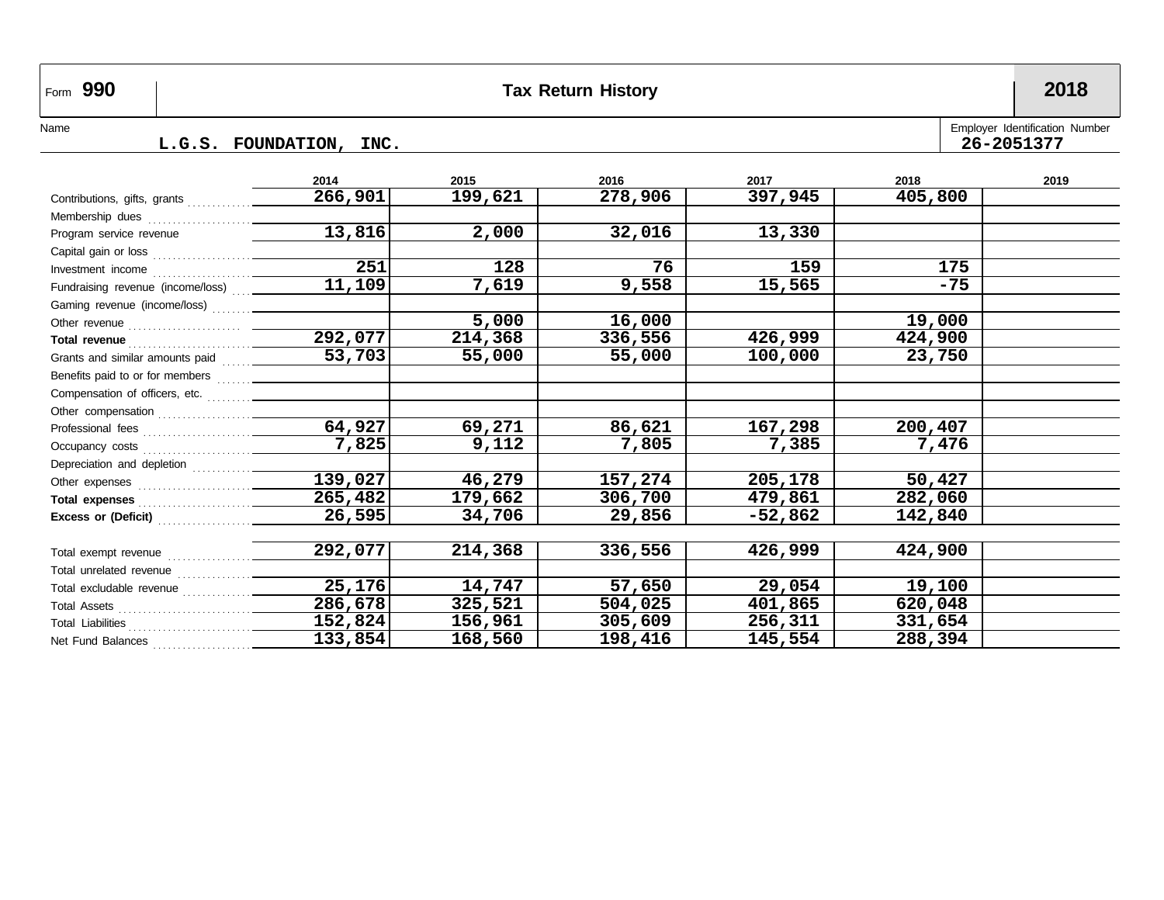| Form 990                                                                        |  |                      |                      | <b>Tax Return History</b> |           |         | 2018 |
|---------------------------------------------------------------------------------|--|----------------------|----------------------|---------------------------|-----------|---------|------|
| Employer Identification Number<br>Name<br>26-2051377<br>L.G.S. FOUNDATION, INC. |  |                      |                      |                           |           |         |      |
|                                                                                 |  | 2014                 | 2015                 | 2016                      | 2017      | 2018    | 2019 |
|                                                                                 |  | 266,901              | 199,621              | 278,906                   | 397,945   | 405,800 |      |
|                                                                                 |  |                      |                      |                           |           |         |      |
| Program service revenue                                                         |  | 13,816               | 2,000                | 32,016                    | 13,330    |         |      |
|                                                                                 |  |                      |                      |                           |           |         |      |
| Investment income                                                               |  | $\overline{251}$     | 128                  | 76                        | 159       | 175     |      |
| Fundraising revenue (income/loss)                                               |  | $\overline{11,109}$  | $\overline{7}$ , 619 | 9,558                     | 15,565    | $-75$   |      |
|                                                                                 |  |                      |                      |                           |           |         |      |
|                                                                                 |  |                      | 5,000                | 16,000                    |           | 19,000  |      |
|                                                                                 |  | 292,077              | 214,368              | 336,556                   | 426,999   | 424,900 |      |
| Grants and similar amounts paid                                                 |  | 53,703               | 55,000               | 55,000                    | 100,000   | 23,750  |      |
|                                                                                 |  |                      |                      |                           |           |         |      |
| Compensation of officers, etc.                                                  |  |                      |                      |                           |           |         |      |
|                                                                                 |  |                      |                      |                           |           |         |      |
|                                                                                 |  | $\sqrt{64,927}$      | 69,271               | 86,621                    | 167,298   | 200,407 |      |
|                                                                                 |  | 7,825                | 9,112                | 7,805                     | 7,385     | 7,476   |      |
|                                                                                 |  |                      |                      |                           |           |         |      |
|                                                                                 |  | 139,027              | 46,279               | 157,274                   | 205,178   | 50,427  |      |
|                                                                                 |  | $\overline{265,482}$ | 179,662              | 306,700                   | 479,861   | 282,060 |      |
|                                                                                 |  | 26,595               | 34,706               | 29,856                    | $-52,862$ | 142,840 |      |
|                                                                                 |  |                      |                      |                           |           |         |      |
|                                                                                 |  | 292,077              | 214,368              | 336,556                   | 426,999   | 424,900 |      |
|                                                                                 |  |                      |                      |                           |           |         |      |
|                                                                                 |  | $\overline{25,176}$  | 14,747               | 57,650                    | 29,054    | 19,100  |      |
|                                                                                 |  | 286,678              | 325,521              | 504,025                   | 401,865   | 620,048 |      |
|                                                                                 |  | 152,824              | 156,961              | 305,609                   | 256,311   | 331,654 |      |
| Net Fund Balances                                                               |  | 133,854              | 168,560              | 198,416                   | 145,554   | 288,394 |      |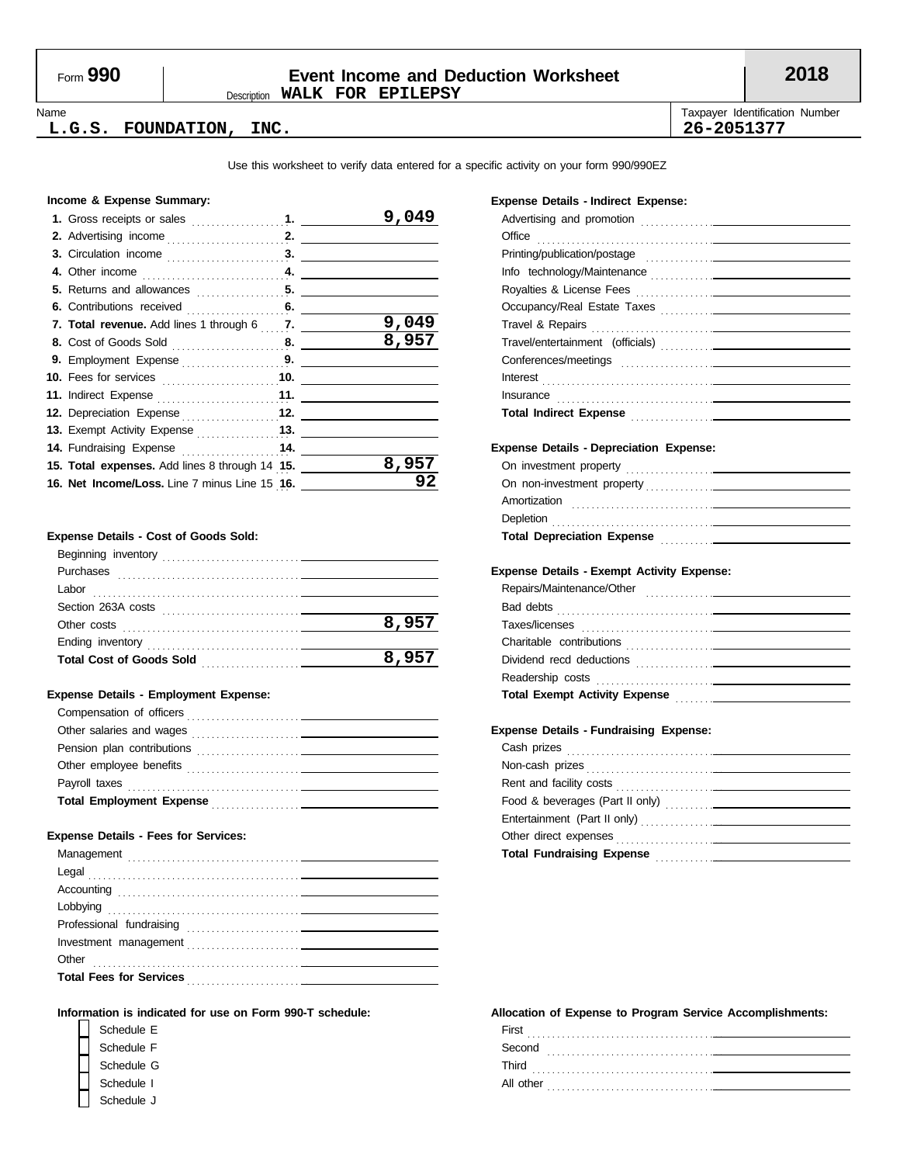### Description **WALK FOR EPILEPSY** Form **990 Event Income and Deduction Worksheet 2018**

Name **Taxpayer Identification Number** Number 1999 and the United States of Taxpayer Identification Number **L.G.S. FOUNDATION, INC. 26-2051377**

Use this worksheet to verify data entered for a specific activity on your form 990/990EZ

#### **Income & Expense Summary:**

|  | 9.                                                                                                                                                                                                                                                  |
|--|-----------------------------------------------------------------------------------------------------------------------------------------------------------------------------------------------------------------------------------------------------|
|  |                                                                                                                                                                                                                                                     |
|  |                                                                                                                                                                                                                                                     |
|  |                                                                                                                                                                                                                                                     |
|  |                                                                                                                                                                                                                                                     |
|  |                                                                                                                                                                                                                                                     |
|  | 9,049                                                                                                                                                                                                                                               |
|  | 8,957                                                                                                                                                                                                                                               |
|  |                                                                                                                                                                                                                                                     |
|  |                                                                                                                                                                                                                                                     |
|  |                                                                                                                                                                                                                                                     |
|  |                                                                                                                                                                                                                                                     |
|  |                                                                                                                                                                                                                                                     |
|  |                                                                                                                                                                                                                                                     |
|  | 8,957                                                                                                                                                                                                                                               |
|  | 92                                                                                                                                                                                                                                                  |
|  | 7. Total revenue. Add lines 1 through 6 7. T.<br><b>10.</b> Fees for services 10.<br>12. Depreciation Expense 12.<br>14. Fundraising Expense 14.<br>15. Total expenses. Add lines 8 through 14 15.<br>16. Net Income/Loss. Line 7 minus Line 15 16. |

#### **Expense Details - Cost of Goods Sold:**

| Beginning inventory                                                                  |       |
|--------------------------------------------------------------------------------------|-------|
| Purchases                                                                            |       |
| Labor                                                                                |       |
| Section 263A costs                                                                   |       |
| Other costs                                                                          | 8,957 |
| Ending inventory                                                                     |       |
| <b>Total Cost of Goods Sold</b><br><u> 1999 - Johann Stoff, mars er fransk konge</u> | 8,957 |
|                                                                                      |       |

#### **Expense Details - Employment Expense:**

| Compensation of officers                                                                      |  |
|-----------------------------------------------------------------------------------------------|--|
|                                                                                               |  |
| Pension plan contributions                                                                    |  |
| Other employee benefits<br><u> 1986 - Jan Landers Stein, maritan eta indonesia (h. 1908).</u> |  |
| Payroll taxes                                                                                 |  |
| <b>Total Employment Expense</b>                                                               |  |

#### **Expense Details - Fees for Services:**

#### **Information is indicated for use on Form 990-T schedule:**

| Schedule E |  |
|------------|--|
| Schedule F |  |
| Schedule G |  |
| Schedule I |  |
| Schedule J |  |

#### **Expense Details - Indirect Expense:**

| Office                                                                                                                                                                                                                               |
|--------------------------------------------------------------------------------------------------------------------------------------------------------------------------------------------------------------------------------------|
|                                                                                                                                                                                                                                      |
|                                                                                                                                                                                                                                      |
|                                                                                                                                                                                                                                      |
|                                                                                                                                                                                                                                      |
|                                                                                                                                                                                                                                      |
|                                                                                                                                                                                                                                      |
|                                                                                                                                                                                                                                      |
|                                                                                                                                                                                                                                      |
|                                                                                                                                                                                                                                      |
| Total Indirect Expense <b>contained</b> and the contact of the contact of the contact of the contact of the contact of                                                                                                               |
|                                                                                                                                                                                                                                      |
| <b>Expense Details - Depreciation Expense:</b>                                                                                                                                                                                       |
|                                                                                                                                                                                                                                      |
|                                                                                                                                                                                                                                      |
|                                                                                                                                                                                                                                      |
|                                                                                                                                                                                                                                      |
| Total Depreciation Expense Manual According to the Manual According to the Manual According to the Manual According to the Manual According to the Manual According to the Manual According to the Manual According to the Man       |
|                                                                                                                                                                                                                                      |
| <b>Expense Details - Exempt Activity Expense:</b>                                                                                                                                                                                    |
|                                                                                                                                                                                                                                      |
|                                                                                                                                                                                                                                      |
|                                                                                                                                                                                                                                      |
|                                                                                                                                                                                                                                      |
|                                                                                                                                                                                                                                      |
|                                                                                                                                                                                                                                      |
|                                                                                                                                                                                                                                      |
|                                                                                                                                                                                                                                      |
| <b>Expense Details - Fundraising Expense:</b>                                                                                                                                                                                        |
| Cash prizes <b>contract the contract of the contract of the contract of the contract of the contract of the contract of the contract of the contract of the contract of the contract of the contract of the contract of the cont</b> |
|                                                                                                                                                                                                                                      |
|                                                                                                                                                                                                                                      |
|                                                                                                                                                                                                                                      |
|                                                                                                                                                                                                                                      |
|                                                                                                                                                                                                                                      |
|                                                                                                                                                                                                                                      |
|                                                                                                                                                                                                                                      |

| First<br>.<br>.          |
|--------------------------|
| Second                   |
| Third<br>$\cdot$ $\cdot$ |
| All other<br>.           |
|                          |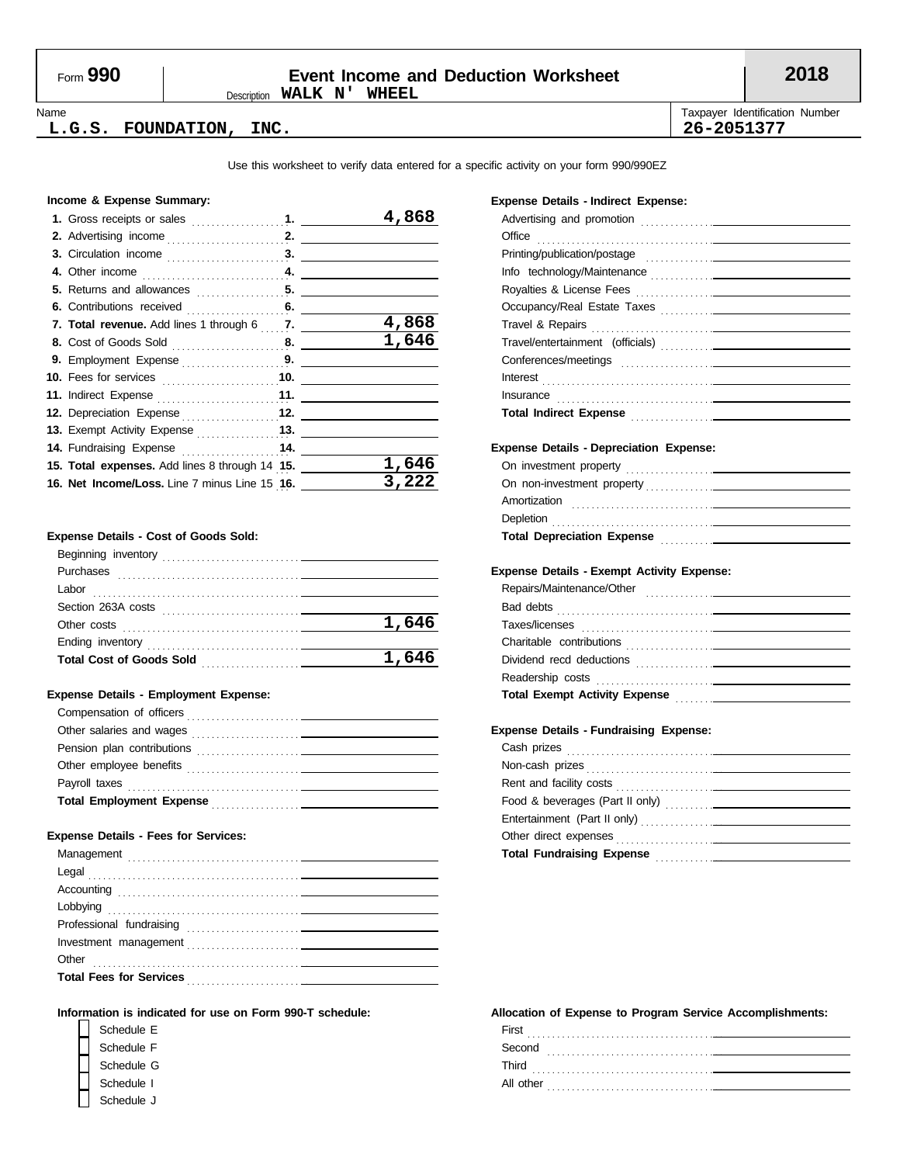## Form **990 Event Income and Deduction Worksheet 2018**

Description **WALK N' WHEEL**

Name **Taxpayer Identification Number** Number 1999 and the United States of Taxpayer Identification Number

#### **L.G.S. FOUNDATION, INC. 26-2051377**

Use this worksheet to verify data entered for a specific activity on your form 990/990EZ

#### **Income & Expense Summary:**

|                                                | 4,868 |
|------------------------------------------------|-------|
|                                                |       |
|                                                |       |
|                                                |       |
|                                                |       |
| 6. Contributions received 6.                   |       |
| 7. Total revenue. Add lines 1 through 6 7.     | 4,868 |
|                                                | 1,646 |
|                                                |       |
| 10. Fees for services 10.                      |       |
|                                                |       |
| 12. Depreciation Expense 12.                   |       |
| 13. Exempt Activity Expense 13.                |       |
| 14. Fundraising Expense  14.                   |       |
| 15. Total expenses. Add lines 8 through 14 15. | 1,646 |
| 16. Net Income/Loss. Line 7 minus Line 15 16.  | 3,222 |
|                                                |       |

#### **Expense Details - Cost of Goods Sold:**

| Beginning inventory                                                             |       |
|---------------------------------------------------------------------------------|-------|
| Purchases                                                                       |       |
| Labor                                                                           |       |
| Section 263A costs                                                              |       |
| Other costs                                                                     | 1,646 |
|                                                                                 |       |
| <b>Total Cost of Goods Sold</b><br>the control of the control of the control of | 1,646 |
|                                                                                 |       |

#### **Expense Details - Employment Expense:**

| Compensation of officers                                                                      |  |
|-----------------------------------------------------------------------------------------------|--|
|                                                                                               |  |
| Pension plan contributions                                                                    |  |
| Other employee benefits<br><u> 1986 - Jan Landers Stein, maritan eta indonesia (h. 1908).</u> |  |
| Payroll taxes                                                                                 |  |
| <b>Total Employment Expense</b>                                                               |  |

#### **Expense Details - Fees for Services:**

#### **Information is indicated for use on Form 990-T schedule:**

| Schedule E |  |
|------------|--|
| Schedule F |  |
| Schedule G |  |
| Schedule I |  |
| Schedule J |  |

#### **Expense Details - Indirect Expense:**

| Office                                                                                                                                                                                                                         |
|--------------------------------------------------------------------------------------------------------------------------------------------------------------------------------------------------------------------------------|
| Printing/publication/postage entitled and the control of the control of the control of the control of the control of                                                                                                           |
|                                                                                                                                                                                                                                |
|                                                                                                                                                                                                                                |
|                                                                                                                                                                                                                                |
|                                                                                                                                                                                                                                |
|                                                                                                                                                                                                                                |
|                                                                                                                                                                                                                                |
|                                                                                                                                                                                                                                |
|                                                                                                                                                                                                                                |
|                                                                                                                                                                                                                                |
|                                                                                                                                                                                                                                |
| <b>Expense Details - Depreciation Expense:</b>                                                                                                                                                                                 |
|                                                                                                                                                                                                                                |
|                                                                                                                                                                                                                                |
| Amortization                                                                                                                                                                                                                   |
| Depletion entrance and the contract of the contract of the contract of the contract of the contract of the contract of the contract of the contract of the contract of the contract of the contract of the contract of the con |
|                                                                                                                                                                                                                                |
|                                                                                                                                                                                                                                |
| <b>Expense Details - Exempt Activity Expense:</b>                                                                                                                                                                              |
|                                                                                                                                                                                                                                |
|                                                                                                                                                                                                                                |
|                                                                                                                                                                                                                                |
|                                                                                                                                                                                                                                |
|                                                                                                                                                                                                                                |
|                                                                                                                                                                                                                                |
|                                                                                                                                                                                                                                |
|                                                                                                                                                                                                                                |
| <b>Expense Details - Fundraising Expense:</b>                                                                                                                                                                                  |
|                                                                                                                                                                                                                                |
|                                                                                                                                                                                                                                |
|                                                                                                                                                                                                                                |
|                                                                                                                                                                                                                                |
|                                                                                                                                                                                                                                |
|                                                                                                                                                                                                                                |
| Total Fundraising Expense Manual Accords and Accords and Accords and Accords and Accords and Accords and Accords and Accords and Accords and Accords and Accords and Accords and Accords and Accords and Accords and Accords a |
|                                                                                                                                                                                                                                |

| First<br>.     |
|----------------|
| Second         |
| Third<br>.     |
| All other<br>. |
|                |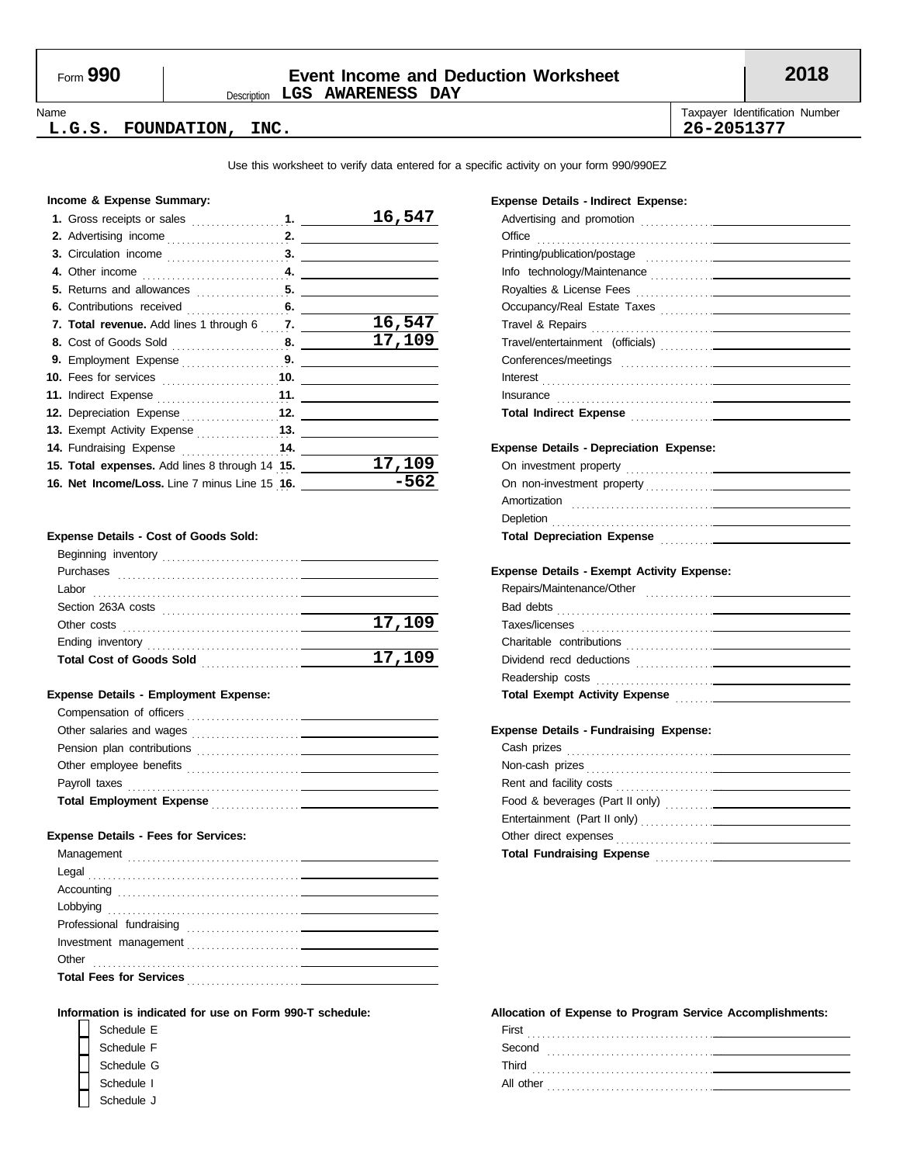### Description **LGS AWARENESS DAY** Form **990 Event Income and Deduction Worksheet 2018**

#### Name **Taxpayer Identification Number** Number 1999 and the United States of Taxpayer Identification Number **L.G.S. FOUNDATION, INC. 26-2051377**

Use this worksheet to verify data entered for a specific activity on your form 990/990EZ

#### **Income & Expense Summary:**

|                                                | 16,547 |
|------------------------------------------------|--------|
|                                                |        |
|                                                |        |
|                                                |        |
|                                                |        |
|                                                |        |
| 7. Total revenue. Add lines 1 through 6 7.     | 16,547 |
|                                                | 17,109 |
|                                                |        |
|                                                |        |
|                                                |        |
| 12. Depreciation Expense 12.                   |        |
| 13. Exempt Activity Expense [11, 13. 13.       |        |
| 14. Fundraising Expense 14.                    |        |
| 15. Total expenses. Add lines 8 through 14 15. | 17,109 |
| 16. Net Income/Loss. Line 7 minus Line 15 16.  | -562   |

#### **Expense Details - Cost of Goods Sold:**

| Beginning inventory             |        |
|---------------------------------|--------|
| Purchases                       |        |
| Labor                           |        |
| Section 263A costs              |        |
| Other costs                     | 17,109 |
|                                 |        |
| <b>Total Cost of Goods Sold</b> | 17,109 |
|                                 |        |

#### **Expense Details - Employment Expense:**

| Compensation of officers                                                                                      |  |
|---------------------------------------------------------------------------------------------------------------|--|
|                                                                                                               |  |
| Pension plan contributions<br>the contract of the contract of the contract of the contract of the contract of |  |
| Other employee benefits                                                                                       |  |
| Payroll taxes                                                                                                 |  |
| <b>Total Employment Expense</b>                                                                               |  |

#### **Expense Details - Fees for Services:**

### **Information is indicated for use on Form 990-T schedule:**

| Schedule E |  |
|------------|--|
| Schedule F |  |
| Schedule G |  |
| Schedule I |  |
| Schedule J |  |

#### **Expense Details - Indirect Expense:**

| Office                                                                                                                                                                                                                               |
|--------------------------------------------------------------------------------------------------------------------------------------------------------------------------------------------------------------------------------------|
|                                                                                                                                                                                                                                      |
|                                                                                                                                                                                                                                      |
|                                                                                                                                                                                                                                      |
|                                                                                                                                                                                                                                      |
|                                                                                                                                                                                                                                      |
|                                                                                                                                                                                                                                      |
|                                                                                                                                                                                                                                      |
|                                                                                                                                                                                                                                      |
|                                                                                                                                                                                                                                      |
| Total Indirect Expense <b>contained</b> and the contact of the contact of the contact of the contact of the contact of the contact of the contact of the contact of the contact of the contact of the contact of the contact of the  |
|                                                                                                                                                                                                                                      |
| <b>Expense Details - Depreciation Expense:</b>                                                                                                                                                                                       |
|                                                                                                                                                                                                                                      |
|                                                                                                                                                                                                                                      |
|                                                                                                                                                                                                                                      |
| Depletion <b>contract the contract of the contract of the contract of the contract of the contract of the contract of the contract of the contract of the contract of the contract of the contract of the contract of the contra</b> |
| Total Depreciation Expense Manual Account of the Contractor of the Contractor of the Contractor of the Contractor                                                                                                                    |
|                                                                                                                                                                                                                                      |
| <b>Expense Details - Exempt Activity Expense:</b>                                                                                                                                                                                    |
|                                                                                                                                                                                                                                      |
|                                                                                                                                                                                                                                      |
|                                                                                                                                                                                                                                      |
|                                                                                                                                                                                                                                      |
|                                                                                                                                                                                                                                      |
|                                                                                                                                                                                                                                      |
|                                                                                                                                                                                                                                      |
|                                                                                                                                                                                                                                      |
| <b>Expense Details - Fundraising Expense:</b>                                                                                                                                                                                        |
|                                                                                                                                                                                                                                      |
|                                                                                                                                                                                                                                      |
|                                                                                                                                                                                                                                      |
|                                                                                                                                                                                                                                      |
|                                                                                                                                                                                                                                      |
|                                                                                                                                                                                                                                      |
|                                                                                                                                                                                                                                      |
|                                                                                                                                                                                                                                      |

| First<br>.     |  |
|----------------|--|
| Second         |  |
| Third          |  |
| All other<br>. |  |
|                |  |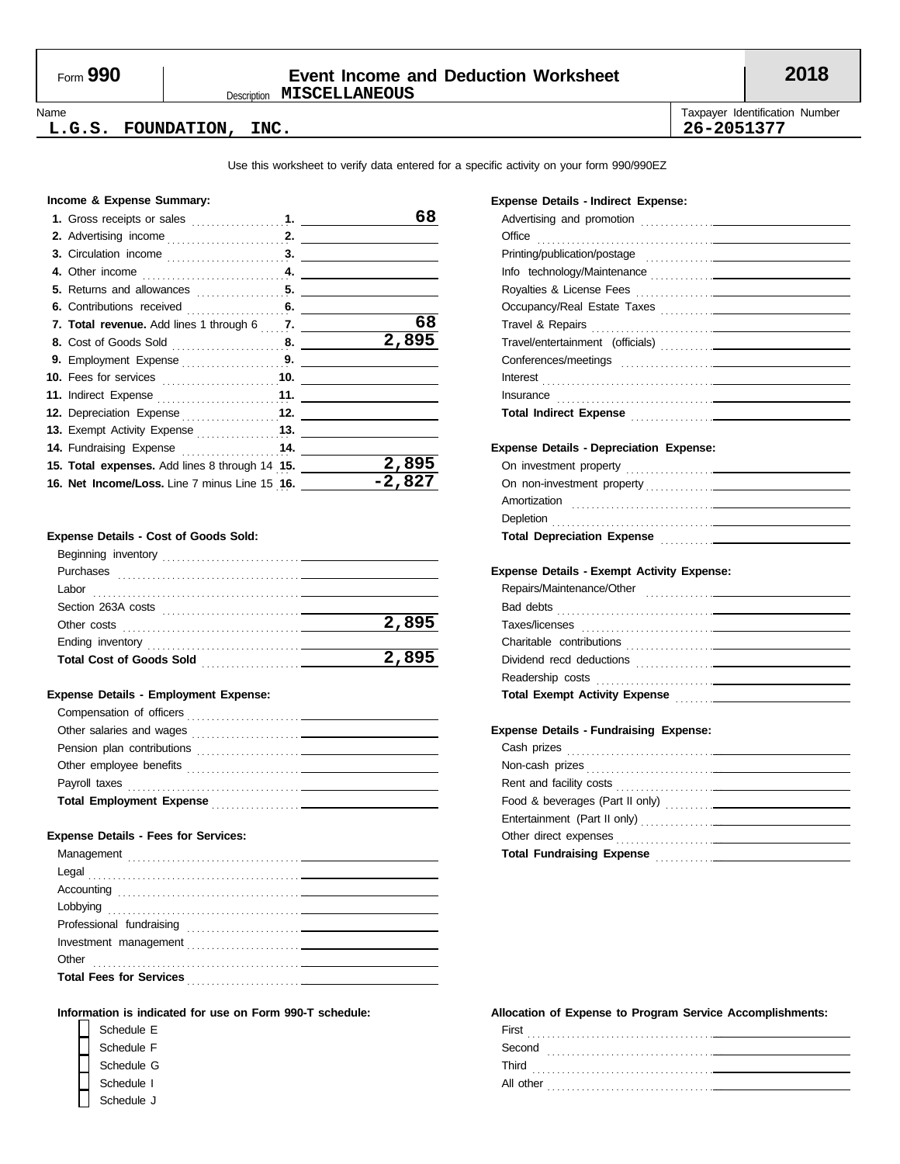### Description **MISCELLANEOUS** Form **990 Event Income and Deduction Worksheet 2018**

#### Name **Taxpayer Identification Number** Number 1999 and the United States of Taxpayer Identification Number **L.G.S. FOUNDATION, INC. 26-2051377**

Use this worksheet to verify data entered for a specific activity on your form 990/990EZ

#### **Income & Expense Summary:**

|                                                | 68     |
|------------------------------------------------|--------|
|                                                |        |
|                                                |        |
|                                                |        |
|                                                |        |
|                                                |        |
| 7. Total revenue. Add lines 1 through 6  7.    | 68     |
|                                                | 2,895  |
|                                                |        |
|                                                |        |
|                                                |        |
| 12. Depreciation Expense 12.                   |        |
| 13. Exempt Activity Expense <b>13.</b>         |        |
| 14. Fundraising Expense  14.                   |        |
| 15. Total expenses. Add lines 8 through 14 15. | 2,895  |
| 16. Net Income/Loss. Line 7 minus Line 15 16.  | -2,827 |

#### **Expense Details - Cost of Goods Sold:**

| Beginning inventory             |       |
|---------------------------------|-------|
| Purchases                       |       |
| Labor                           |       |
| Section 263A costs              |       |
| Other costs                     | 2,895 |
| Ending inventory                |       |
| <b>Total Cost of Goods Sold</b> | 2,895 |
|                                 |       |

#### **Expense Details - Employment Expense:**

| Compensation of officers                                                                      |  |
|-----------------------------------------------------------------------------------------------|--|
|                                                                                               |  |
| Pension plan contributions                                                                    |  |
| Other employee benefits<br><u> 1986 - Jan Landers Stein, maritan eta indonesia (h. 1908).</u> |  |
| Payroll taxes                                                                                 |  |
| <b>Total Employment Expense</b>                                                               |  |

#### **Expense Details - Fees for Services:**

#### **Information is indicated for use on Form 990-T schedule:**

| Schedule E |  |
|------------|--|
| Schedule F |  |
| Schedule G |  |
| Schedule I |  |
| Schedule J |  |

#### **Expense Details - Indirect Expense:**

| Office                                                                                                                                                                                                                               |
|--------------------------------------------------------------------------------------------------------------------------------------------------------------------------------------------------------------------------------------|
|                                                                                                                                                                                                                                      |
|                                                                                                                                                                                                                                      |
|                                                                                                                                                                                                                                      |
|                                                                                                                                                                                                                                      |
|                                                                                                                                                                                                                                      |
|                                                                                                                                                                                                                                      |
|                                                                                                                                                                                                                                      |
|                                                                                                                                                                                                                                      |
|                                                                                                                                                                                                                                      |
| Total Indirect Expense <b>contained</b> and the contact of the contact of the contact of the contact of the contact of                                                                                                               |
|                                                                                                                                                                                                                                      |
| <b>Expense Details - Depreciation Expense:</b>                                                                                                                                                                                       |
|                                                                                                                                                                                                                                      |
|                                                                                                                                                                                                                                      |
| Amortization 2000 Communication and the contract of the contract of the contract of the contract of the contract of the contract of the contract of the contract of the contract of the contract of the contract of the contra       |
|                                                                                                                                                                                                                                      |
| Total Depreciation Expense Manual According to the Contract of the Contract of the Contract of the Contract of                                                                                                                       |
|                                                                                                                                                                                                                                      |
| Expense Details - Exempt Activity Expense:                                                                                                                                                                                           |
|                                                                                                                                                                                                                                      |
|                                                                                                                                                                                                                                      |
|                                                                                                                                                                                                                                      |
|                                                                                                                                                                                                                                      |
|                                                                                                                                                                                                                                      |
|                                                                                                                                                                                                                                      |
|                                                                                                                                                                                                                                      |
|                                                                                                                                                                                                                                      |
| <b>Expense Details - Fundraising Expense:</b>                                                                                                                                                                                        |
| Cash prizes <b>contract and the contract of the contract of the contract of the contract of the contract of the contract of the contract of the contract of the contract of the contract of the contract of the contract of the </b> |
|                                                                                                                                                                                                                                      |
|                                                                                                                                                                                                                                      |
|                                                                                                                                                                                                                                      |
|                                                                                                                                                                                                                                      |
|                                                                                                                                                                                                                                      |
| Total Fundraising Expense Manual Communication of the Communication of the Communication of the Communication                                                                                                                        |
|                                                                                                                                                                                                                                      |

| First<br>.     |
|----------------|
| Second         |
| Third<br>.     |
| All other<br>. |
|                |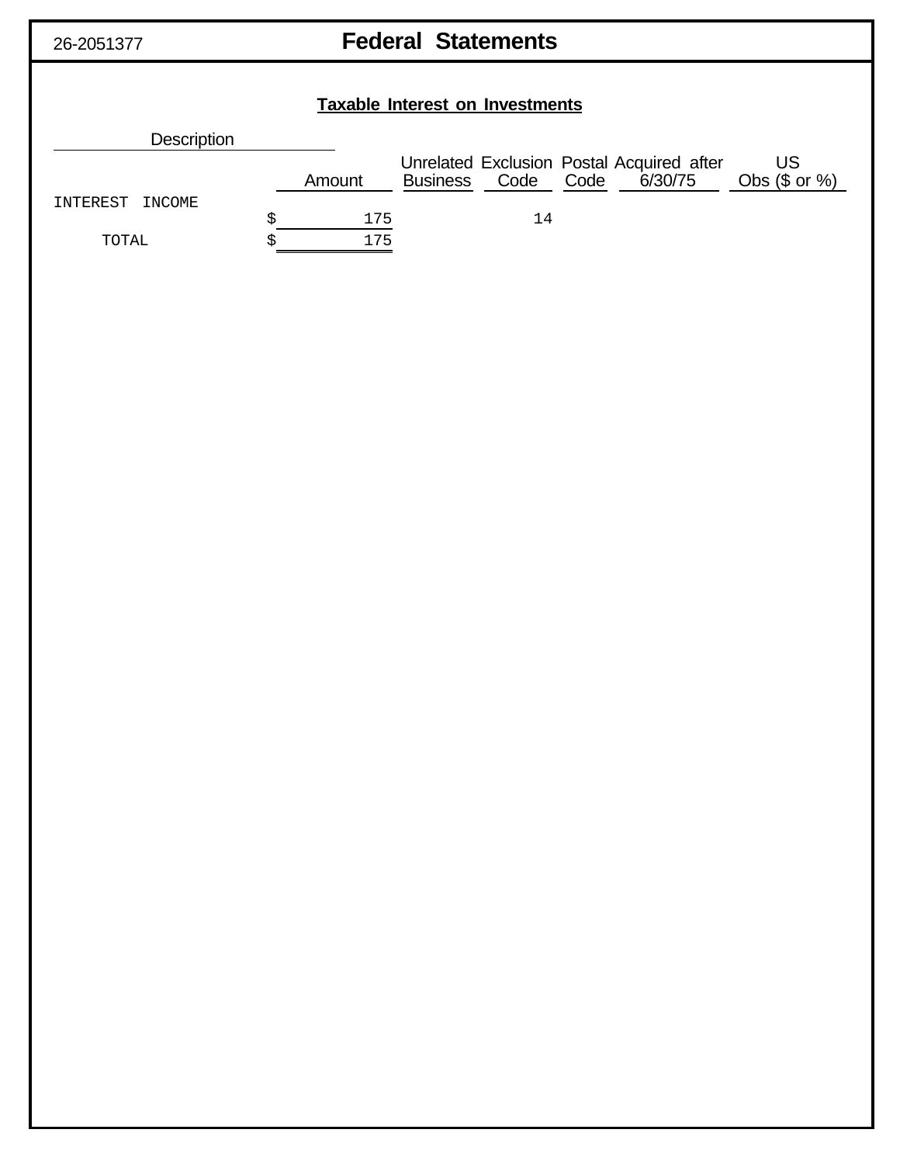## 26-2051377 **Federal Statements**

| <b>Taxable Interest on Investments</b> |    |        |  |    |  |                                                                         |                              |  |
|----------------------------------------|----|--------|--|----|--|-------------------------------------------------------------------------|------------------------------|--|
| Description                            |    |        |  |    |  |                                                                         |                              |  |
|                                        |    | Amount |  |    |  | Unrelated Exclusion Postal Acquired after<br>Business Code Code 6/30/75 | <b>US</b><br>Obs $($ or  %)$ |  |
| INTEREST<br>INCOME                     | \$ | 175    |  | 14 |  |                                                                         |                              |  |
| TOTAL                                  | \$ | 175    |  |    |  |                                                                         |                              |  |
|                                        |    |        |  |    |  |                                                                         |                              |  |
|                                        |    |        |  |    |  |                                                                         |                              |  |
|                                        |    |        |  |    |  |                                                                         |                              |  |
|                                        |    |        |  |    |  |                                                                         |                              |  |
|                                        |    |        |  |    |  |                                                                         |                              |  |
|                                        |    |        |  |    |  |                                                                         |                              |  |
|                                        |    |        |  |    |  |                                                                         |                              |  |
|                                        |    |        |  |    |  |                                                                         |                              |  |
|                                        |    |        |  |    |  |                                                                         |                              |  |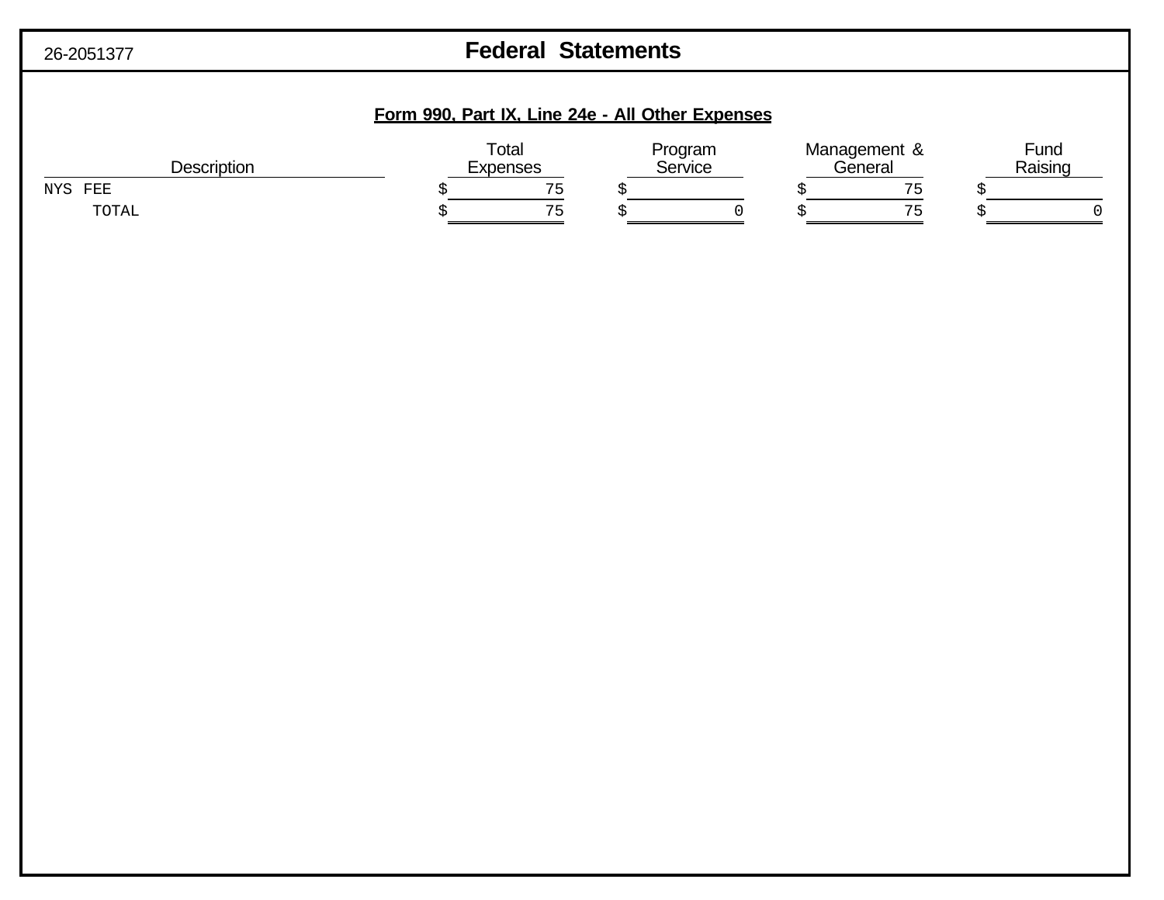| 26-2051377 |
|------------|
|------------|

## **Example 26-20513** Federal Statements

## **Form 990, Part IX, Line 24e - All Other Expenses**

| <b>Description</b> | Total<br>Program<br>Service<br><b>Expenses</b> |  | Management &<br>General |               | Fund<br>Raising |  |
|--------------------|------------------------------------------------|--|-------------------------|---------------|-----------------|--|
| FEE<br>NYS.        | 75<br>- 11                                     |  |                         |               |                 |  |
| TOTAL              | ワロ                                             |  |                         | $\sim$ $\sim$ |                 |  |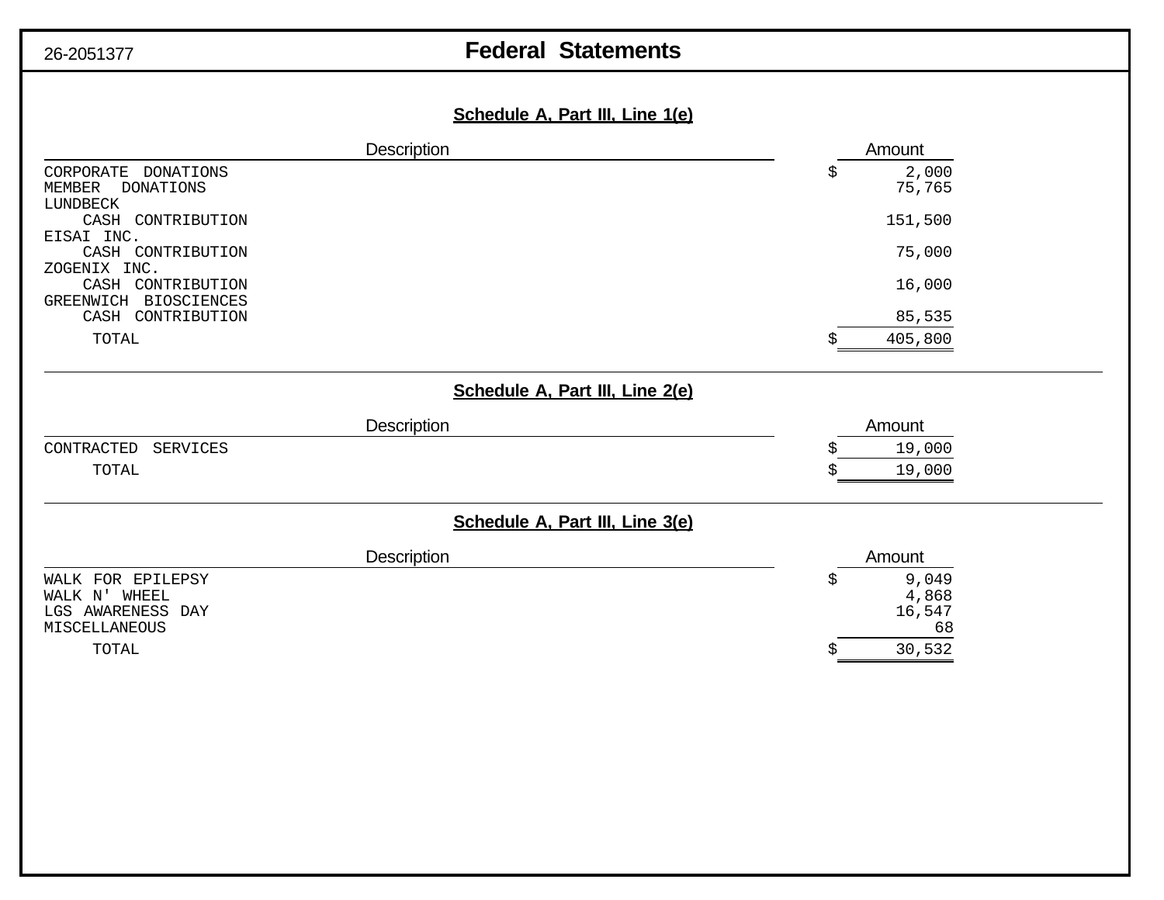## 26-2051377 **Federal Statements**

## **Schedule A, Part III, Line 1(e)**

| Description                            | Amount                          |
|----------------------------------------|---------------------------------|
| CORPORATE DONATIONS                    | 2,000<br>\$                     |
| <b>DONATIONS</b><br>MEMBER<br>LUNDBECK | 75,765                          |
| CASH CONTRIBUTION                      | 151,500                         |
| EISAI INC.                             |                                 |
| CASH CONTRIBUTION                      | 75,000                          |
| ZOGENIX INC.<br>CASH CONTRIBUTION      | 16,000                          |
| GREENWICH BIOSCIENCES                  |                                 |
| CASH CONTRIBUTION                      | 85,535                          |
| TOTAL                                  | 405,800                         |
|                                        |                                 |
|                                        | Schedule A, Part III, Line 2(e) |
| <b>Description</b>                     | Amount                          |
| CONTRACTED<br><b>SERVICES</b>          | 19,000                          |
| TOTAL                                  | 19,000                          |
|                                        |                                 |
|                                        | Schedule A, Part III, Line 3(e) |
| Description                            | Amount                          |
| WALK FOR EPILEPSY                      | 9,049<br>\$                     |
| WALK N' WHEEL                          | 4,868                           |
| LGS AWARENESS DAY                      | 16,547<br>68                    |
| MISCELLANEOUS<br>TOTAL                 | 30,532<br>\$                    |
|                                        |                                 |